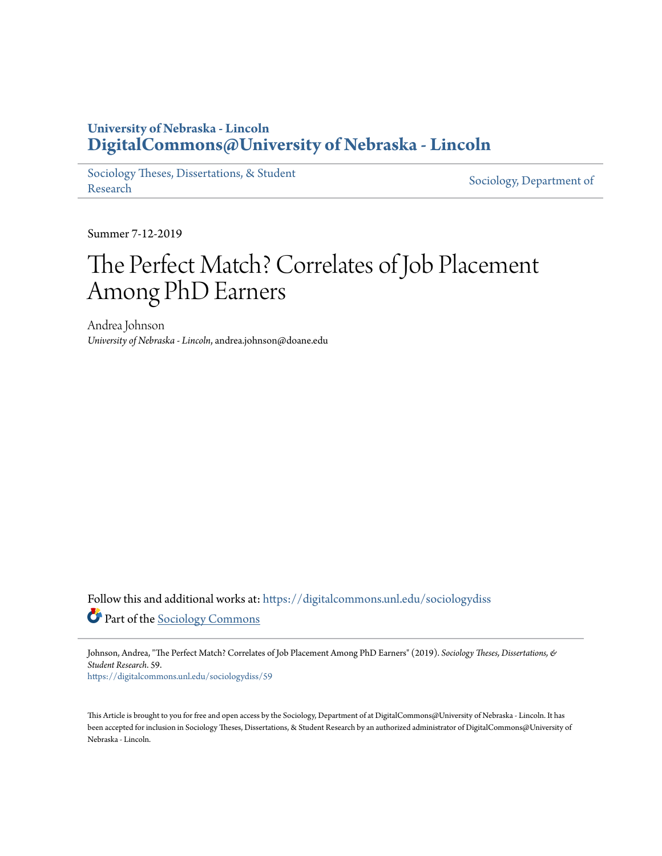# **University of Nebraska - Lincoln [DigitalCommons@University of Nebraska - Lincoln](https://digitalcommons.unl.edu?utm_source=digitalcommons.unl.edu%2Fsociologydiss%2F59&utm_medium=PDF&utm_campaign=PDFCoverPages)**

[Sociology Theses, Dissertations, & Student](https://digitalcommons.unl.edu/sociologydiss?utm_source=digitalcommons.unl.edu%2Fsociologydiss%2F59&utm_medium=PDF&utm_campaign=PDFCoverPages) Sociology, Department of<br>[Research](https://digitalcommons.unl.edu/sociologydiss?utm_source=digitalcommons.unl.edu%2Fsociologydiss%2F59&utm_medium=PDF&utm_campaign=PDFCoverPages) [Sociology, Department of](https://digitalcommons.unl.edu/sociology?utm_source=digitalcommons.unl.edu%2Fsociologydiss%2F59&utm_medium=PDF&utm_campaign=PDFCoverPages)

Summer 7-12-2019

# The Perfect Match? Correlates of Job Placement Among PhD Earners

Andrea Johnson *University of Nebraska - Lincoln*, andrea.johnson@doane.edu

Follow this and additional works at: [https://digitalcommons.unl.edu/sociologydiss](https://digitalcommons.unl.edu/sociologydiss?utm_source=digitalcommons.unl.edu%2Fsociologydiss%2F59&utm_medium=PDF&utm_campaign=PDFCoverPages) Part of the [Sociology Commons](http://network.bepress.com/hgg/discipline/416?utm_source=digitalcommons.unl.edu%2Fsociologydiss%2F59&utm_medium=PDF&utm_campaign=PDFCoverPages)

Johnson, Andrea, "The Perfect Match? Correlates of Job Placement Among PhD Earners" (2019). *Sociology Theses, Dissertations, & Student Research*. 59.

[https://digitalcommons.unl.edu/sociologydiss/59](https://digitalcommons.unl.edu/sociologydiss/59?utm_source=digitalcommons.unl.edu%2Fsociologydiss%2F59&utm_medium=PDF&utm_campaign=PDFCoverPages)

This Article is brought to you for free and open access by the Sociology, Department of at DigitalCommons@University of Nebraska - Lincoln. It has been accepted for inclusion in Sociology Theses, Dissertations, & Student Research by an authorized administrator of DigitalCommons@University of Nebraska - Lincoln.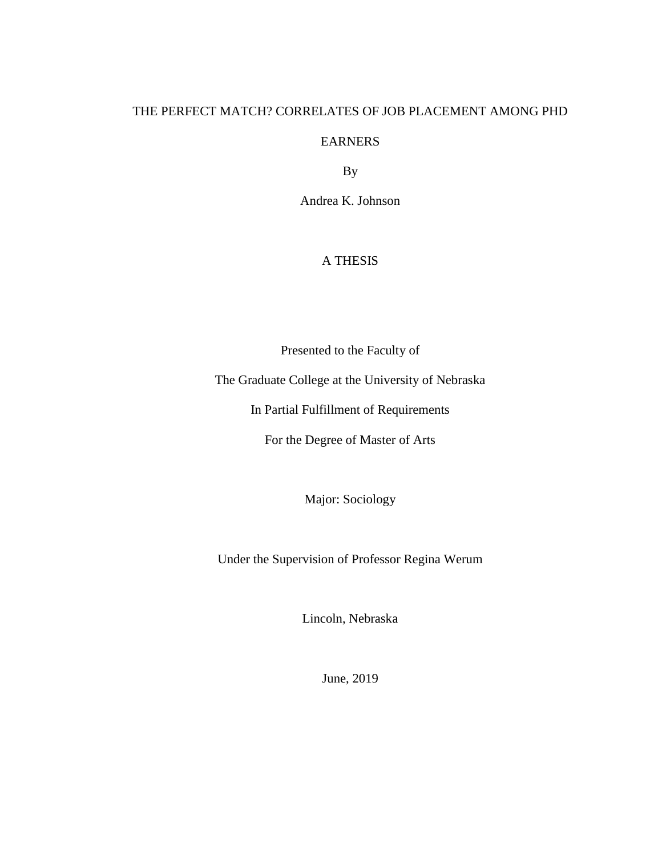# THE PERFECT MATCH? CORRELATES OF JOB PLACEMENT AMONG PHD

#### EARNERS

By

Andrea K. Johnson

## A THESIS

Presented to the Faculty of

The Graduate College at the University of Nebraska

In Partial Fulfillment of Requirements

For the Degree of Master of Arts

Major: Sociology

Under the Supervision of Professor Regina Werum

Lincoln, Nebraska

June, 2019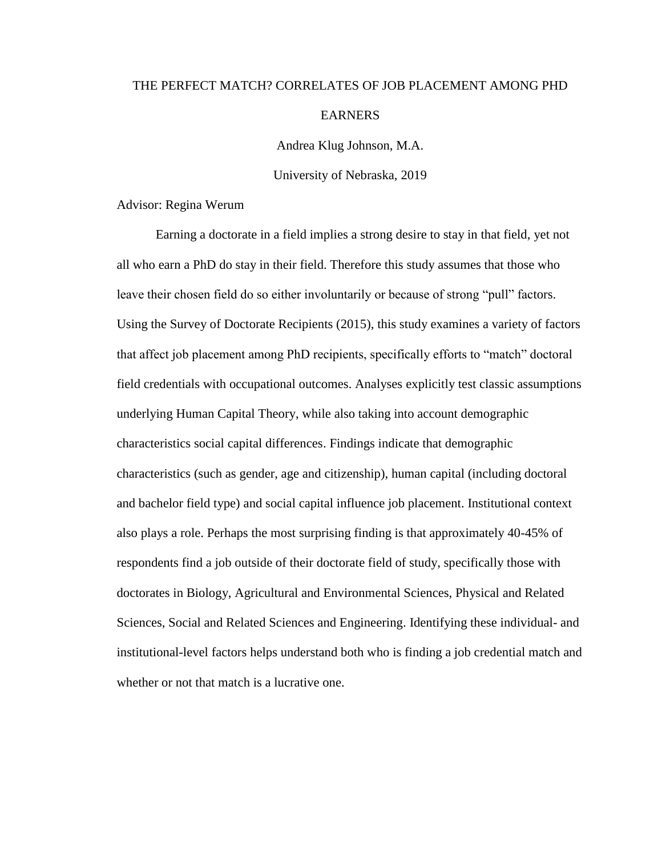# THE PERFECT MATCH? CORRELATES OF JOB PLACEMENT AMONG PHD EARNERS

Andrea Klug Johnson, M.A.

University of Nebraska, 2019

Advisor: Regina Werum

Earning a doctorate in a field implies a strong desire to stay in that field, yet not all who earn a PhD do stay in their field. Therefore this study assumes that those who leave their chosen field do so either involuntarily or because of strong "pull" factors. Using the Survey of Doctorate Recipients (2015), this study examines a variety of factors that affect job placement among PhD recipients, specifically efforts to "match" doctoral field credentials with occupational outcomes. Analyses explicitly test classic assumptions underlying Human Capital Theory, while also taking into account demographic characteristics social capital differences. Findings indicate that demographic characteristics (such as gender, age and citizenship), human capital (including doctoral and bachelor field type) and social capital influence job placement. Institutional context also plays a role. Perhaps the most surprising finding is that approximately 40-45% of respondents find a job outside of their doctorate field of study, specifically those with doctorates in Biology, Agricultural and Environmental Sciences, Physical and Related Sciences, Social and Related Sciences and Engineering. Identifying these individual- and institutional-level factors helps understand both who is finding a job credential match and whether or not that match is a lucrative one.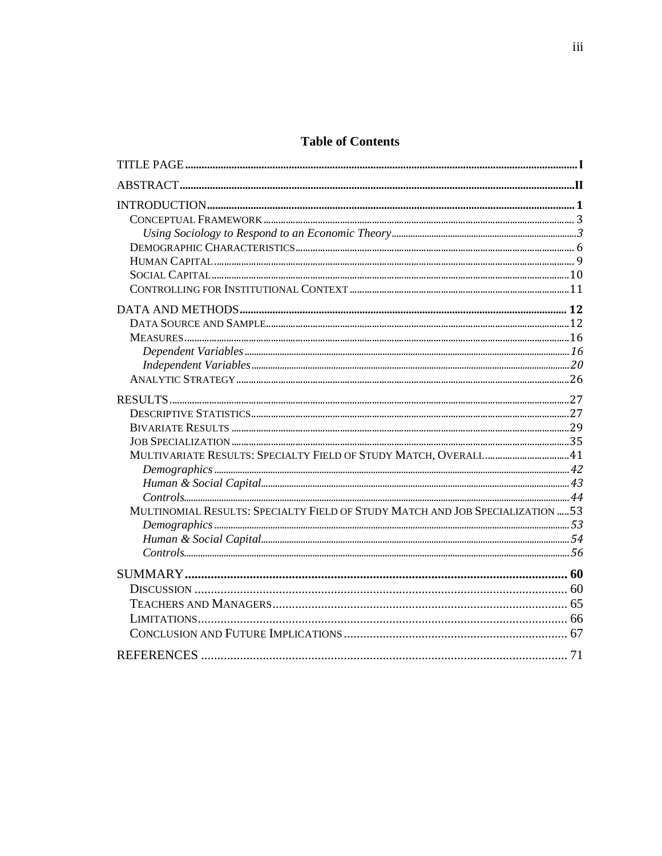# **Table of Contents**

| MULTIVARIATE RESULTS: SPECIALTY FIELD OF STUDY MATCH, OVERALL 41               |  |
|--------------------------------------------------------------------------------|--|
|                                                                                |  |
|                                                                                |  |
|                                                                                |  |
| MULTINOMIAL RESULTS: SPECIALTY FIELD OF STUDY MATCH AND JOB SPECIALIZATION  53 |  |
|                                                                                |  |
|                                                                                |  |
|                                                                                |  |
|                                                                                |  |
|                                                                                |  |
|                                                                                |  |
|                                                                                |  |
|                                                                                |  |
|                                                                                |  |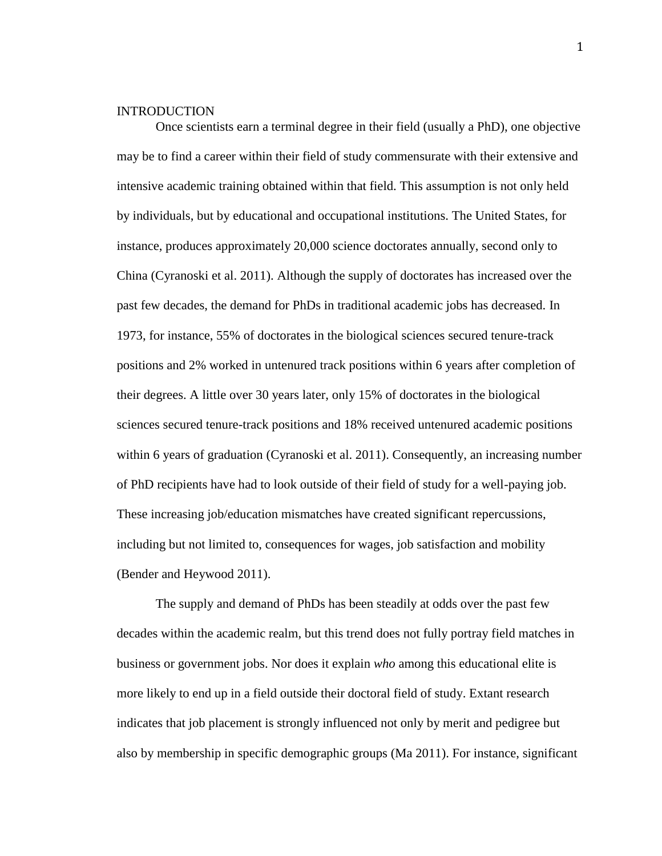#### INTRODUCTION

Once scientists earn a terminal degree in their field (usually a PhD), one objective may be to find a career within their field of study commensurate with their extensive and intensive academic training obtained within that field. This assumption is not only held by individuals, but by educational and occupational institutions. The United States, for instance, produces approximately 20,000 science doctorates annually, second only to China (Cyranoski et al. 2011). Although the supply of doctorates has increased over the past few decades, the demand for PhDs in traditional academic jobs has decreased. In 1973, for instance, 55% of doctorates in the biological sciences secured tenure-track positions and 2% worked in untenured track positions within 6 years after completion of their degrees. A little over 30 years later, only 15% of doctorates in the biological sciences secured tenure-track positions and 18% received untenured academic positions within 6 years of graduation (Cyranoski et al. 2011). Consequently, an increasing number of PhD recipients have had to look outside of their field of study for a well-paying job. These increasing job/education mismatches have created significant repercussions, including but not limited to, consequences for wages, job satisfaction and mobility (Bender and Heywood 2011).

The supply and demand of PhDs has been steadily at odds over the past few decades within the academic realm, but this trend does not fully portray field matches in business or government jobs. Nor does it explain *who* among this educational elite is more likely to end up in a field outside their doctoral field of study. Extant research indicates that job placement is strongly influenced not only by merit and pedigree but also by membership in specific demographic groups (Ma 2011). For instance, significant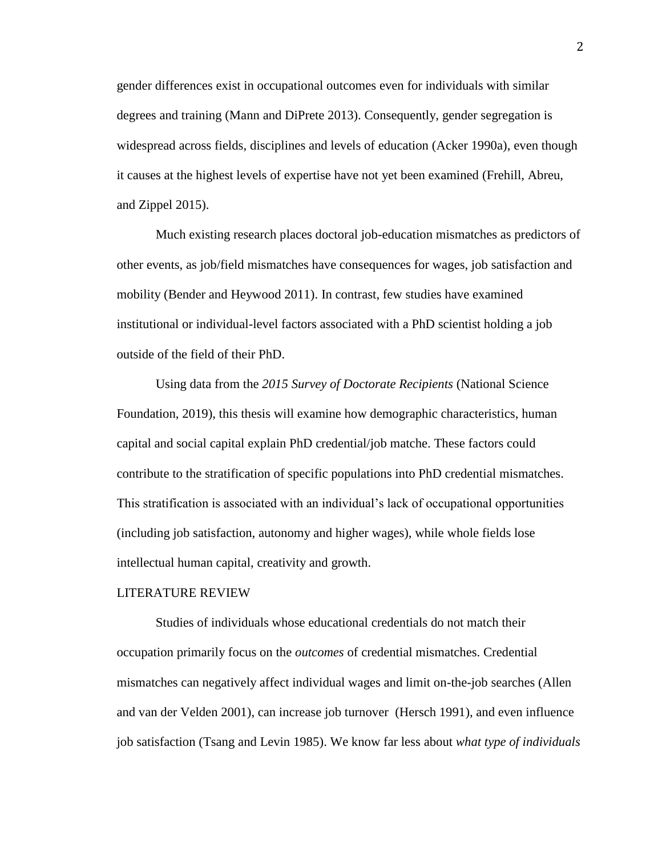gender differences exist in occupational outcomes even for individuals with similar degrees and training (Mann and DiPrete 2013). Consequently, gender segregation is widespread across fields, disciplines and levels of education (Acker 1990a), even though it causes at the highest levels of expertise have not yet been examined (Frehill, Abreu, and Zippel 2015).

Much existing research places doctoral job-education mismatches as predictors of other events, as job/field mismatches have consequences for wages, job satisfaction and mobility (Bender and Heywood 2011). In contrast, few studies have examined institutional or individual-level factors associated with a PhD scientist holding a job outside of the field of their PhD.

Using data from the *2015 Survey of Doctorate Recipients* (National Science Foundation, 2019), this thesis will examine how demographic characteristics, human capital and social capital explain PhD credential/job matche. These factors could contribute to the stratification of specific populations into PhD credential mismatches. This stratification is associated with an individual's lack of occupational opportunities (including job satisfaction, autonomy and higher wages), while whole fields lose intellectual human capital, creativity and growth.

#### LITERATURE REVIEW

Studies of individuals whose educational credentials do not match their occupation primarily focus on the *outcomes* of credential mismatches. Credential mismatches can negatively affect individual wages and limit on-the-job searches (Allen and van der Velden 2001), can increase job turnover (Hersch 1991), and even influence job satisfaction (Tsang and Levin 1985). We know far less about *what type of individuals*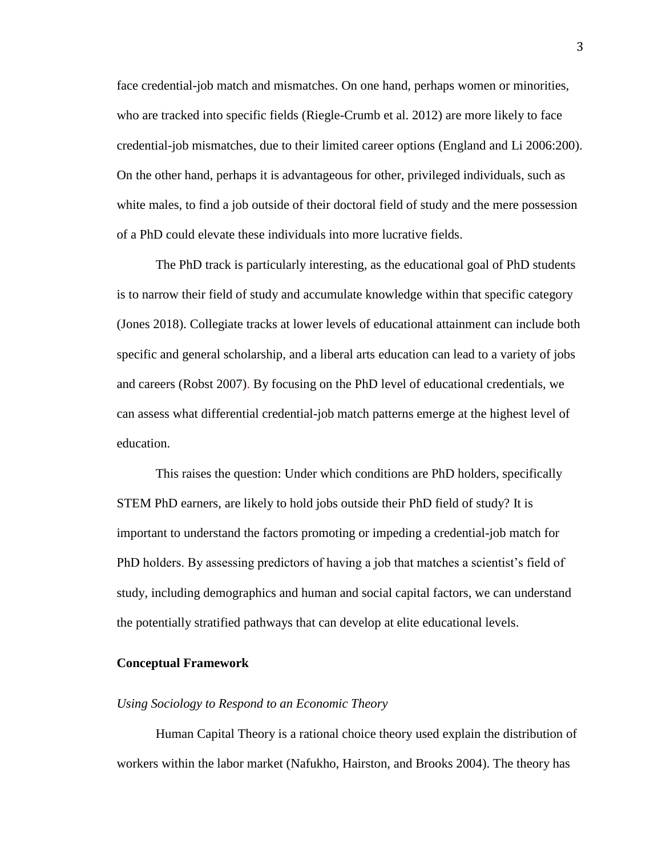face credential-job match and mismatches. On one hand, perhaps women or minorities, who are tracked into specific fields (Riegle-Crumb et al. 2012) are more likely to face credential-job mismatches, due to their limited career options (England and Li 2006:200). On the other hand, perhaps it is advantageous for other, privileged individuals, such as white males, to find a job outside of their doctoral field of study and the mere possession of a PhD could elevate these individuals into more lucrative fields.

The PhD track is particularly interesting, as the educational goal of PhD students is to narrow their field of study and accumulate knowledge within that specific category (Jones 2018). Collegiate tracks at lower levels of educational attainment can include both specific and general scholarship, and a liberal arts education can lead to a variety of jobs and careers (Robst 2007). By focusing on the PhD level of educational credentials, we can assess what differential credential-job match patterns emerge at the highest level of education.

This raises the question: Under which conditions are PhD holders, specifically STEM PhD earners, are likely to hold jobs outside their PhD field of study? It is important to understand the factors promoting or impeding a credential-job match for PhD holders. By assessing predictors of having a job that matches a scientist's field of study, including demographics and human and social capital factors, we can understand the potentially stratified pathways that can develop at elite educational levels.

#### **Conceptual Framework**

#### *Using Sociology to Respond to an Economic Theory*

Human Capital Theory is a rational choice theory used explain the distribution of workers within the labor market (Nafukho, Hairston, and Brooks 2004). The theory has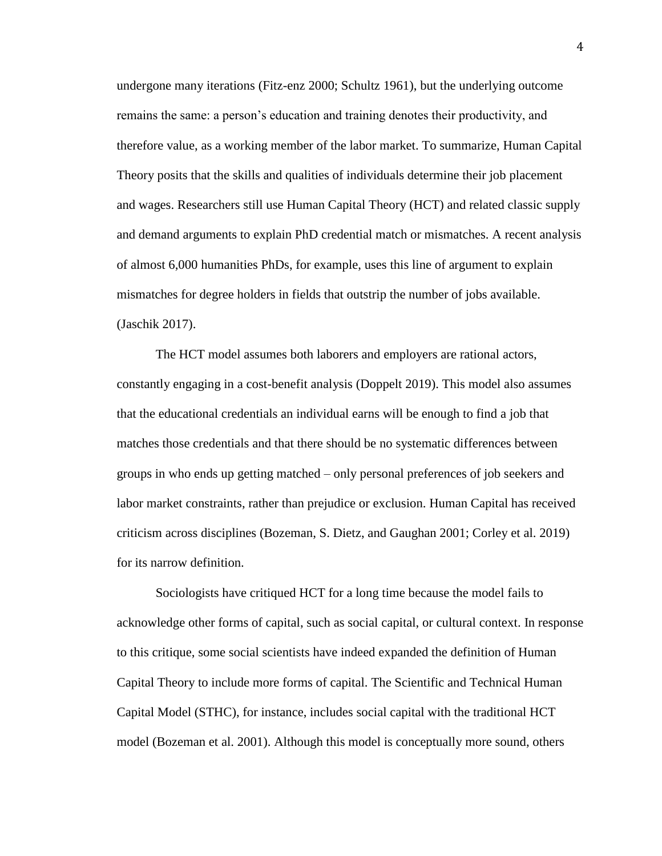undergone many iterations (Fitz-enz 2000; Schultz 1961), but the underlying outcome remains the same: a person's education and training denotes their productivity, and therefore value, as a working member of the labor market. To summarize, Human Capital Theory posits that the skills and qualities of individuals determine their job placement and wages. Researchers still use Human Capital Theory (HCT) and related classic supply and demand arguments to explain PhD credential match or mismatches. A recent analysis of almost 6,000 humanities PhDs, for example, uses this line of argument to explain mismatches for degree holders in fields that outstrip the number of jobs available. (Jaschik 2017).

The HCT model assumes both laborers and employers are rational actors, constantly engaging in a cost-benefit analysis (Doppelt 2019). This model also assumes that the educational credentials an individual earns will be enough to find a job that matches those credentials and that there should be no systematic differences between groups in who ends up getting matched – only personal preferences of job seekers and labor market constraints, rather than prejudice or exclusion. Human Capital has received criticism across disciplines (Bozeman, S. Dietz, and Gaughan 2001; Corley et al. 2019) for its narrow definition.

Sociologists have critiqued HCT for a long time because the model fails to acknowledge other forms of capital, such as social capital, or cultural context. In response to this critique, some social scientists have indeed expanded the definition of Human Capital Theory to include more forms of capital. The Scientific and Technical Human Capital Model (STHC), for instance, includes social capital with the traditional HCT model (Bozeman et al. 2001). Although this model is conceptually more sound, others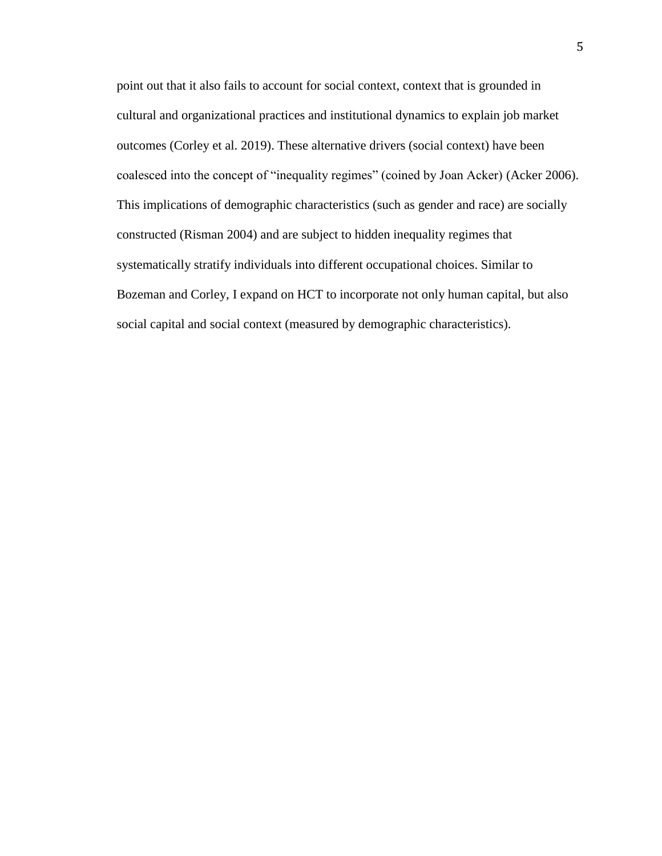point out that it also fails to account for social context, context that is grounded in cultural and organizational practices and institutional dynamics to explain job market outcomes (Corley et al. 2019). These alternative drivers (social context) have been coalesced into the concept of "inequality regimes" (coined by Joan Acker) (Acker 2006). This implications of demographic characteristics (such as gender and race) are socially constructed (Risman 2004) and are subject to hidden inequality regimes that systematically stratify individuals into different occupational choices. Similar to Bozeman and Corley, I expand on HCT to incorporate not only human capital, but also social capital and social context (measured by demographic characteristics).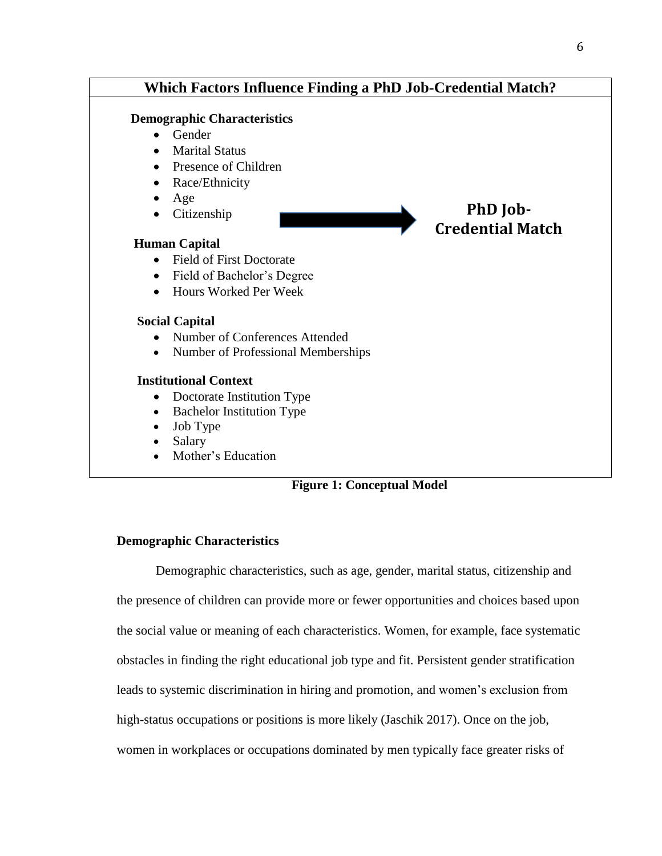

## **Figure 1: Conceptual Model**

### **Demographic Characteristics**

Demographic characteristics, such as age, gender, marital status, citizenship and the presence of children can provide more or fewer opportunities and choices based upon the social value or meaning of each characteristics. Women, for example, face systematic obstacles in finding the right educational job type and fit. Persistent gender stratification leads to systemic discrimination in hiring and promotion, and women's exclusion from high-status occupations or positions is more likely (Jaschik 2017). Once on the job, women in workplaces or occupations dominated by men typically face greater risks of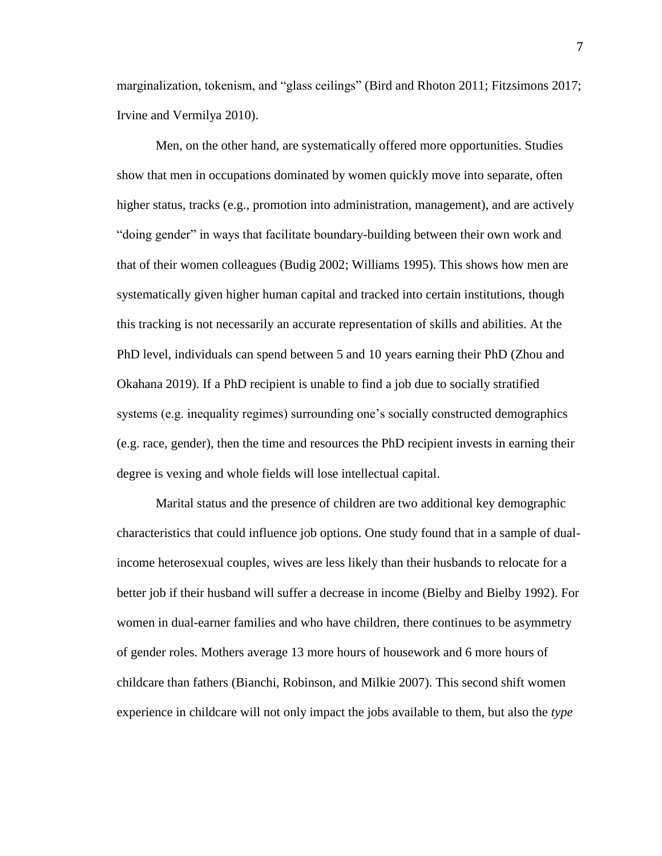marginalization, tokenism, and "glass ceilings" (Bird and Rhoton 2011; Fitzsimons 2017; Irvine and Vermilya 2010).

Men, on the other hand, are systematically offered more opportunities. Studies show that men in occupations dominated by women quickly move into separate, often higher status, tracks (e.g., promotion into administration, management), and are actively "doing gender" in ways that facilitate boundary-building between their own work and that of their women colleagues (Budig 2002; Williams 1995). This shows how men are systematically given higher human capital and tracked into certain institutions, though this tracking is not necessarily an accurate representation of skills and abilities. At the PhD level, individuals can spend between 5 and 10 years earning their PhD (Zhou and Okahana 2019). If a PhD recipient is unable to find a job due to socially stratified systems (e.g. inequality regimes) surrounding one's socially constructed demographics (e.g. race, gender), then the time and resources the PhD recipient invests in earning their degree is vexing and whole fields will lose intellectual capital.

Marital status and the presence of children are two additional key demographic characteristics that could influence job options. One study found that in a sample of dualincome heterosexual couples, wives are less likely than their husbands to relocate for a better job if their husband will suffer a decrease in income (Bielby and Bielby 1992). For women in dual-earner families and who have children, there continues to be asymmetry of gender roles. Mothers average 13 more hours of housework and 6 more hours of childcare than fathers (Bianchi, Robinson, and Milkie 2007). This second shift women experience in childcare will not only impact the jobs available to them, but also the *type*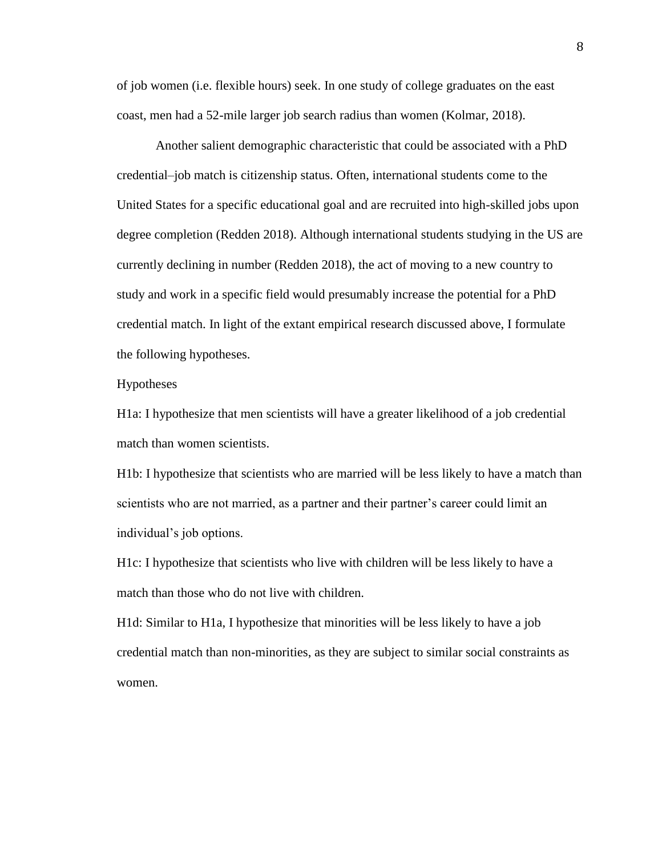of job women (i.e. flexible hours) seek. In one study of college graduates on the east coast, men had a 52-mile larger job search radius than women (Kolmar, 2018).

Another salient demographic characteristic that could be associated with a PhD credential–job match is citizenship status. Often, international students come to the United States for a specific educational goal and are recruited into high-skilled jobs upon degree completion (Redden 2018). Although international students studying in the US are currently declining in number (Redden 2018), the act of moving to a new country to study and work in a specific field would presumably increase the potential for a PhD credential match. In light of the extant empirical research discussed above, I formulate the following hypotheses.

#### Hypotheses

H1a: I hypothesize that men scientists will have a greater likelihood of a job credential match than women scientists.

H1b: I hypothesize that scientists who are married will be less likely to have a match than scientists who are not married, as a partner and their partner's career could limit an individual's job options.

H1c: I hypothesize that scientists who live with children will be less likely to have a match than those who do not live with children.

H1d: Similar to H1a, I hypothesize that minorities will be less likely to have a job credential match than non-minorities, as they are subject to similar social constraints as women.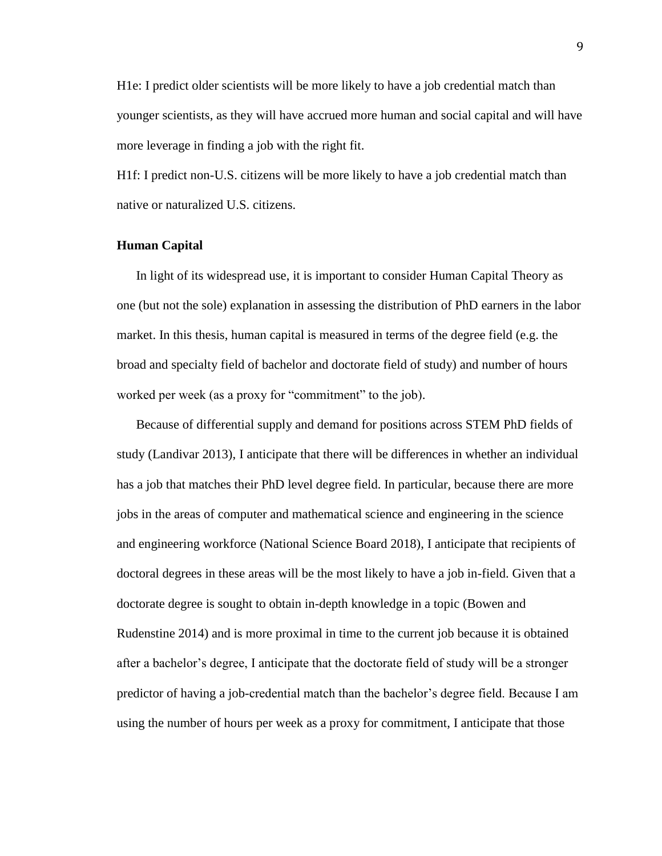H1e: I predict older scientists will be more likely to have a job credential match than younger scientists, as they will have accrued more human and social capital and will have more leverage in finding a job with the right fit.

H1f: I predict non-U.S. citizens will be more likely to have a job credential match than native or naturalized U.S. citizens.

#### **Human Capital**

In light of its widespread use, it is important to consider Human Capital Theory as one (but not the sole) explanation in assessing the distribution of PhD earners in the labor market. In this thesis, human capital is measured in terms of the degree field (e.g. the broad and specialty field of bachelor and doctorate field of study) and number of hours worked per week (as a proxy for "commitment" to the job).

Because of differential supply and demand for positions across STEM PhD fields of study (Landivar 2013), I anticipate that there will be differences in whether an individual has a job that matches their PhD level degree field. In particular, because there are more jobs in the areas of computer and mathematical science and engineering in the science and engineering workforce (National Science Board 2018), I anticipate that recipients of doctoral degrees in these areas will be the most likely to have a job in-field. Given that a doctorate degree is sought to obtain in-depth knowledge in a topic (Bowen and Rudenstine 2014) and is more proximal in time to the current job because it is obtained after a bachelor's degree, I anticipate that the doctorate field of study will be a stronger predictor of having a job-credential match than the bachelor's degree field. Because I am using the number of hours per week as a proxy for commitment, I anticipate that those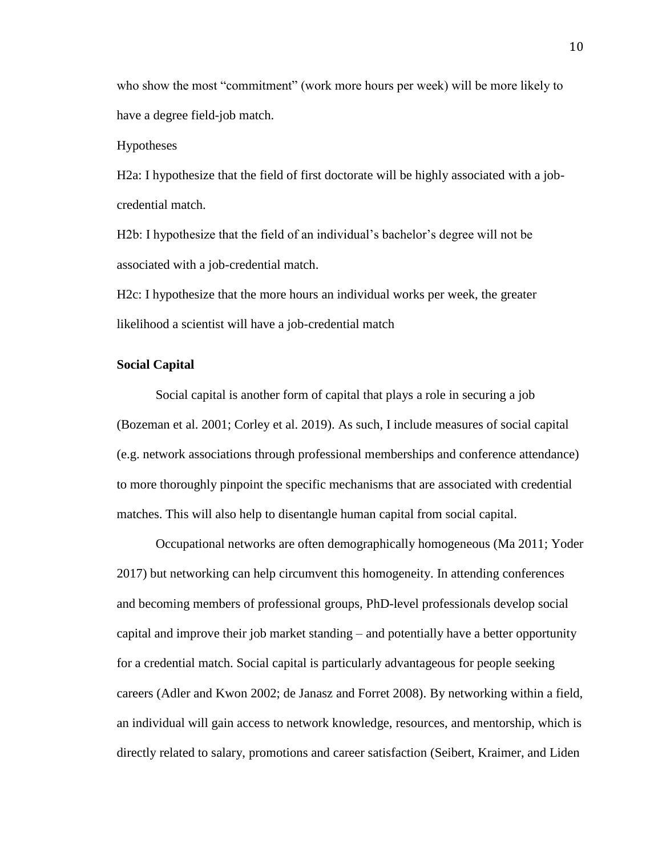who show the most "commitment" (work more hours per week) will be more likely to have a degree field-job match.

Hypotheses

H2a: I hypothesize that the field of first doctorate will be highly associated with a jobcredential match.

H2b: I hypothesize that the field of an individual's bachelor's degree will not be associated with a job-credential match.

H2c: I hypothesize that the more hours an individual works per week, the greater likelihood a scientist will have a job-credential match

#### **Social Capital**

Social capital is another form of capital that plays a role in securing a job (Bozeman et al. 2001; Corley et al. 2019). As such, I include measures of social capital (e.g. network associations through professional memberships and conference attendance) to more thoroughly pinpoint the specific mechanisms that are associated with credential matches. This will also help to disentangle human capital from social capital.

Occupational networks are often demographically homogeneous (Ma 2011; Yoder 2017) but networking can help circumvent this homogeneity. In attending conferences and becoming members of professional groups, PhD-level professionals develop social capital and improve their job market standing – and potentially have a better opportunity for a credential match. Social capital is particularly advantageous for people seeking careers (Adler and Kwon 2002; de Janasz and Forret 2008). By networking within a field, an individual will gain access to network knowledge, resources, and mentorship, which is directly related to salary, promotions and career satisfaction (Seibert, Kraimer, and Liden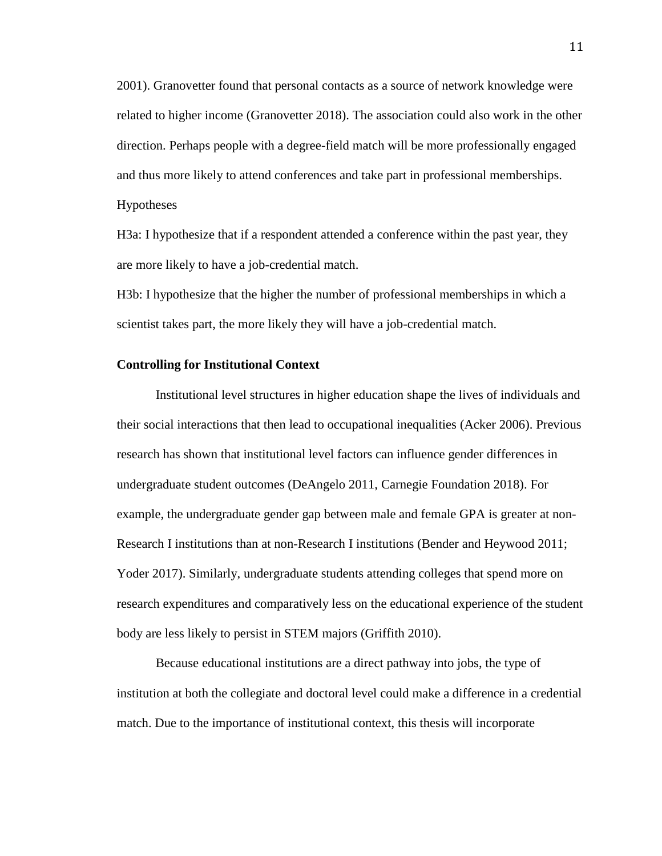2001). Granovetter found that personal contacts as a source of network knowledge were related to higher income (Granovetter 2018). The association could also work in the other direction. Perhaps people with a degree-field match will be more professionally engaged and thus more likely to attend conferences and take part in professional memberships.

Hypotheses

H3a: I hypothesize that if a respondent attended a conference within the past year, they are more likely to have a job-credential match.

H3b: I hypothesize that the higher the number of professional memberships in which a scientist takes part, the more likely they will have a job-credential match.

#### **Controlling for Institutional Context**

Institutional level structures in higher education shape the lives of individuals and their social interactions that then lead to occupational inequalities (Acker 2006). Previous research has shown that institutional level factors can influence gender differences in undergraduate student outcomes (DeAngelo 2011, Carnegie Foundation 2018). For example, the undergraduate gender gap between male and female GPA is greater at non-Research I institutions than at non-Research I institutions (Bender and Heywood 2011; Yoder 2017). Similarly, undergraduate students attending colleges that spend more on research expenditures and comparatively less on the educational experience of the student body are less likely to persist in STEM majors (Griffith 2010).

Because educational institutions are a direct pathway into jobs, the type of institution at both the collegiate and doctoral level could make a difference in a credential match. Due to the importance of institutional context, this thesis will incorporate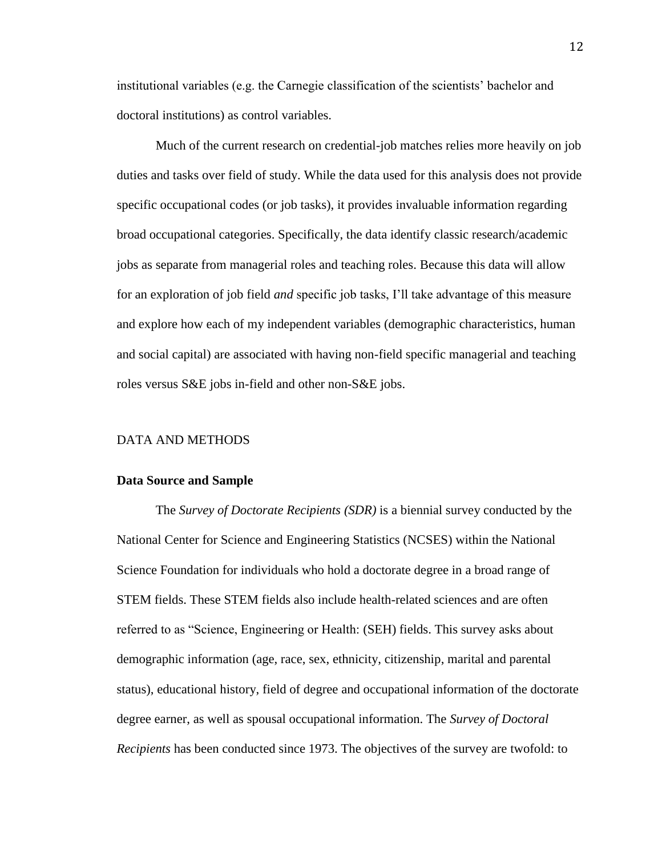institutional variables (e.g. the Carnegie classification of the scientists' bachelor and doctoral institutions) as control variables.

Much of the current research on credential-job matches relies more heavily on job duties and tasks over field of study. While the data used for this analysis does not provide specific occupational codes (or job tasks), it provides invaluable information regarding broad occupational categories. Specifically, the data identify classic research/academic jobs as separate from managerial roles and teaching roles. Because this data will allow for an exploration of job field *and* specific job tasks, I'll take advantage of this measure and explore how each of my independent variables (demographic characteristics, human and social capital) are associated with having non-field specific managerial and teaching roles versus S&E jobs in-field and other non-S&E jobs.

#### DATA AND METHODS

#### **Data Source and Sample**

The *Survey of Doctorate Recipients (SDR)* is a biennial survey conducted by the National Center for Science and Engineering Statistics (NCSES) within the National Science Foundation for individuals who hold a doctorate degree in a broad range of STEM fields. These STEM fields also include health-related sciences and are often referred to as "Science, Engineering or Health: (SEH) fields. This survey asks about demographic information (age, race, sex, ethnicity, citizenship, marital and parental status), educational history, field of degree and occupational information of the doctorate degree earner, as well as spousal occupational information. The *Survey of Doctoral Recipients* has been conducted since 1973. The objectives of the survey are twofold: to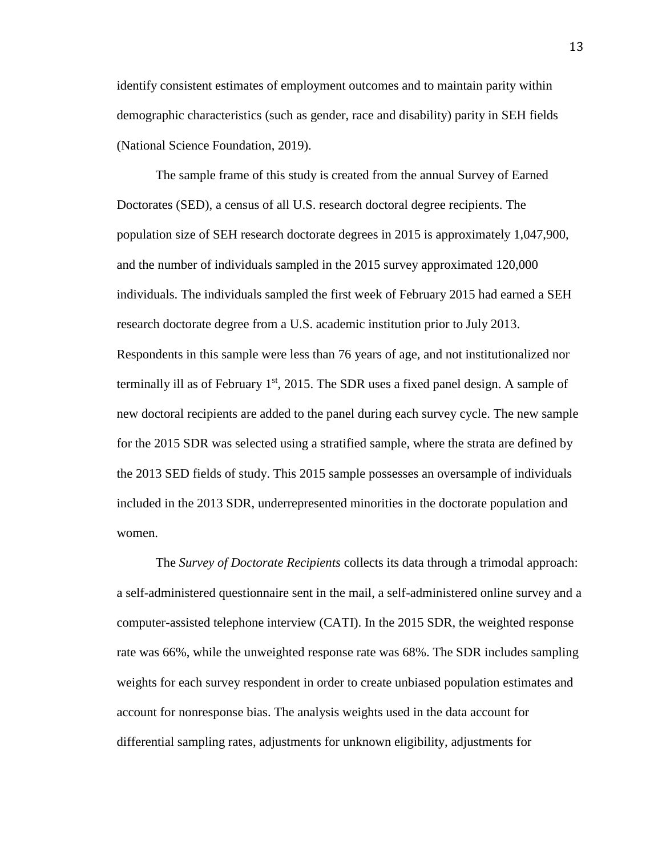identify consistent estimates of employment outcomes and to maintain parity within demographic characteristics (such as gender, race and disability) parity in SEH fields (National Science Foundation, 2019).

The sample frame of this study is created from the annual Survey of Earned Doctorates (SED), a census of all U.S. research doctoral degree recipients. The population size of SEH research doctorate degrees in 2015 is approximately 1,047,900, and the number of individuals sampled in the 2015 survey approximated 120,000 individuals. The individuals sampled the first week of February 2015 had earned a SEH research doctorate degree from a U.S. academic institution prior to July 2013. Respondents in this sample were less than 76 years of age, and not institutionalized nor terminally ill as of February  $1<sup>st</sup>$ , 2015. The SDR uses a fixed panel design. A sample of new doctoral recipients are added to the panel during each survey cycle. The new sample for the 2015 SDR was selected using a stratified sample, where the strata are defined by the 2013 SED fields of study. This 2015 sample possesses an oversample of individuals included in the 2013 SDR, underrepresented minorities in the doctorate population and women.

The *Survey of Doctorate Recipients* collects its data through a trimodal approach: a self-administered questionnaire sent in the mail, a self-administered online survey and a computer-assisted telephone interview (CATI). In the 2015 SDR, the weighted response rate was 66%, while the unweighted response rate was 68%. The SDR includes sampling weights for each survey respondent in order to create unbiased population estimates and account for nonresponse bias. The analysis weights used in the data account for differential sampling rates, adjustments for unknown eligibility, adjustments for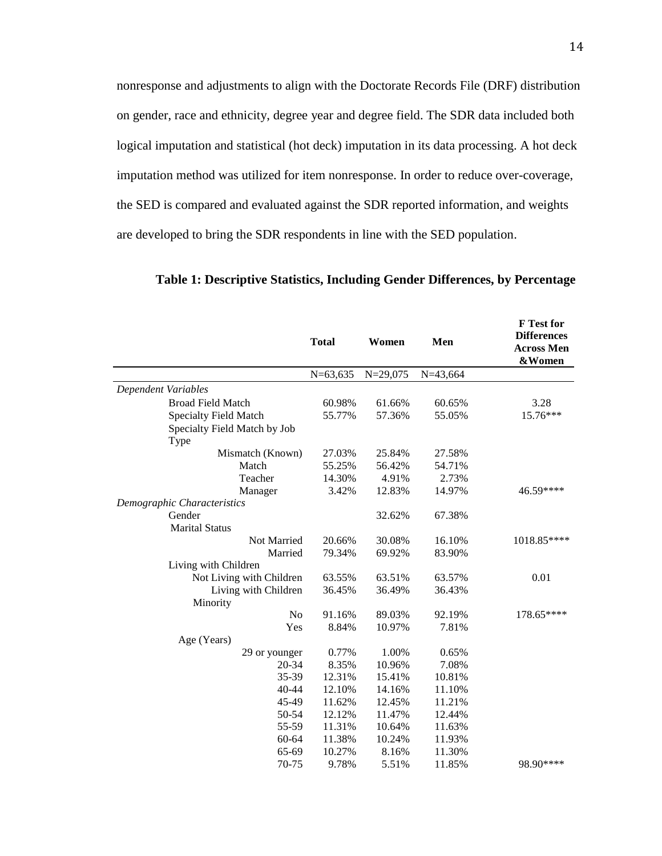nonresponse and adjustments to align with the Doctorate Records File (DRF) distribution on gender, race and ethnicity, degree year and degree field. The SDR data included both logical imputation and statistical (hot deck) imputation in its data processing. A hot deck imputation method was utilized for item nonresponse. In order to reduce over-coverage, the SED is compared and evaluated against the SDR reported information, and weights are developed to bring the SDR respondents in line with the SED population.

|                              | <b>Total</b> | Women        | Men        | F Test for<br><b>Differences</b><br><b>Across Men</b><br>&Women |
|------------------------------|--------------|--------------|------------|-----------------------------------------------------------------|
|                              | $N=63,635$   | $N = 29,075$ | $N=43,664$ |                                                                 |
| Dependent Variables          |              |              |            |                                                                 |
| <b>Broad Field Match</b>     | 60.98%       | 61.66%       | 60.65%     | 3.28                                                            |
| Specialty Field Match        | 55.77%       | 57.36%       | 55.05%     | 15.76***                                                        |
| Specialty Field Match by Job |              |              |            |                                                                 |
| Type                         |              |              |            |                                                                 |
| Mismatch (Known)             | 27.03%       | 25.84%       | 27.58%     |                                                                 |
| Match                        | 55.25%       | 56.42%       | 54.71%     |                                                                 |
| Teacher                      | 14.30%       | 4.91%        | 2.73%      |                                                                 |
| Manager                      | 3.42%        | 12.83%       | 14.97%     | 46.59****                                                       |
| Demographic Characteristics  |              |              |            |                                                                 |
| Gender                       |              | 32.62%       | 67.38%     |                                                                 |
| <b>Marital Status</b>        |              |              |            |                                                                 |
| Not Married                  | 20.66%       | 30.08%       | 16.10%     | 1018.85****                                                     |
| Married                      | 79.34%       | 69.92%       | 83.90%     |                                                                 |
| Living with Children         |              |              |            |                                                                 |
| Not Living with Children     | 63.55%       | 63.51%       | 63.57%     | 0.01                                                            |
| Living with Children         | 36.45%       | 36.49%       | 36.43%     |                                                                 |
| Minority                     |              |              |            |                                                                 |
| N <sub>o</sub>               | 91.16%       | 89.03%       | 92.19%     | 178.65****                                                      |
| Yes                          | 8.84%        | 10.97%       | 7.81%      |                                                                 |
| Age (Years)                  |              |              |            |                                                                 |
| 29 or younger                | 0.77%        | 1.00%        | 0.65%      |                                                                 |
| 20-34                        | 8.35%        | 10.96%       | 7.08%      |                                                                 |
| 35-39                        | 12.31%       | 15.41%       | 10.81%     |                                                                 |
| 40-44                        | 12.10%       | 14.16%       | 11.10%     |                                                                 |
| 45-49                        | 11.62%       | 12.45%       | 11.21%     |                                                                 |
| 50-54                        | 12.12%       | 11.47%       | 12.44%     |                                                                 |
| 55-59                        | 11.31%       | 10.64%       | 11.63%     |                                                                 |
| 60-64                        | 11.38%       | 10.24%       | 11.93%     |                                                                 |
| 65-69                        | 10.27%       | 8.16%        | 11.30%     |                                                                 |
| 70-75                        | 9.78%        | 5.51%        | 11.85%     | 98.90****                                                       |

**Table 1: Descriptive Statistics, Including Gender Differences, by Percentage**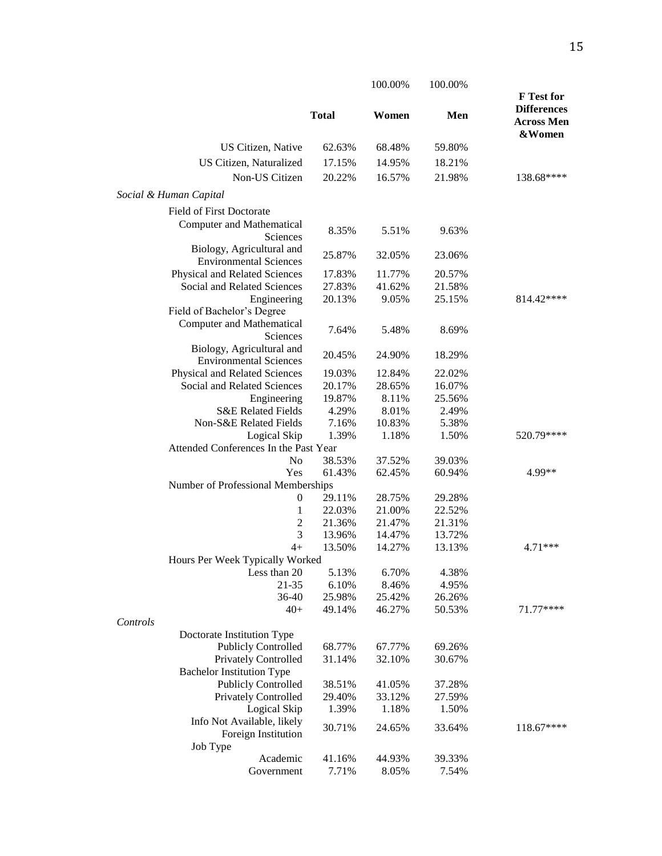|                                                            |              | 100.00% | 100.00% |                                                                 |
|------------------------------------------------------------|--------------|---------|---------|-----------------------------------------------------------------|
|                                                            | <b>Total</b> | Women   | Men     | F Test for<br><b>Differences</b><br><b>Across Men</b><br>&Women |
| US Citizen, Native                                         | 62.63%       | 68.48%  | 59.80%  |                                                                 |
| US Citizen, Naturalized                                    | 17.15%       | 14.95%  | 18.21%  |                                                                 |
| Non-US Citizen                                             |              |         |         |                                                                 |
|                                                            | 20.22%       | 16.57%  | 21.98%  | 138.68****                                                      |
| Social & Human Capital                                     |              |         |         |                                                                 |
| <b>Field of First Doctorate</b>                            |              |         |         |                                                                 |
| <b>Computer and Mathematical</b><br>Sciences               | 8.35%        | 5.51%   | 9.63%   |                                                                 |
| Biology, Agricultural and                                  | 25.87%       | 32.05%  | 23.06%  |                                                                 |
| <b>Environmental Sciences</b>                              |              |         |         |                                                                 |
| Physical and Related Sciences                              | 17.83%       | 11.77%  | 20.57%  |                                                                 |
| Social and Related Sciences                                | 27.83%       | 41.62%  | 21.58%  |                                                                 |
| Engineering<br>Field of Bachelor's Degree                  | 20.13%       | 9.05%   | 25.15%  | 814.42****                                                      |
| <b>Computer and Mathematical</b><br>Sciences               | 7.64%        | 5.48%   | 8.69%   |                                                                 |
| Biology, Agricultural and<br><b>Environmental Sciences</b> | 20.45%       | 24.90%  | 18.29%  |                                                                 |
| Physical and Related Sciences                              | 19.03%       | 12.84%  | 22.02%  |                                                                 |
| Social and Related Sciences                                | 20.17%       | 28.65%  | 16.07%  |                                                                 |
| Engineering                                                | 19.87%       | 8.11%   | 25.56%  |                                                                 |
| <b>S&amp;E Related Fields</b>                              | 4.29%        | 8.01%   | 2.49%   |                                                                 |
| Non-S&E Related Fields                                     | 7.16%        | 10.83%  | 5.38%   |                                                                 |
| Logical Skip                                               | 1.39%        | 1.18%   | 1.50%   | 520.79****                                                      |
| Attended Conferences In the Past Year                      |              |         |         |                                                                 |
| N <sub>o</sub>                                             | 38.53%       | 37.52%  | 39.03%  |                                                                 |
| Yes                                                        | 61.43%       | 62.45%  | 60.94%  | 4.99**                                                          |
| Number of Professional Memberships                         |              |         |         |                                                                 |
| $\boldsymbol{0}$                                           | 29.11%       | 28.75%  | 29.28%  |                                                                 |
| 1                                                          | 22.03%       | 21.00%  | 22.52%  |                                                                 |
| $\overline{2}$                                             | 21.36%       | 21.47%  | 21.31%  |                                                                 |
| 3                                                          | 13.96%       | 14.47%  | 13.72%  |                                                                 |
| $4+$                                                       | 13.50%       | 14.27%  | 13.13%  | 4.71***                                                         |
| Hours Per Week Typically Worked                            |              |         |         |                                                                 |
| Less than 20                                               | 5.13%        | 6.70%   | 4.38%   |                                                                 |
| 21-35                                                      | 6.10%        | 8.46%   | 4.95%   |                                                                 |
| 36-40                                                      | 25.98%       | 25.42%  | 26.26%  |                                                                 |
| $40+$<br>Controls                                          | 49.14%       | 46.27%  | 50.53%  | 71.77****                                                       |
| Doctorate Institution Type                                 |              |         |         |                                                                 |
| <b>Publicly Controlled</b>                                 | 68.77%       | 67.77%  | 69.26%  |                                                                 |
| <b>Privately Controlled</b>                                | 31.14%       | 32.10%  | 30.67%  |                                                                 |
| <b>Bachelor Institution Type</b>                           |              |         |         |                                                                 |
| <b>Publicly Controlled</b>                                 | 38.51%       | 41.05%  | 37.28%  |                                                                 |
| Privately Controlled                                       | 29.40%       | 33.12%  | 27.59%  |                                                                 |
| Logical Skip                                               | 1.39%        | 1.18%   | 1.50%   |                                                                 |
| Info Not Available, likely                                 |              |         |         |                                                                 |
| Foreign Institution                                        | 30.71%       | 24.65%  | 33.64%  | 118.67****                                                      |
| Job Type                                                   |              |         |         |                                                                 |
| Academic                                                   | 41.16%       | 44.93%  | 39.33%  |                                                                 |
| Government                                                 | 7.71%        | 8.05%   | 7.54%   |                                                                 |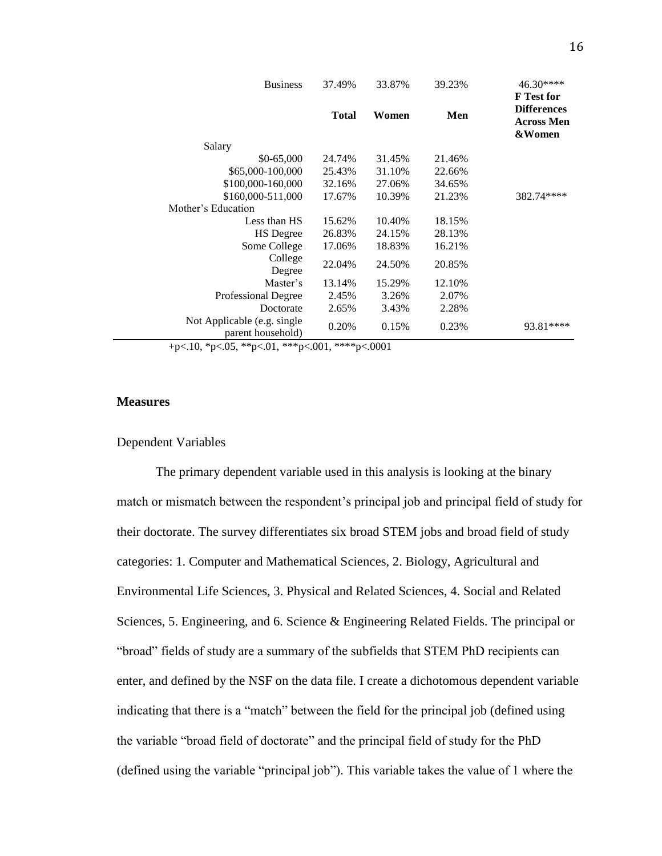| <b>Business</b>                                  | 37.49%       | 33.87% | 39.23% | $46.30***$<br><b>F</b> Test for                   |
|--------------------------------------------------|--------------|--------|--------|---------------------------------------------------|
|                                                  | <b>Total</b> | Women  | Men    | <b>Differences</b><br><b>Across Men</b><br>&Women |
| Salary                                           |              |        |        |                                                   |
| \$0-65,000                                       | 24.74%       | 31.45% | 21.46% |                                                   |
| \$65,000-100,000                                 | 25.43%       | 31.10% | 22.66% |                                                   |
| \$100,000-160,000                                | 32.16%       | 27.06% | 34.65% |                                                   |
| \$160,000-511,000                                | 17.67%       | 10.39% | 21.23% | 382.74****                                        |
| Mother's Education                               |              |        |        |                                                   |
| Less than HS                                     | 15.62%       | 10.40% | 18.15% |                                                   |
| <b>HS</b> Degree                                 | 26.83%       | 24.15% | 28.13% |                                                   |
| Some College                                     | 17.06%       | 18.83% | 16.21% |                                                   |
| College<br>Degree                                | 22.04%       | 24.50% | 20.85% |                                                   |
| Master's                                         | 13.14%       | 15.29% | 12.10% |                                                   |
| Professional Degree                              | 2.45%        | 3.26%  | 2.07%  |                                                   |
| Doctorate                                        | 2.65%        | 3.43%  | 2.28%  |                                                   |
| Not Applicable (e.g. single<br>parent household) | 0.20%        | 0.15%  | 0.23%  | 93.81****                                         |

+p<.10, \*p<.05, \*\*p<.01, \*\*\*p<.001, \*\*\*\*p<.0001

#### **Measures**

#### Dependent Variables

The primary dependent variable used in this analysis is looking at the binary match or mismatch between the respondent's principal job and principal field of study for their doctorate. The survey differentiates six broad STEM jobs and broad field of study categories: 1. Computer and Mathematical Sciences, 2. Biology, Agricultural and Environmental Life Sciences, 3. Physical and Related Sciences, 4. Social and Related Sciences, 5. Engineering, and 6. Science & Engineering Related Fields. The principal or "broad" fields of study are a summary of the subfields that STEM PhD recipients can enter, and defined by the NSF on the data file. I create a dichotomous dependent variable indicating that there is a "match" between the field for the principal job (defined using the variable "broad field of doctorate" and the principal field of study for the PhD (defined using the variable "principal job"). This variable takes the value of 1 where the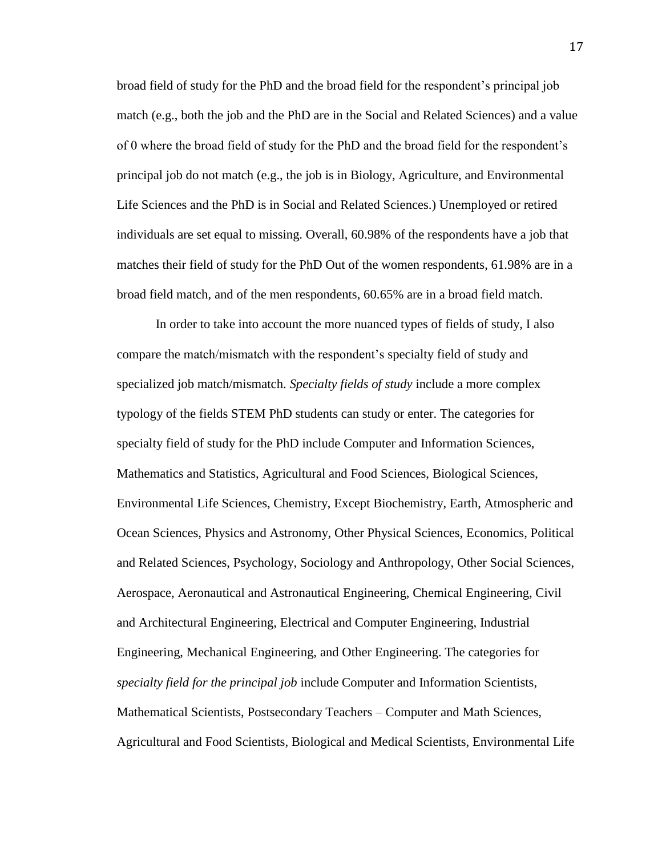broad field of study for the PhD and the broad field for the respondent's principal job match (e.g., both the job and the PhD are in the Social and Related Sciences) and a value of 0 where the broad field of study for the PhD and the broad field for the respondent's principal job do not match (e.g., the job is in Biology, Agriculture, and Environmental Life Sciences and the PhD is in Social and Related Sciences.) Unemployed or retired individuals are set equal to missing. Overall, 60.98% of the respondents have a job that matches their field of study for the PhD Out of the women respondents, 61.98% are in a broad field match, and of the men respondents, 60.65% are in a broad field match.

In order to take into account the more nuanced types of fields of study, I also compare the match/mismatch with the respondent's specialty field of study and specialized job match/mismatch. *Specialty fields of study* include a more complex typology of the fields STEM PhD students can study or enter. The categories for specialty field of study for the PhD include Computer and Information Sciences, Mathematics and Statistics, Agricultural and Food Sciences, Biological Sciences, Environmental Life Sciences, Chemistry, Except Biochemistry, Earth, Atmospheric and Ocean Sciences, Physics and Astronomy, Other Physical Sciences, Economics, Political and Related Sciences, Psychology, Sociology and Anthropology, Other Social Sciences, Aerospace, Aeronautical and Astronautical Engineering, Chemical Engineering, Civil and Architectural Engineering, Electrical and Computer Engineering, Industrial Engineering, Mechanical Engineering, and Other Engineering. The categories for *specialty field for the principal job* include Computer and Information Scientists, Mathematical Scientists, Postsecondary Teachers – Computer and Math Sciences, Agricultural and Food Scientists, Biological and Medical Scientists, Environmental Life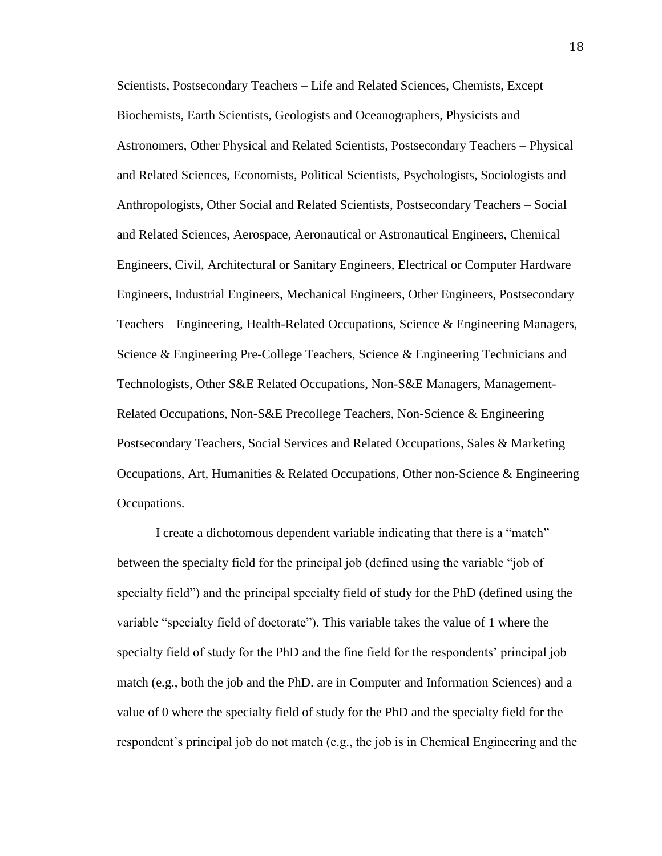Scientists, Postsecondary Teachers – Life and Related Sciences, Chemists, Except Biochemists, Earth Scientists, Geologists and Oceanographers, Physicists and Astronomers, Other Physical and Related Scientists, Postsecondary Teachers – Physical and Related Sciences, Economists, Political Scientists, Psychologists, Sociologists and Anthropologists, Other Social and Related Scientists, Postsecondary Teachers – Social and Related Sciences, Aerospace, Aeronautical or Astronautical Engineers, Chemical Engineers, Civil, Architectural or Sanitary Engineers, Electrical or Computer Hardware Engineers, Industrial Engineers, Mechanical Engineers, Other Engineers, Postsecondary Teachers – Engineering, Health-Related Occupations, Science & Engineering Managers, Science & Engineering Pre-College Teachers, Science & Engineering Technicians and Technologists, Other S&E Related Occupations, Non-S&E Managers, Management-Related Occupations, Non-S&E Precollege Teachers, Non-Science & Engineering Postsecondary Teachers, Social Services and Related Occupations, Sales & Marketing Occupations, Art, Humanities & Related Occupations, Other non-Science & Engineering Occupations.

I create a dichotomous dependent variable indicating that there is a "match" between the specialty field for the principal job (defined using the variable "job of specialty field") and the principal specialty field of study for the PhD (defined using the variable "specialty field of doctorate"). This variable takes the value of 1 where the specialty field of study for the PhD and the fine field for the respondents' principal job match (e.g., both the job and the PhD. are in Computer and Information Sciences) and a value of 0 where the specialty field of study for the PhD and the specialty field for the respondent's principal job do not match (e.g., the job is in Chemical Engineering and the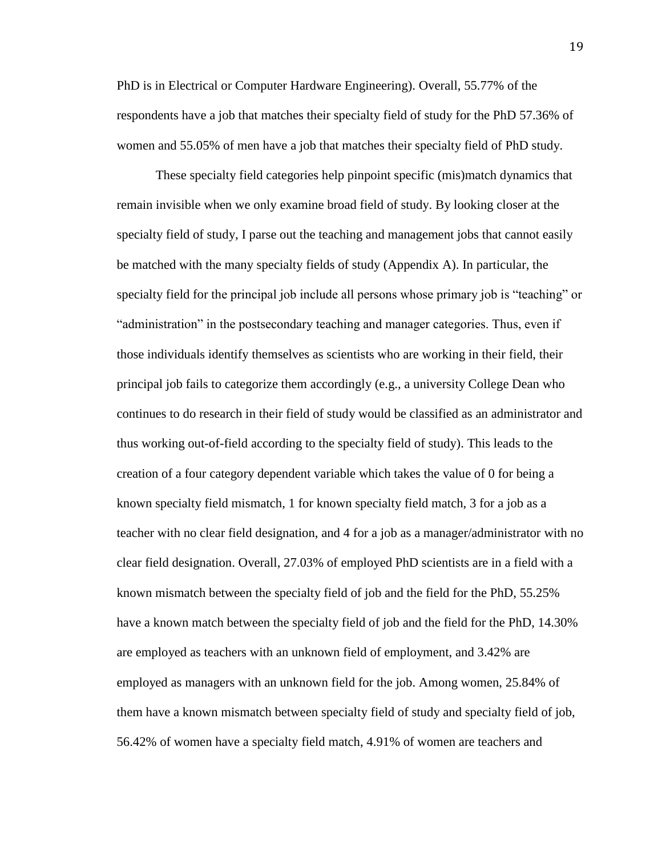PhD is in Electrical or Computer Hardware Engineering). Overall, 55.77% of the respondents have a job that matches their specialty field of study for the PhD 57.36% of women and 55.05% of men have a job that matches their specialty field of PhD study.

These specialty field categories help pinpoint specific (mis)match dynamics that remain invisible when we only examine broad field of study. By looking closer at the specialty field of study, I parse out the teaching and management jobs that cannot easily be matched with the many specialty fields of study (Appendix A). In particular, the specialty field for the principal job include all persons whose primary job is "teaching" or "administration" in the postsecondary teaching and manager categories. Thus, even if those individuals identify themselves as scientists who are working in their field, their principal job fails to categorize them accordingly (e.g., a university College Dean who continues to do research in their field of study would be classified as an administrator and thus working out-of-field according to the specialty field of study). This leads to the creation of a four category dependent variable which takes the value of 0 for being a known specialty field mismatch, 1 for known specialty field match, 3 for a job as a teacher with no clear field designation, and 4 for a job as a manager/administrator with no clear field designation. Overall, 27.03% of employed PhD scientists are in a field with a known mismatch between the specialty field of job and the field for the PhD, 55.25% have a known match between the specialty field of job and the field for the PhD, 14.30% are employed as teachers with an unknown field of employment, and 3.42% are employed as managers with an unknown field for the job. Among women, 25.84% of them have a known mismatch between specialty field of study and specialty field of job, 56.42% of women have a specialty field match, 4.91% of women are teachers and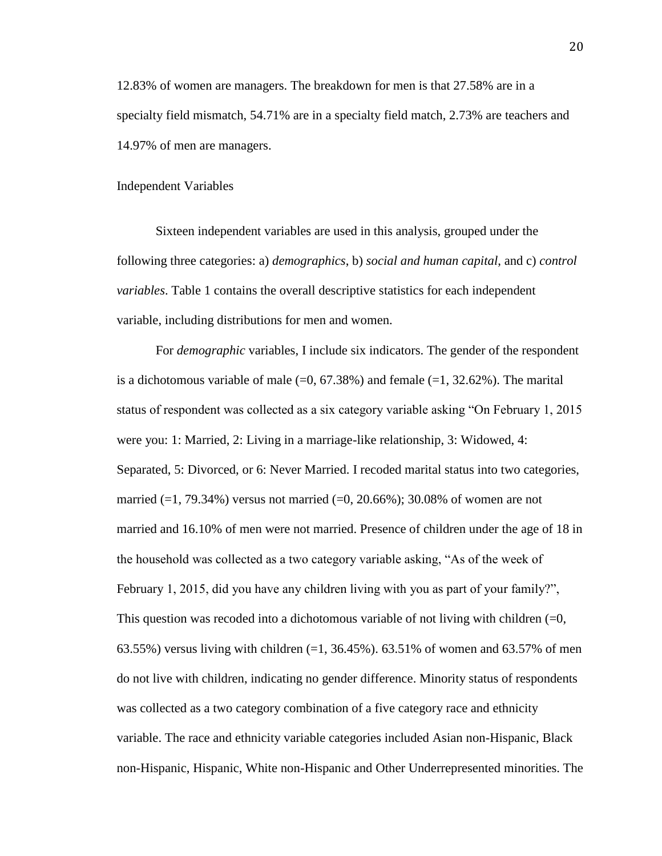12.83% of women are managers. The breakdown for men is that 27.58% are in a specialty field mismatch, 54.71% are in a specialty field match, 2.73% are teachers and 14.97% of men are managers.

#### Independent Variables

Sixteen independent variables are used in this analysis, grouped under the following three categories: a) *demographics*, b) *social and human capital*, and c) *control variables*. Table 1 contains the overall descriptive statistics for each independent variable, including distributions for men and women.

For *demographic* variables, I include six indicators. The gender of the respondent is a dichotomous variable of male  $(=0, 67.38%)$  and female  $(=1, 32.62%)$ . The marital status of respondent was collected as a six category variable asking "On February 1, 2015 were you: 1: Married, 2: Living in a marriage-like relationship, 3: Widowed, 4: Separated, 5: Divorced, or 6: Never Married. I recoded marital status into two categories, married  $(=1, 79.34\%)$  versus not married  $(=0, 20.66\%)$ ; 30.08% of women are not married and 16.10% of men were not married. Presence of children under the age of 18 in the household was collected as a two category variable asking, "As of the week of February 1, 2015, did you have any children living with you as part of your family?", This question was recoded into a dichotomous variable of not living with children  $(=0, 0)$ 63.55%) versus living with children  $(=1, 36.45\%)$ . 63.51% of women and 63.57% of men do not live with children, indicating no gender difference. Minority status of respondents was collected as a two category combination of a five category race and ethnicity variable. The race and ethnicity variable categories included Asian non-Hispanic, Black non-Hispanic, Hispanic, White non-Hispanic and Other Underrepresented minorities. The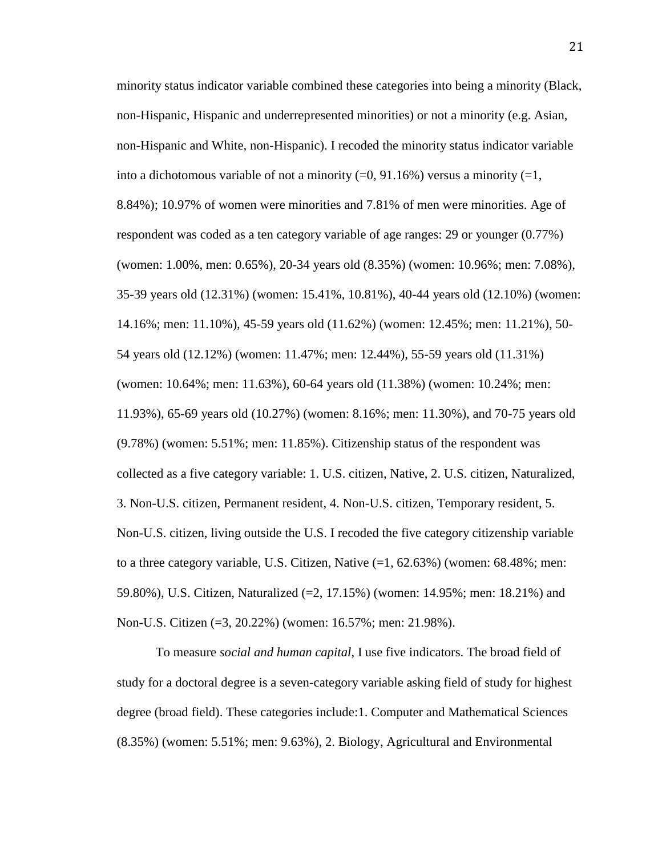minority status indicator variable combined these categories into being a minority (Black, non-Hispanic, Hispanic and underrepresented minorities) or not a minority (e.g. Asian, non-Hispanic and White, non-Hispanic). I recoded the minority status indicator variable into a dichotomous variable of not a minority  $(=0, 91.16%)$  versus a minority  $(=1, 1)$ 8.84%); 10.97% of women were minorities and 7.81% of men were minorities. Age of respondent was coded as a ten category variable of age ranges: 29 or younger (0.77%) (women: 1.00%, men: 0.65%), 20-34 years old (8.35%) (women: 10.96%; men: 7.08%), 35-39 years old (12.31%) (women: 15.41%, 10.81%), 40-44 years old (12.10%) (women: 14.16%; men: 11.10%), 45-59 years old (11.62%) (women: 12.45%; men: 11.21%), 50- 54 years old (12.12%) (women: 11.47%; men: 12.44%), 55-59 years old (11.31%) (women: 10.64%; men: 11.63%), 60-64 years old (11.38%) (women: 10.24%; men: 11.93%), 65-69 years old (10.27%) (women: 8.16%; men: 11.30%), and 70-75 years old (9.78%) (women: 5.51%; men: 11.85%). Citizenship status of the respondent was collected as a five category variable: 1. U.S. citizen, Native, 2. U.S. citizen, Naturalized, 3. Non-U.S. citizen, Permanent resident, 4. Non-U.S. citizen, Temporary resident, 5. Non-U.S. citizen, living outside the U.S. I recoded the five category citizenship variable to a three category variable, U.S. Citizen, Native (=1, 62.63%) (women: 68.48%; men: 59.80%), U.S. Citizen, Naturalized (=2, 17.15%) (women: 14.95%; men: 18.21%) and Non-U.S. Citizen (=3, 20.22%) (women: 16.57%; men: 21.98%).

To measure *social and human capital*, I use five indicators. The broad field of study for a doctoral degree is a seven-category variable asking field of study for highest degree (broad field). These categories include:1. Computer and Mathematical Sciences (8.35%) (women: 5.51%; men: 9.63%), 2. Biology, Agricultural and Environmental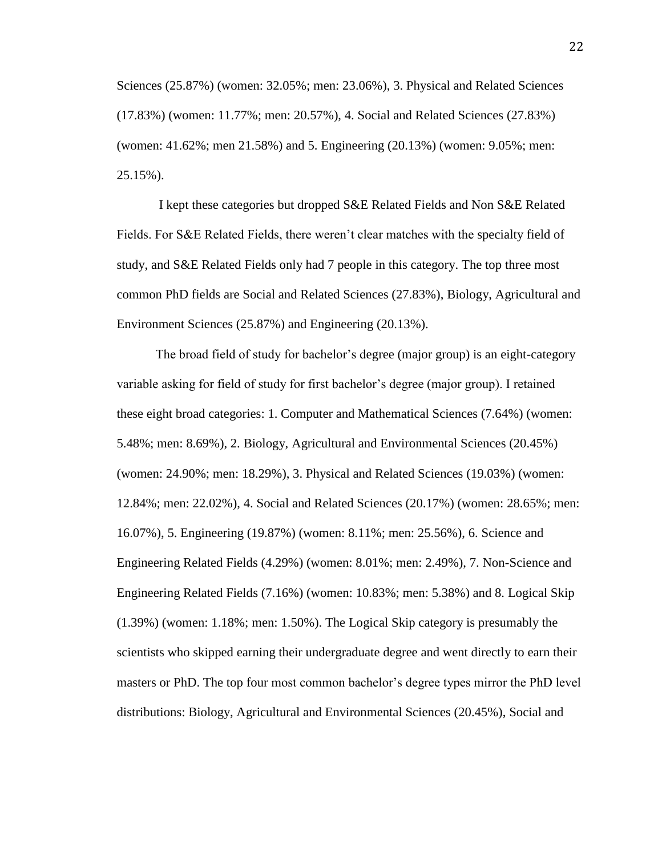Sciences (25.87%) (women: 32.05%; men: 23.06%), 3. Physical and Related Sciences (17.83%) (women: 11.77%; men: 20.57%), 4. Social and Related Sciences (27.83%) (women: 41.62%; men 21.58%) and 5. Engineering (20.13%) (women: 9.05%; men: 25.15%).

I kept these categories but dropped S&E Related Fields and Non S&E Related Fields. For S&E Related Fields, there weren't clear matches with the specialty field of study, and S&E Related Fields only had 7 people in this category. The top three most common PhD fields are Social and Related Sciences (27.83%), Biology, Agricultural and Environment Sciences (25.87%) and Engineering (20.13%).

The broad field of study for bachelor's degree (major group) is an eight-category variable asking for field of study for first bachelor's degree (major group). I retained these eight broad categories: 1. Computer and Mathematical Sciences (7.64%) (women: 5.48%; men: 8.69%), 2. Biology, Agricultural and Environmental Sciences (20.45%) (women: 24.90%; men: 18.29%), 3. Physical and Related Sciences (19.03%) (women: 12.84%; men: 22.02%), 4. Social and Related Sciences (20.17%) (women: 28.65%; men: 16.07%), 5. Engineering (19.87%) (women: 8.11%; men: 25.56%), 6. Science and Engineering Related Fields (4.29%) (women: 8.01%; men: 2.49%), 7. Non-Science and Engineering Related Fields (7.16%) (women: 10.83%; men: 5.38%) and 8. Logical Skip (1.39%) (women: 1.18%; men: 1.50%). The Logical Skip category is presumably the scientists who skipped earning their undergraduate degree and went directly to earn their masters or PhD. The top four most common bachelor's degree types mirror the PhD level distributions: Biology, Agricultural and Environmental Sciences (20.45%), Social and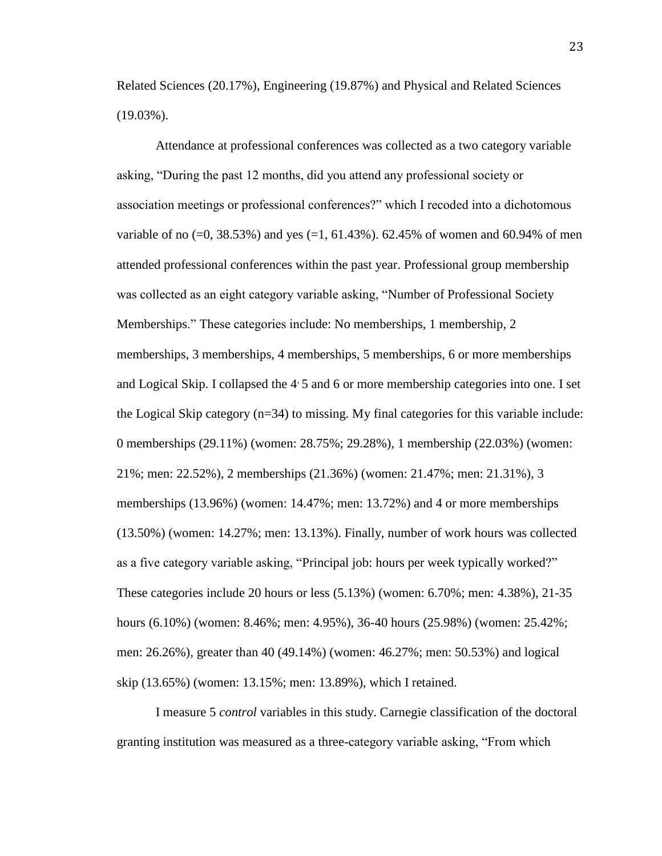Related Sciences (20.17%), Engineering (19.87%) and Physical and Related Sciences (19.03%).

Attendance at professional conferences was collected as a two category variable asking, "During the past 12 months, did you attend any professional society or association meetings or professional conferences?" which I recoded into a dichotomous variable of no  $(=0, 38.53\%)$  and yes  $(=1, 61.43\%)$ . 62.45% of women and 60.94% of men attended professional conferences within the past year. Professional group membership was collected as an eight category variable asking, "Number of Professional Society Memberships." These categories include: No memberships, 1 membership, 2 memberships, 3 memberships, 4 memberships, 5 memberships, 6 or more memberships and Logical Skip. I collapsed the  $4.5$  and 6 or more membership categories into one. I set the Logical Skip category (n=34) to missing. My final categories for this variable include: 0 memberships (29.11%) (women: 28.75%; 29.28%), 1 membership (22.03%) (women: 21%; men: 22.52%), 2 memberships (21.36%) (women: 21.47%; men: 21.31%), 3 memberships (13.96%) (women: 14.47%; men: 13.72%) and 4 or more memberships (13.50%) (women: 14.27%; men: 13.13%). Finally, number of work hours was collected as a five category variable asking, "Principal job: hours per week typically worked?" These categories include 20 hours or less (5.13%) (women: 6.70%; men: 4.38%), 21-35 hours (6.10%) (women: 8.46%; men: 4.95%), 36-40 hours (25.98%) (women: 25.42%; men: 26.26%), greater than 40 (49.14%) (women: 46.27%; men: 50.53%) and logical skip (13.65%) (women: 13.15%; men: 13.89%), which I retained.

I measure 5 *control* variables in this study. Carnegie classification of the doctoral granting institution was measured as a three-category variable asking, "From which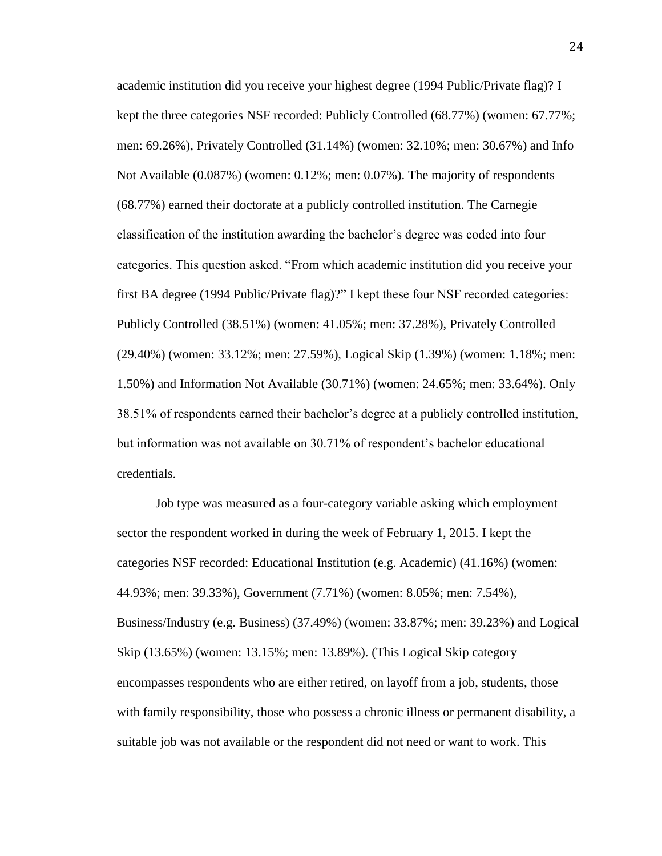academic institution did you receive your highest degree (1994 Public/Private flag)? I kept the three categories NSF recorded: Publicly Controlled (68.77%) (women: 67.77%; men: 69.26%), Privately Controlled (31.14%) (women: 32.10%; men: 30.67%) and Info Not Available (0.087%) (women: 0.12%; men: 0.07%). The majority of respondents (68.77%) earned their doctorate at a publicly controlled institution. The Carnegie classification of the institution awarding the bachelor's degree was coded into four categories. This question asked. "From which academic institution did you receive your first BA degree (1994 Public/Private flag)?" I kept these four NSF recorded categories: Publicly Controlled (38.51%) (women: 41.05%; men: 37.28%), Privately Controlled (29.40%) (women: 33.12%; men: 27.59%), Logical Skip (1.39%) (women: 1.18%; men: 1.50%) and Information Not Available (30.71%) (women: 24.65%; men: 33.64%). Only 38.51% of respondents earned their bachelor's degree at a publicly controlled institution, but information was not available on 30.71% of respondent's bachelor educational credentials.

Job type was measured as a four-category variable asking which employment sector the respondent worked in during the week of February 1, 2015. I kept the categories NSF recorded: Educational Institution (e.g. Academic) (41.16%) (women: 44.93%; men: 39.33%), Government (7.71%) (women: 8.05%; men: 7.54%), Business/Industry (e.g. Business) (37.49%) (women: 33.87%; men: 39.23%) and Logical Skip (13.65%) (women: 13.15%; men: 13.89%). (This Logical Skip category encompasses respondents who are either retired, on layoff from a job, students, those with family responsibility, those who possess a chronic illness or permanent disability, a suitable job was not available or the respondent did not need or want to work. This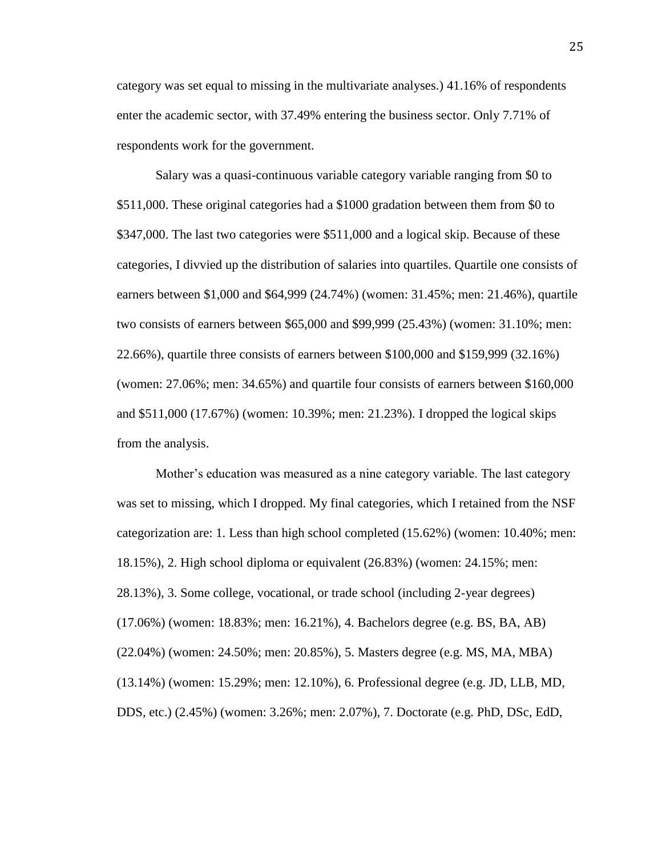category was set equal to missing in the multivariate analyses.) 41.16% of respondents enter the academic sector, with 37.49% entering the business sector. Only 7.71% of respondents work for the government.

Salary was a quasi-continuous variable category variable ranging from \$0 to \$511,000. These original categories had a \$1000 gradation between them from \$0 to \$347,000. The last two categories were \$511,000 and a logical skip. Because of these categories, I divvied up the distribution of salaries into quartiles. Quartile one consists of earners between \$1,000 and \$64,999 (24.74%) (women: 31.45%; men: 21.46%), quartile two consists of earners between \$65,000 and \$99,999 (25.43%) (women: 31.10%; men: 22.66%), quartile three consists of earners between \$100,000 and \$159,999 (32.16%) (women: 27.06%; men: 34.65%) and quartile four consists of earners between \$160,000 and \$511,000 (17.67%) (women: 10.39%; men: 21.23%). I dropped the logical skips from the analysis.

Mother's education was measured as a nine category variable. The last category was set to missing, which I dropped. My final categories, which I retained from the NSF categorization are: 1. Less than high school completed (15.62%) (women: 10.40%; men: 18.15%), 2. High school diploma or equivalent (26.83%) (women: 24.15%; men: 28.13%), 3. Some college, vocational, or trade school (including 2-year degrees) (17.06%) (women: 18.83%; men: 16.21%), 4. Bachelors degree (e.g. BS, BA, AB) (22.04%) (women: 24.50%; men: 20.85%), 5. Masters degree (e.g. MS, MA, MBA) (13.14%) (women: 15.29%; men: 12.10%), 6. Professional degree (e.g. JD, LLB, MD, DDS, etc.) (2.45%) (women: 3.26%; men: 2.07%), 7. Doctorate (e.g. PhD, DSc, EdD,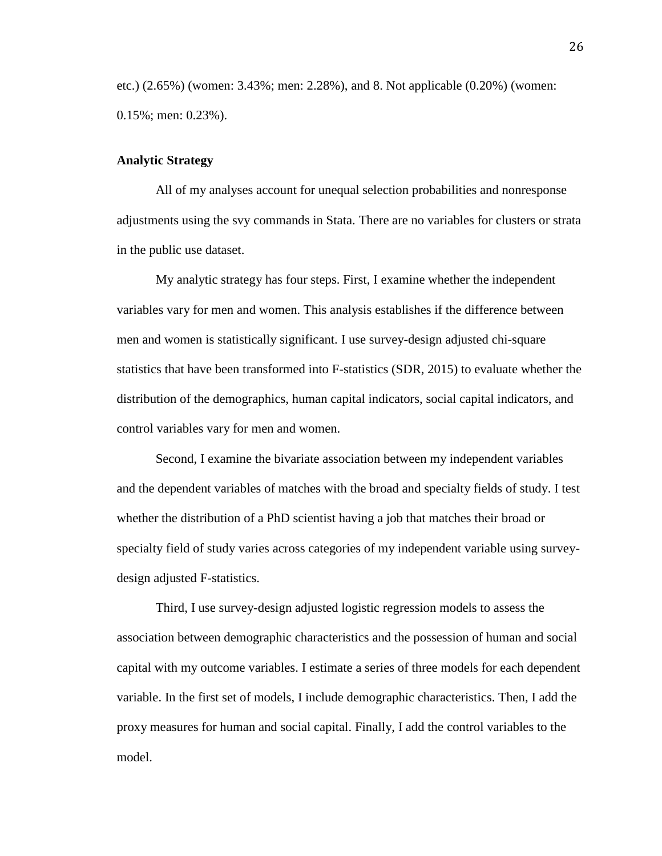etc.) (2.65%) (women: 3.43%; men: 2.28%), and 8. Not applicable (0.20%) (women: 0.15%; men: 0.23%).

#### **Analytic Strategy**

All of my analyses account for unequal selection probabilities and nonresponse adjustments using the svy commands in Stata. There are no variables for clusters or strata in the public use dataset.

My analytic strategy has four steps. First, I examine whether the independent variables vary for men and women. This analysis establishes if the difference between men and women is statistically significant. I use survey-design adjusted chi-square statistics that have been transformed into F-statistics (SDR, 2015) to evaluate whether the distribution of the demographics, human capital indicators, social capital indicators, and control variables vary for men and women.

Second, I examine the bivariate association between my independent variables and the dependent variables of matches with the broad and specialty fields of study. I test whether the distribution of a PhD scientist having a job that matches their broad or specialty field of study varies across categories of my independent variable using surveydesign adjusted F-statistics.

Third, I use survey-design adjusted logistic regression models to assess the association between demographic characteristics and the possession of human and social capital with my outcome variables. I estimate a series of three models for each dependent variable. In the first set of models, I include demographic characteristics. Then, I add the proxy measures for human and social capital. Finally, I add the control variables to the model.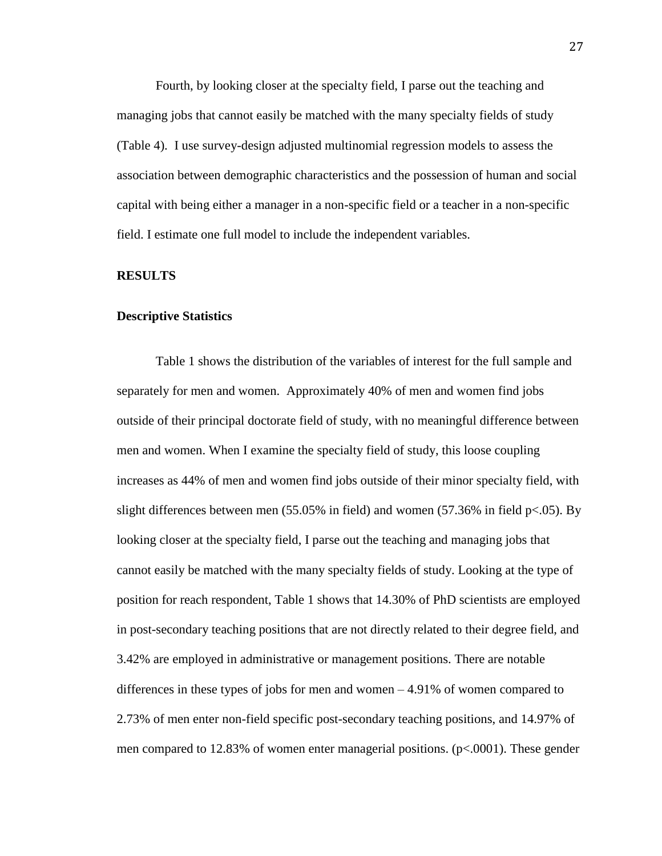Fourth, by looking closer at the specialty field, I parse out the teaching and managing jobs that cannot easily be matched with the many specialty fields of study (Table 4). I use survey-design adjusted multinomial regression models to assess the association between demographic characteristics and the possession of human and social capital with being either a manager in a non-specific field or a teacher in a non-specific field. I estimate one full model to include the independent variables.

#### **RESULTS**

#### **Descriptive Statistics**

Table 1 shows the distribution of the variables of interest for the full sample and separately for men and women. Approximately 40% of men and women find jobs outside of their principal doctorate field of study, with no meaningful difference between men and women. When I examine the specialty field of study, this loose coupling increases as 44% of men and women find jobs outside of their minor specialty field, with slight differences between men  $(55.05\%$  in field) and women  $(57.36\%$  in field p<.05). By looking closer at the specialty field, I parse out the teaching and managing jobs that cannot easily be matched with the many specialty fields of study. Looking at the type of position for reach respondent, Table 1 shows that 14.30% of PhD scientists are employed in post-secondary teaching positions that are not directly related to their degree field, and 3.42% are employed in administrative or management positions. There are notable differences in these types of jobs for men and women – 4.91% of women compared to 2.73% of men enter non-field specific post-secondary teaching positions, and 14.97% of men compared to 12.83% of women enter managerial positions. (p<.0001). These gender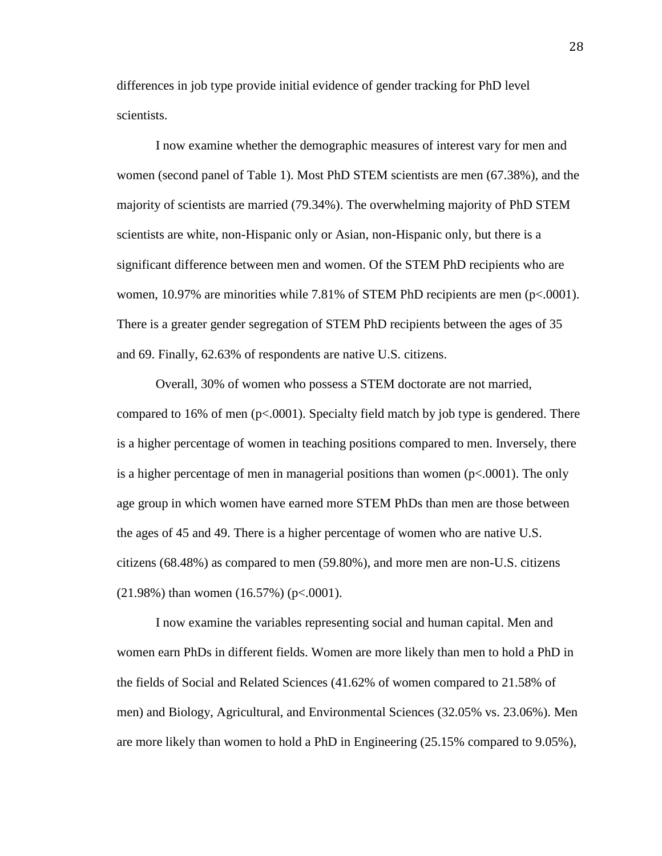differences in job type provide initial evidence of gender tracking for PhD level scientists.

I now examine whether the demographic measures of interest vary for men and women (second panel of Table 1). Most PhD STEM scientists are men (67.38%), and the majority of scientists are married (79.34%). The overwhelming majority of PhD STEM scientists are white, non-Hispanic only or Asian, non-Hispanic only, but there is a significant difference between men and women. Of the STEM PhD recipients who are women, 10.97% are minorities while 7.81% of STEM PhD recipients are men (p<.0001). There is a greater gender segregation of STEM PhD recipients between the ages of 35 and 69. Finally, 62.63% of respondents are native U.S. citizens.

Overall, 30% of women who possess a STEM doctorate are not married, compared to 16% of men (p<.0001). Specialty field match by job type is gendered. There is a higher percentage of women in teaching positions compared to men. Inversely, there is a higher percentage of men in managerial positions than women (p<.0001). The only age group in which women have earned more STEM PhDs than men are those between the ages of 45 and 49. There is a higher percentage of women who are native U.S. citizens (68.48%) as compared to men (59.80%), and more men are non-U.S. citizens  $(21.98\%)$  than women  $(16.57\%)$  (p<.0001).

I now examine the variables representing social and human capital. Men and women earn PhDs in different fields. Women are more likely than men to hold a PhD in the fields of Social and Related Sciences (41.62% of women compared to 21.58% of men) and Biology, Agricultural, and Environmental Sciences (32.05% vs. 23.06%). Men are more likely than women to hold a PhD in Engineering (25.15% compared to 9.05%),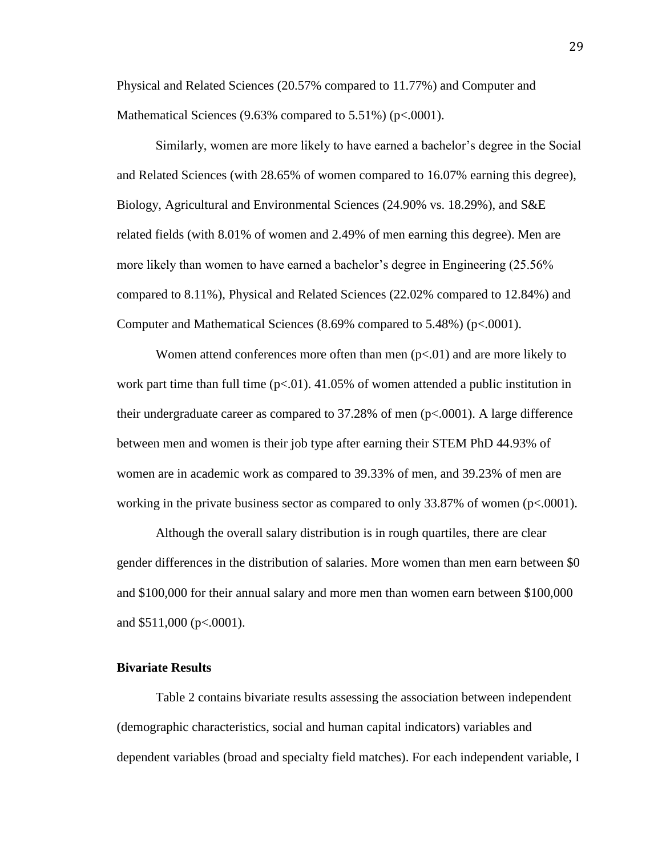Physical and Related Sciences (20.57% compared to 11.77%) and Computer and Mathematical Sciences (9.63% compared to 5.51%) (p<.0001).

Similarly, women are more likely to have earned a bachelor's degree in the Social and Related Sciences (with 28.65% of women compared to 16.07% earning this degree), Biology, Agricultural and Environmental Sciences (24.90% vs. 18.29%), and S&E related fields (with 8.01% of women and 2.49% of men earning this degree). Men are more likely than women to have earned a bachelor's degree in Engineering (25.56% compared to 8.11%), Physical and Related Sciences (22.02% compared to 12.84%) and Computer and Mathematical Sciences (8.69% compared to 5.48%) (p<.0001).

Women attend conferences more often than men  $(p<0.01)$  and are more likely to work part time than full time  $(p<0.01)$ . 41.05% of women attended a public institution in their undergraduate career as compared to 37.28% of men (p<.0001). A large difference between men and women is their job type after earning their STEM PhD 44.93% of women are in academic work as compared to 39.33% of men, and 39.23% of men are working in the private business sector as compared to only 33.87% of women (p<.0001).

Although the overall salary distribution is in rough quartiles, there are clear gender differences in the distribution of salaries. More women than men earn between \$0 and \$100,000 for their annual salary and more men than women earn between \$100,000 and  $$511,000$  (p<.0001).

#### **Bivariate Results**

Table 2 contains bivariate results assessing the association between independent (demographic characteristics, social and human capital indicators) variables and dependent variables (broad and specialty field matches). For each independent variable, I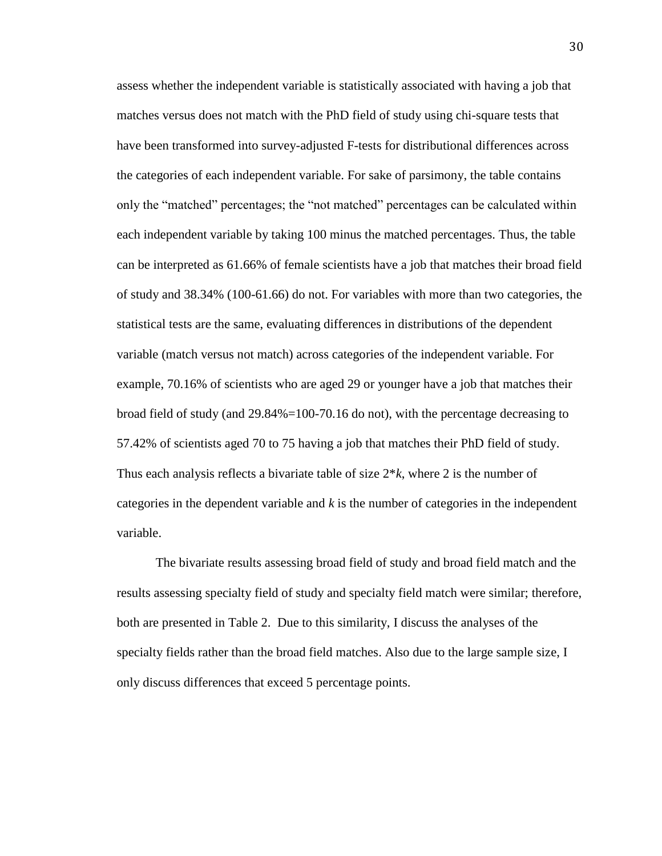assess whether the independent variable is statistically associated with having a job that matches versus does not match with the PhD field of study using chi-square tests that have been transformed into survey-adjusted F-tests for distributional differences across the categories of each independent variable. For sake of parsimony, the table contains only the "matched" percentages; the "not matched" percentages can be calculated within each independent variable by taking 100 minus the matched percentages. Thus, the table can be interpreted as 61.66% of female scientists have a job that matches their broad field of study and 38.34% (100-61.66) do not. For variables with more than two categories, the statistical tests are the same, evaluating differences in distributions of the dependent variable (match versus not match) across categories of the independent variable. For example, 70.16% of scientists who are aged 29 or younger have a job that matches their broad field of study (and 29.84%=100-70.16 do not), with the percentage decreasing to 57.42% of scientists aged 70 to 75 having a job that matches their PhD field of study. Thus each analysis reflects a bivariate table of size 2\**k*, where 2 is the number of categories in the dependent variable and *k* is the number of categories in the independent variable.

The bivariate results assessing broad field of study and broad field match and the results assessing specialty field of study and specialty field match were similar; therefore, both are presented in Table 2. Due to this similarity, I discuss the analyses of the specialty fields rather than the broad field matches. Also due to the large sample size, I only discuss differences that exceed 5 percentage points.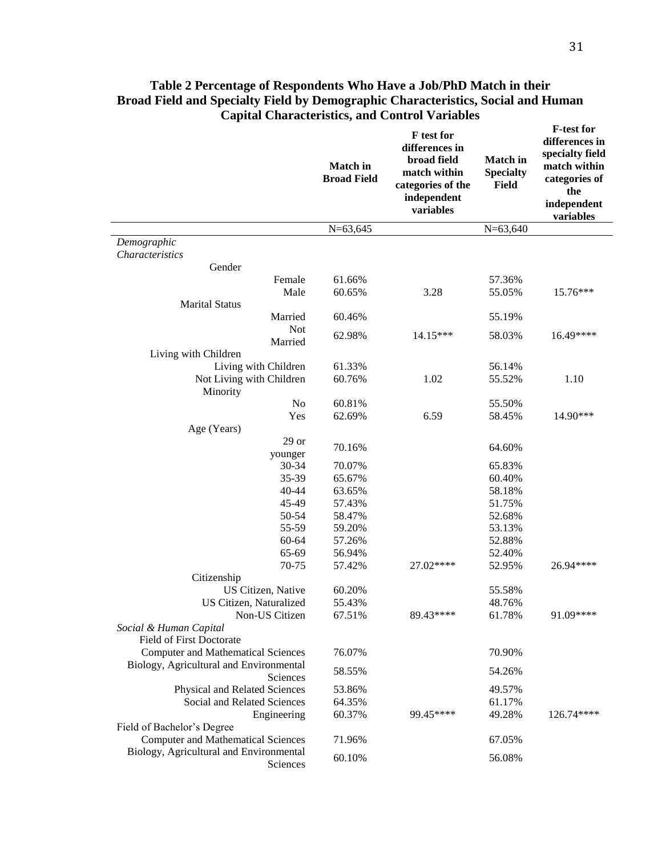|                                                     | <b>Match</b> in<br><b>Broad Field</b> | F test for<br>differences in<br>broad field<br>match within<br>categories of the<br>independent<br>variables | <b>Match</b> in<br><b>Specialty</b><br><b>Field</b> | <b>F-test for</b><br>differences in<br>specialty field<br>match within<br>categories of<br>the<br>independent<br>variables |
|-----------------------------------------------------|---------------------------------------|--------------------------------------------------------------------------------------------------------------|-----------------------------------------------------|----------------------------------------------------------------------------------------------------------------------------|
|                                                     | $N=63,645$                            |                                                                                                              | $N=63,640$                                          |                                                                                                                            |
| Demographic                                         |                                       |                                                                                                              |                                                     |                                                                                                                            |
| <b>Characteristics</b>                              |                                       |                                                                                                              |                                                     |                                                                                                                            |
| Gender                                              |                                       |                                                                                                              |                                                     |                                                                                                                            |
| Female                                              | 61.66%                                |                                                                                                              | 57.36%                                              |                                                                                                                            |
| Male                                                | 60.65%                                | 3.28                                                                                                         | 55.05%                                              | 15.76***                                                                                                                   |
| <b>Marital Status</b>                               |                                       |                                                                                                              |                                                     |                                                                                                                            |
| Married                                             | 60.46%                                |                                                                                                              | 55.19%                                              |                                                                                                                            |
| <b>Not</b>                                          | 62.98%                                | 14.15***                                                                                                     | 58.03%                                              | 16.49****                                                                                                                  |
| Married                                             |                                       |                                                                                                              |                                                     |                                                                                                                            |
| Living with Children                                |                                       |                                                                                                              |                                                     |                                                                                                                            |
| Living with Children                                | 61.33%                                |                                                                                                              | 56.14%                                              |                                                                                                                            |
| Not Living with Children                            | 60.76%                                | 1.02                                                                                                         | 55.52%                                              | 1.10                                                                                                                       |
| Minority                                            | 60.81%                                |                                                                                                              |                                                     |                                                                                                                            |
| N <sub>o</sub>                                      |                                       |                                                                                                              | 55.50%                                              | 14.90***                                                                                                                   |
| Yes                                                 | 62.69%                                | 6.59                                                                                                         | 58.45%                                              |                                                                                                                            |
| Age (Years)<br>$29$ or                              |                                       |                                                                                                              |                                                     |                                                                                                                            |
|                                                     | 70.16%                                |                                                                                                              | 64.60%                                              |                                                                                                                            |
| younger                                             |                                       |                                                                                                              |                                                     |                                                                                                                            |
| 30-34<br>35-39                                      | 70.07%<br>65.67%                      |                                                                                                              | 65.83%<br>60.40%                                    |                                                                                                                            |
| 40-44                                               | 63.65%                                |                                                                                                              | 58.18%                                              |                                                                                                                            |
| 45-49                                               | 57.43%                                |                                                                                                              | 51.75%                                              |                                                                                                                            |
| 50-54                                               | 58.47%                                |                                                                                                              | 52.68%                                              |                                                                                                                            |
| 55-59                                               | 59.20%                                |                                                                                                              | 53.13%                                              |                                                                                                                            |
| 60-64                                               | 57.26%                                |                                                                                                              | 52.88%                                              |                                                                                                                            |
| 65-69                                               | 56.94%                                |                                                                                                              | 52.40%                                              |                                                                                                                            |
| 70-75                                               | 57.42%                                | 27.02****                                                                                                    | 52.95%                                              | 26.94****                                                                                                                  |
| Citizenship                                         |                                       |                                                                                                              |                                                     |                                                                                                                            |
| US Citizen, Native                                  | 60.20%                                |                                                                                                              | 55.58%                                              |                                                                                                                            |
| <b>US Citizen, Naturalized</b>                      | 55.43%                                |                                                                                                              | 48.76%                                              |                                                                                                                            |
| Non-US Citizen                                      | 67.51%                                | 89.43****                                                                                                    | 61.78%                                              | 91.09****                                                                                                                  |
| Social & Human Capital                              |                                       |                                                                                                              |                                                     |                                                                                                                            |
| Field of First Doctorate                            |                                       |                                                                                                              |                                                     |                                                                                                                            |
| <b>Computer and Mathematical Sciences</b>           | 76.07%                                |                                                                                                              | 70.90%                                              |                                                                                                                            |
| Biology, Agricultural and Environmental             |                                       |                                                                                                              |                                                     |                                                                                                                            |
| Sciences                                            | 58.55%                                |                                                                                                              | 54.26%                                              |                                                                                                                            |
| Physical and Related Sciences                       | 53.86%                                |                                                                                                              | 49.57%                                              |                                                                                                                            |
| Social and Related Sciences                         | 64.35%                                |                                                                                                              | 61.17%                                              |                                                                                                                            |
| Engineering                                         | 60.37%                                | 99.45****                                                                                                    | 49.28%                                              | 126.74****                                                                                                                 |
| Field of Bachelor's Degree                          |                                       |                                                                                                              |                                                     |                                                                                                                            |
| <b>Computer and Mathematical Sciences</b>           | 71.96%                                |                                                                                                              | 67.05%                                              |                                                                                                                            |
| Biology, Agricultural and Environmental<br>Sciences | 60.10%                                |                                                                                                              | 56.08%                                              |                                                                                                                            |

# **Table 2 Percentage of Respondents Who Have a Job/PhD Match in their Broad Field and Specialty Field by Demographic Characteristics, Social and Human Capital Characteristics, and Control Variables**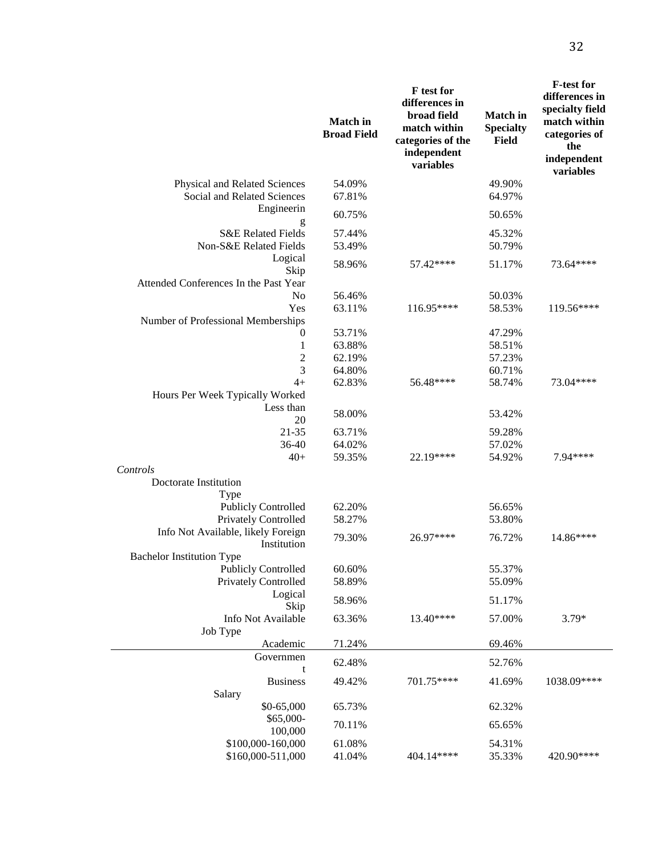|                                                   | <b>Match</b> in<br><b>Broad Field</b> | <b>F</b> test for<br>differences in<br>broad field<br>match within<br>categories of the<br>independent<br>variables | <b>Match</b> in<br><b>Specialty</b><br>Field | <b>F-test for</b><br>differences in<br>specialty field<br>match within<br>categories of<br>the<br>independent<br>variables |
|---------------------------------------------------|---------------------------------------|---------------------------------------------------------------------------------------------------------------------|----------------------------------------------|----------------------------------------------------------------------------------------------------------------------------|
| Physical and Related Sciences                     | 54.09%                                |                                                                                                                     | 49.90%                                       |                                                                                                                            |
| Social and Related Sciences<br>Engineerin         | 67.81%                                |                                                                                                                     | 64.97%                                       |                                                                                                                            |
| g                                                 | 60.75%                                |                                                                                                                     | 50.65%                                       |                                                                                                                            |
| <b>S&amp;E Related Fields</b>                     | 57.44%                                |                                                                                                                     | 45.32%                                       |                                                                                                                            |
| Non-S&E Related Fields                            | 53.49%                                |                                                                                                                     | 50.79%                                       |                                                                                                                            |
| Logical<br>Skip                                   | 58.96%                                | 57.42****                                                                                                           | 51.17%                                       | 73.64****                                                                                                                  |
| Attended Conferences In the Past Year             |                                       |                                                                                                                     |                                              |                                                                                                                            |
| N <sub>o</sub><br>Yes                             | 56.46%                                | 116.95****                                                                                                          | 50.03%<br>58.53%                             |                                                                                                                            |
| Number of Professional Memberships                | 63.11%                                |                                                                                                                     |                                              | 119.56****                                                                                                                 |
| 0                                                 | 53.71%                                |                                                                                                                     | 47.29%                                       |                                                                                                                            |
| $\,1\,$                                           | 63.88%                                |                                                                                                                     | 58.51%                                       |                                                                                                                            |
| $\overline{\mathbf{c}}$                           | 62.19%                                |                                                                                                                     | 57.23%                                       |                                                                                                                            |
| $\overline{3}$                                    | 64.80%                                |                                                                                                                     | 60.71%                                       |                                                                                                                            |
| $4+$                                              | 62.83%                                | 56.48****                                                                                                           | 58.74%                                       | 73.04****                                                                                                                  |
| Hours Per Week Typically Worked                   |                                       |                                                                                                                     |                                              |                                                                                                                            |
| Less than<br>20                                   | 58.00%                                |                                                                                                                     | 53.42%                                       |                                                                                                                            |
| 21-35                                             | 63.71%                                |                                                                                                                     | 59.28%                                       |                                                                                                                            |
| 36-40                                             | 64.02%                                |                                                                                                                     | 57.02%                                       |                                                                                                                            |
| $40+$                                             | 59.35%                                | 22.19****                                                                                                           | 54.92%                                       | 7.94 ****                                                                                                                  |
| Controls                                          |                                       |                                                                                                                     |                                              |                                                                                                                            |
| Doctorate Institution                             |                                       |                                                                                                                     |                                              |                                                                                                                            |
| Type                                              |                                       |                                                                                                                     |                                              |                                                                                                                            |
| <b>Publicly Controlled</b>                        | 62.20%                                |                                                                                                                     | 56.65%                                       |                                                                                                                            |
| <b>Privately Controlled</b>                       | 58.27%                                |                                                                                                                     | 53.80%                                       |                                                                                                                            |
| Info Not Available, likely Foreign<br>Institution | 79.30%                                | 26.97****                                                                                                           | 76.72%                                       | 14.86****                                                                                                                  |
| <b>Bachelor Institution Type</b>                  |                                       |                                                                                                                     |                                              |                                                                                                                            |
| <b>Publicly Controlled</b>                        | 60.60%                                |                                                                                                                     | 55.37%                                       |                                                                                                                            |
| <b>Privately Controlled</b>                       | 58.89%                                |                                                                                                                     | 55.09%                                       |                                                                                                                            |
| Logical                                           | 58.96%                                |                                                                                                                     | 51.17%                                       |                                                                                                                            |
| Skip<br>Info Not Available                        | 63.36%                                | 13.40****                                                                                                           | 57.00%                                       | $3.79*$                                                                                                                    |
| Job Type                                          |                                       |                                                                                                                     |                                              |                                                                                                                            |
| Academic                                          | 71.24%                                |                                                                                                                     | 69.46%                                       |                                                                                                                            |
| Governmen                                         |                                       |                                                                                                                     |                                              |                                                                                                                            |
| t                                                 | 62.48%                                |                                                                                                                     | 52.76%                                       |                                                                                                                            |
| <b>Business</b>                                   | 49.42%                                | 701.75****                                                                                                          | 41.69%                                       | 1038.09****                                                                                                                |
| Salary                                            |                                       |                                                                                                                     |                                              |                                                                                                                            |
| \$0-65,000                                        | 65.73%                                |                                                                                                                     | 62.32%                                       |                                                                                                                            |
| \$65,000-                                         | 70.11%                                |                                                                                                                     | 65.65%                                       |                                                                                                                            |
| 100,000                                           |                                       |                                                                                                                     |                                              |                                                                                                                            |
| \$100,000-160,000                                 | 61.08%                                |                                                                                                                     | 54.31%                                       |                                                                                                                            |
| \$160,000-511,000                                 | 41.04%                                | 404.14****                                                                                                          | 35.33%                                       | 420.90****                                                                                                                 |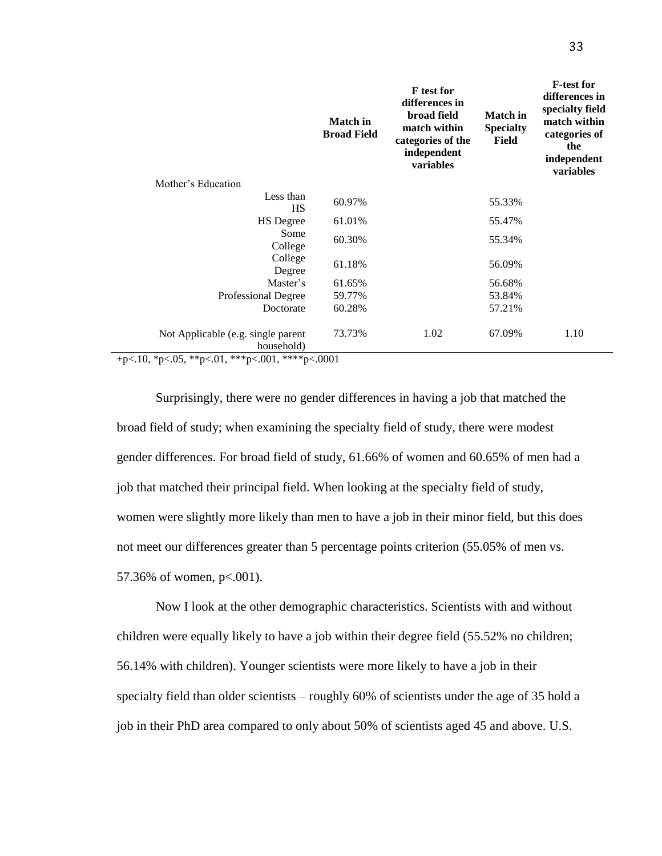|                                                  | <b>Match</b> in<br><b>Broad Field</b> | <b>F</b> test for<br>differences in<br>broad field<br>match within<br>categories of the<br>independent<br>variables | <b>Match</b> in<br><b>Specialty</b><br>Field | <b>F-test for</b><br>differences in<br>specialty field<br>match within<br>categories of<br>the<br>independent<br>variables |
|--------------------------------------------------|---------------------------------------|---------------------------------------------------------------------------------------------------------------------|----------------------------------------------|----------------------------------------------------------------------------------------------------------------------------|
| Mother's Education                               |                                       |                                                                                                                     |                                              |                                                                                                                            |
| Less than<br>HS                                  | 60.97%                                |                                                                                                                     | 55.33%                                       |                                                                                                                            |
| <b>HS</b> Degree                                 | 61.01%                                |                                                                                                                     | 55.47%                                       |                                                                                                                            |
| Some<br>College                                  | 60.30%                                |                                                                                                                     | 55.34%                                       |                                                                                                                            |
| College<br>Degree                                | 61.18%                                |                                                                                                                     | 56.09%                                       |                                                                                                                            |
| Master's                                         | 61.65%                                |                                                                                                                     | 56.68%                                       |                                                                                                                            |
| Professional Degree                              | 59.77%                                |                                                                                                                     | 53.84%                                       |                                                                                                                            |
| Doctorate                                        | 60.28%                                |                                                                                                                     | 57.21%                                       |                                                                                                                            |
| Not Applicable (e.g. single parent<br>household) | 73.73%                                | 1.02                                                                                                                | 67.09%                                       | 1.10                                                                                                                       |

+p<.10, \*p<.05, \*\*p<.01, \*\*\*p<.001, \*\*\*\*p<.0001

Surprisingly, there were no gender differences in having a job that matched the broad field of study; when examining the specialty field of study, there were modest gender differences. For broad field of study, 61.66% of women and 60.65% of men had a job that matched their principal field. When looking at the specialty field of study, women were slightly more likely than men to have a job in their minor field, but this does not meet our differences greater than 5 percentage points criterion (55.05% of men vs. 57.36% of women, p<.001).

Now I look at the other demographic characteristics. Scientists with and without children were equally likely to have a job within their degree field (55.52% no children; 56.14% with children). Younger scientists were more likely to have a job in their specialty field than older scientists – roughly 60% of scientists under the age of 35 hold a job in their PhD area compared to only about 50% of scientists aged 45 and above. U.S.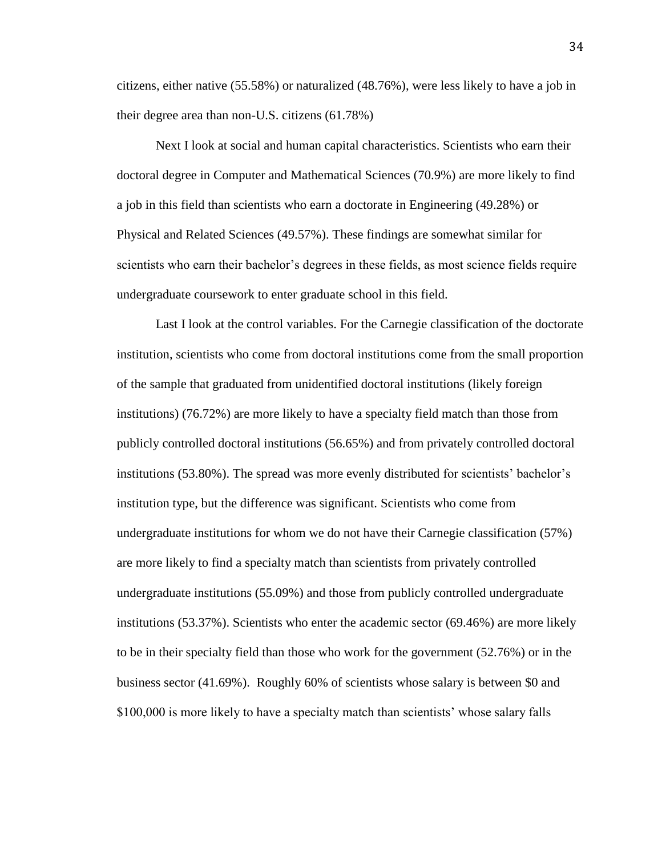citizens, either native (55.58%) or naturalized (48.76%), were less likely to have a job in their degree area than non-U.S. citizens (61.78%)

Next I look at social and human capital characteristics. Scientists who earn their doctoral degree in Computer and Mathematical Sciences (70.9%) are more likely to find a job in this field than scientists who earn a doctorate in Engineering (49.28%) or Physical and Related Sciences (49.57%). These findings are somewhat similar for scientists who earn their bachelor's degrees in these fields, as most science fields require undergraduate coursework to enter graduate school in this field.

Last I look at the control variables. For the Carnegie classification of the doctorate institution, scientists who come from doctoral institutions come from the small proportion of the sample that graduated from unidentified doctoral institutions (likely foreign institutions) (76.72%) are more likely to have a specialty field match than those from publicly controlled doctoral institutions (56.65%) and from privately controlled doctoral institutions (53.80%). The spread was more evenly distributed for scientists' bachelor's institution type, but the difference was significant. Scientists who come from undergraduate institutions for whom we do not have their Carnegie classification (57%) are more likely to find a specialty match than scientists from privately controlled undergraduate institutions (55.09%) and those from publicly controlled undergraduate institutions (53.37%). Scientists who enter the academic sector (69.46%) are more likely to be in their specialty field than those who work for the government (52.76%) or in the business sector (41.69%). Roughly 60% of scientists whose salary is between \$0 and \$100,000 is more likely to have a specialty match than scientists' whose salary falls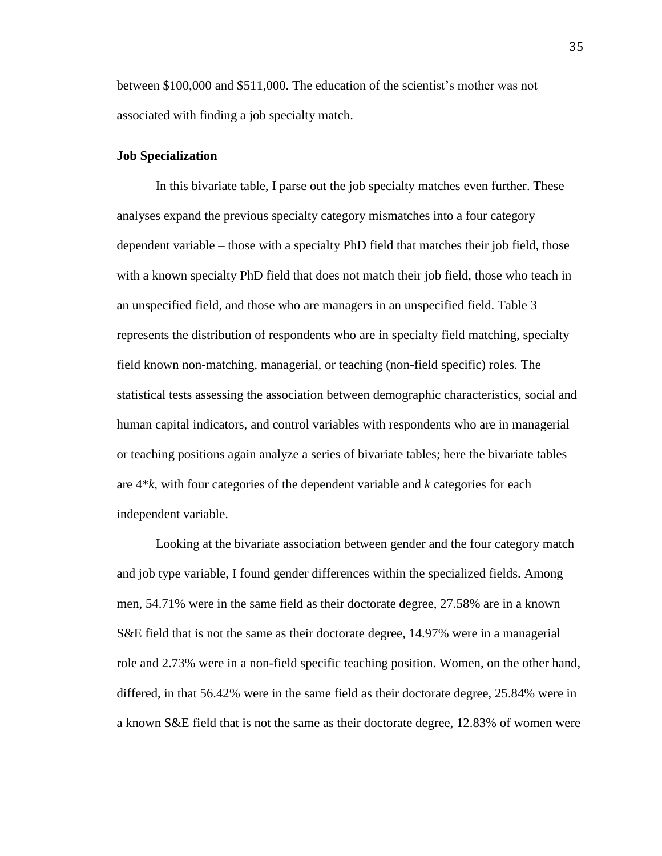between \$100,000 and \$511,000. The education of the scientist's mother was not associated with finding a job specialty match.

## **Job Specialization**

In this bivariate table, I parse out the job specialty matches even further. These analyses expand the previous specialty category mismatches into a four category dependent variable – those with a specialty PhD field that matches their job field, those with a known specialty PhD field that does not match their job field, those who teach in an unspecified field, and those who are managers in an unspecified field. Table 3 represents the distribution of respondents who are in specialty field matching, specialty field known non-matching, managerial, or teaching (non-field specific) roles. The statistical tests assessing the association between demographic characteristics, social and human capital indicators, and control variables with respondents who are in managerial or teaching positions again analyze a series of bivariate tables; here the bivariate tables are 4\**k*, with four categories of the dependent variable and *k* categories for each independent variable.

Looking at the bivariate association between gender and the four category match and job type variable, I found gender differences within the specialized fields. Among men, 54.71% were in the same field as their doctorate degree, 27.58% are in a known S&E field that is not the same as their doctorate degree, 14.97% were in a managerial role and 2.73% were in a non-field specific teaching position. Women, on the other hand, differed, in that 56.42% were in the same field as their doctorate degree, 25.84% were in a known S&E field that is not the same as their doctorate degree, 12.83% of women were

35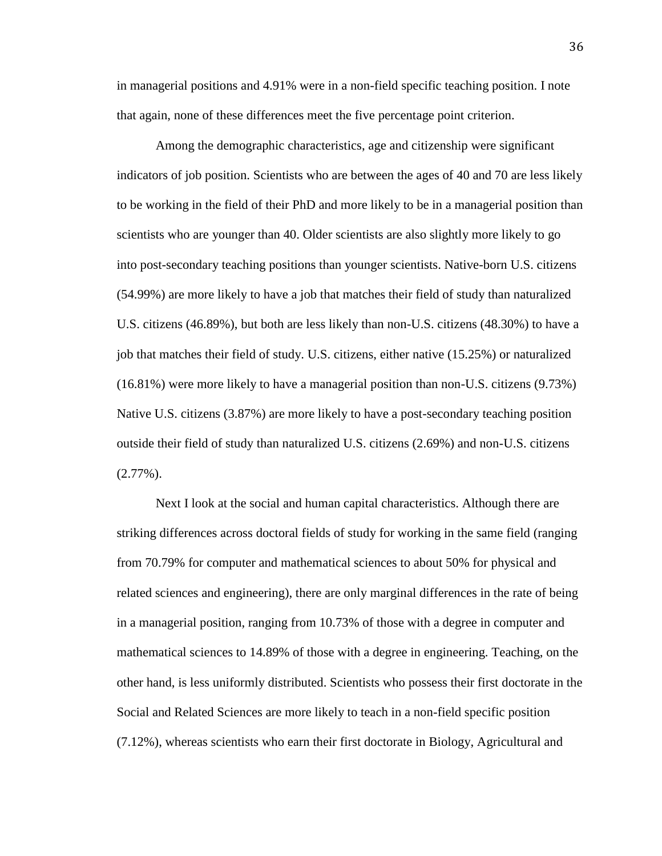in managerial positions and 4.91% were in a non-field specific teaching position. I note that again, none of these differences meet the five percentage point criterion.

Among the demographic characteristics, age and citizenship were significant indicators of job position. Scientists who are between the ages of 40 and 70 are less likely to be working in the field of their PhD and more likely to be in a managerial position than scientists who are younger than 40. Older scientists are also slightly more likely to go into post-secondary teaching positions than younger scientists. Native-born U.S. citizens (54.99%) are more likely to have a job that matches their field of study than naturalized U.S. citizens (46.89%), but both are less likely than non-U.S. citizens (48.30%) to have a job that matches their field of study. U.S. citizens, either native (15.25%) or naturalized (16.81%) were more likely to have a managerial position than non-U.S. citizens (9.73%) Native U.S. citizens (3.87%) are more likely to have a post-secondary teaching position outside their field of study than naturalized U.S. citizens (2.69%) and non-U.S. citizens  $(2.77\%)$ .

Next I look at the social and human capital characteristics. Although there are striking differences across doctoral fields of study for working in the same field (ranging from 70.79% for computer and mathematical sciences to about 50% for physical and related sciences and engineering), there are only marginal differences in the rate of being in a managerial position, ranging from 10.73% of those with a degree in computer and mathematical sciences to 14.89% of those with a degree in engineering. Teaching, on the other hand, is less uniformly distributed. Scientists who possess their first doctorate in the Social and Related Sciences are more likely to teach in a non-field specific position (7.12%), whereas scientists who earn their first doctorate in Biology, Agricultural and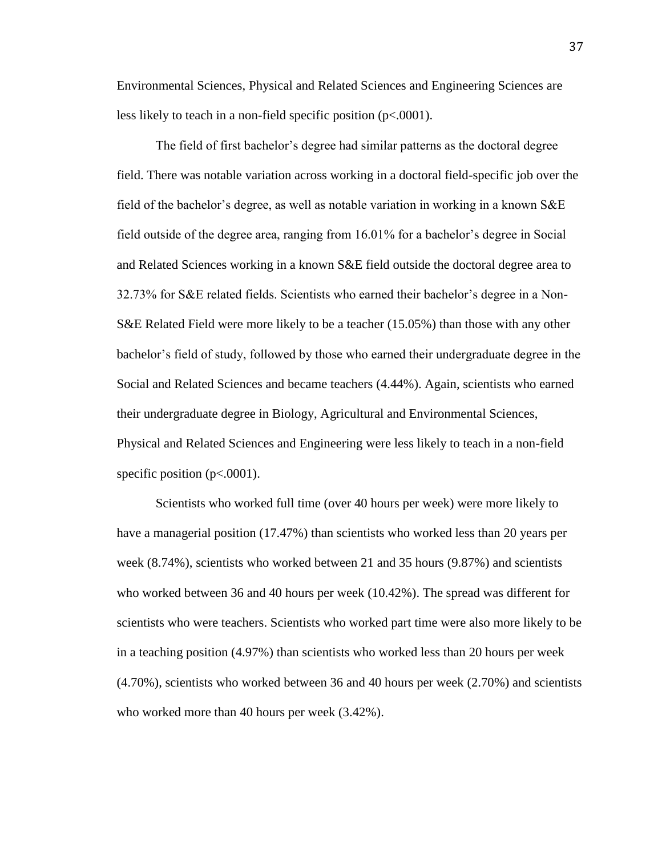Environmental Sciences, Physical and Related Sciences and Engineering Sciences are less likely to teach in a non-field specific position (p<.0001).

The field of first bachelor's degree had similar patterns as the doctoral degree field. There was notable variation across working in a doctoral field-specific job over the field of the bachelor's degree, as well as notable variation in working in a known S&E field outside of the degree area, ranging from 16.01% for a bachelor's degree in Social and Related Sciences working in a known S&E field outside the doctoral degree area to 32.73% for S&E related fields. Scientists who earned their bachelor's degree in a Non-S&E Related Field were more likely to be a teacher (15.05%) than those with any other bachelor's field of study, followed by those who earned their undergraduate degree in the Social and Related Sciences and became teachers (4.44%). Again, scientists who earned their undergraduate degree in Biology, Agricultural and Environmental Sciences, Physical and Related Sciences and Engineering were less likely to teach in a non-field specific position  $(p<.0001)$ .

Scientists who worked full time (over 40 hours per week) were more likely to have a managerial position (17.47%) than scientists who worked less than 20 years per week (8.74%), scientists who worked between 21 and 35 hours (9.87%) and scientists who worked between 36 and 40 hours per week (10.42%). The spread was different for scientists who were teachers. Scientists who worked part time were also more likely to be in a teaching position (4.97%) than scientists who worked less than 20 hours per week (4.70%), scientists who worked between 36 and 40 hours per week (2.70%) and scientists who worked more than 40 hours per week (3.42%).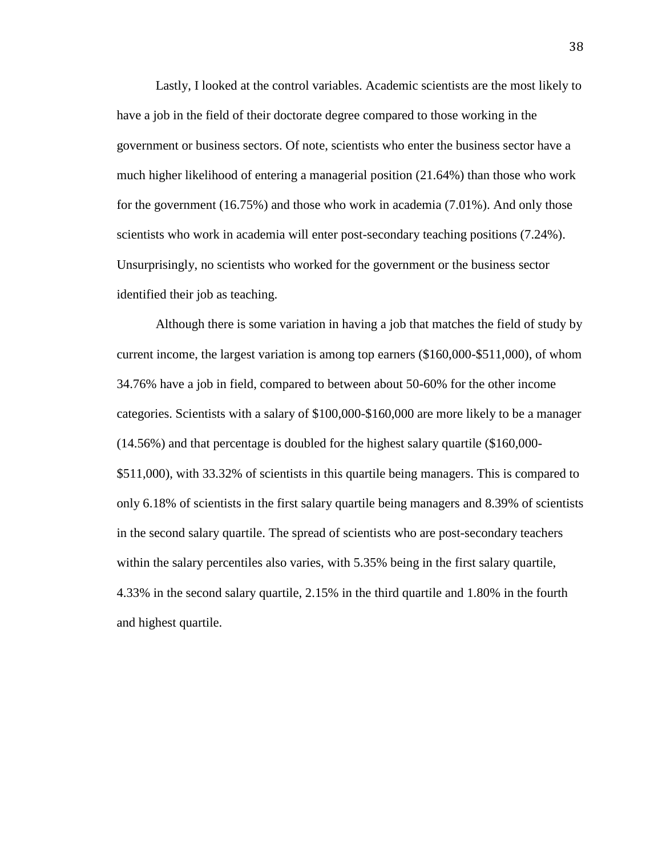Lastly, I looked at the control variables. Academic scientists are the most likely to have a job in the field of their doctorate degree compared to those working in the government or business sectors. Of note, scientists who enter the business sector have a much higher likelihood of entering a managerial position (21.64%) than those who work for the government (16.75%) and those who work in academia (7.01%). And only those scientists who work in academia will enter post-secondary teaching positions (7.24%). Unsurprisingly, no scientists who worked for the government or the business sector identified their job as teaching.

Although there is some variation in having a job that matches the field of study by current income, the largest variation is among top earners (\$160,000-\$511,000), of whom 34.76% have a job in field, compared to between about 50-60% for the other income categories. Scientists with a salary of \$100,000-\$160,000 are more likely to be a manager (14.56%) and that percentage is doubled for the highest salary quartile (\$160,000- \$511,000), with 33.32% of scientists in this quartile being managers. This is compared to only 6.18% of scientists in the first salary quartile being managers and 8.39% of scientists in the second salary quartile. The spread of scientists who are post-secondary teachers within the salary percentiles also varies, with 5.35% being in the first salary quartile, 4.33% in the second salary quartile, 2.15% in the third quartile and 1.80% in the fourth and highest quartile.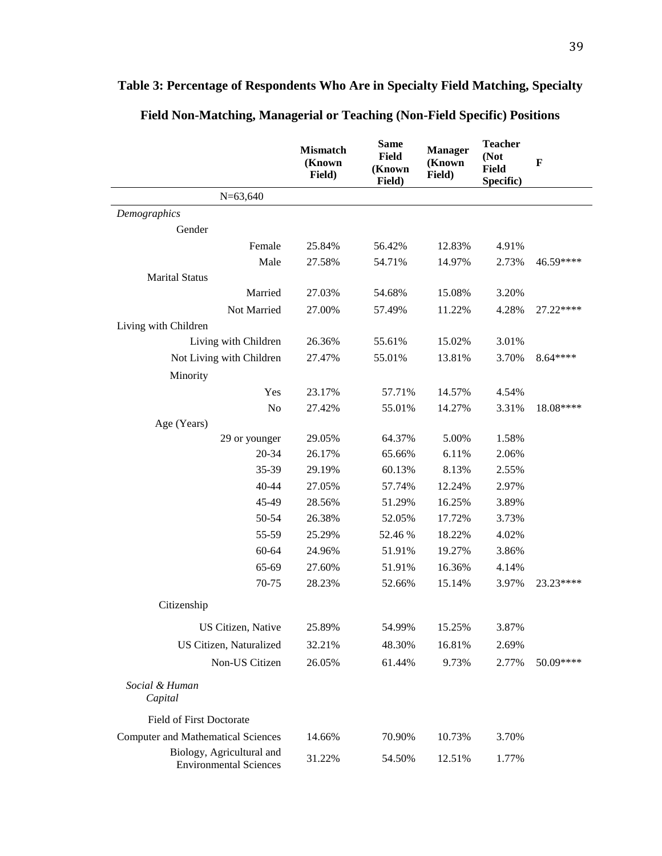|                                                            | <b>Mismatch</b><br>(Known<br>Field) | <b>Same</b><br><b>Field</b><br>(Known<br>Field) | <b>Manager</b><br>(Known<br>Field) | <b>Teacher</b><br>(Not<br><b>Field</b><br>Specific) | $\mathbf F$ |
|------------------------------------------------------------|-------------------------------------|-------------------------------------------------|------------------------------------|-----------------------------------------------------|-------------|
| $N=63,640$                                                 |                                     |                                                 |                                    |                                                     |             |
| Demographics                                               |                                     |                                                 |                                    |                                                     |             |
| Gender                                                     |                                     |                                                 |                                    |                                                     |             |
| Female                                                     | 25.84%                              | 56.42%                                          | 12.83%                             | 4.91%                                               |             |
| Male                                                       | 27.58%                              | 54.71%                                          | 14.97%                             | 2.73%                                               | 46.59****   |
| <b>Marital Status</b>                                      |                                     |                                                 |                                    |                                                     |             |
| Married                                                    | 27.03%                              | 54.68%                                          | 15.08%                             | 3.20%                                               |             |
| Not Married                                                | 27.00%                              | 57.49%                                          | 11.22%                             | 4.28%                                               | 27.22****   |
| Living with Children                                       |                                     |                                                 |                                    |                                                     |             |
| Living with Children                                       | 26.36%                              | 55.61%                                          | 15.02%                             | 3.01%                                               |             |
| Not Living with Children                                   | 27.47%                              | 55.01%                                          | 13.81%                             | 3.70%                                               | 8.64****    |
| Minority                                                   |                                     |                                                 |                                    |                                                     |             |
| Yes                                                        | 23.17%                              | 57.71%                                          | 14.57%                             | 4.54%                                               |             |
| No                                                         | 27.42%                              | 55.01%                                          | 14.27%                             | 3.31%                                               | 18.08****   |
| Age (Years)                                                |                                     |                                                 |                                    |                                                     |             |
| 29 or younger                                              | 29.05%                              | 64.37%                                          | 5.00%                              | 1.58%                                               |             |
| 20-34                                                      | 26.17%                              | 65.66%                                          | 6.11%                              | 2.06%                                               |             |
| 35-39                                                      | 29.19%                              | 60.13%                                          | 8.13%                              | 2.55%                                               |             |
| 40-44                                                      | 27.05%                              | 57.74%                                          | 12.24%                             | 2.97%                                               |             |
| 45-49                                                      | 28.56%                              | 51.29%                                          | 16.25%                             | 3.89%                                               |             |
| 50-54                                                      | 26.38%                              | 52.05%                                          | 17.72%                             | 3.73%                                               |             |
| 55-59                                                      | 25.29%                              | 52.46 %                                         | 18.22%                             | 4.02%                                               |             |
| 60-64                                                      | 24.96%                              | 51.91%                                          | 19.27%                             | 3.86%                                               |             |
| 65-69                                                      | 27.60%                              | 51.91%                                          | 16.36%                             | 4.14%                                               |             |
| 70-75                                                      | 28.23%                              | 52.66%                                          | 15.14%                             | 3.97%                                               | 23.23****   |
| Citizenship                                                |                                     |                                                 |                                    |                                                     |             |
| US Citizen, Native                                         | 25.89%                              | 54.99%                                          | 15.25%                             | 3.87%                                               |             |
| US Citizen, Naturalized                                    | 32.21%                              | 48.30%                                          | 16.81%                             | 2.69%                                               |             |
| Non-US Citizen                                             | 26.05%                              | 61.44%                                          | 9.73%                              | 2.77%                                               | 50.09****   |
| Social & Human<br>Capital                                  |                                     |                                                 |                                    |                                                     |             |
| <b>Field of First Doctorate</b>                            |                                     |                                                 |                                    |                                                     |             |
| <b>Computer and Mathematical Sciences</b>                  | 14.66%                              | 70.90%                                          | 10.73%                             | 3.70%                                               |             |
| Biology, Agricultural and<br><b>Environmental Sciences</b> | 31.22%                              | 54.50%                                          | 12.51%                             | 1.77%                                               |             |

# **Table 3: Percentage of Respondents Who Are in Specialty Field Matching, Specialty**

**Field Non-Matching, Managerial or Teaching (Non-Field Specific) Positions**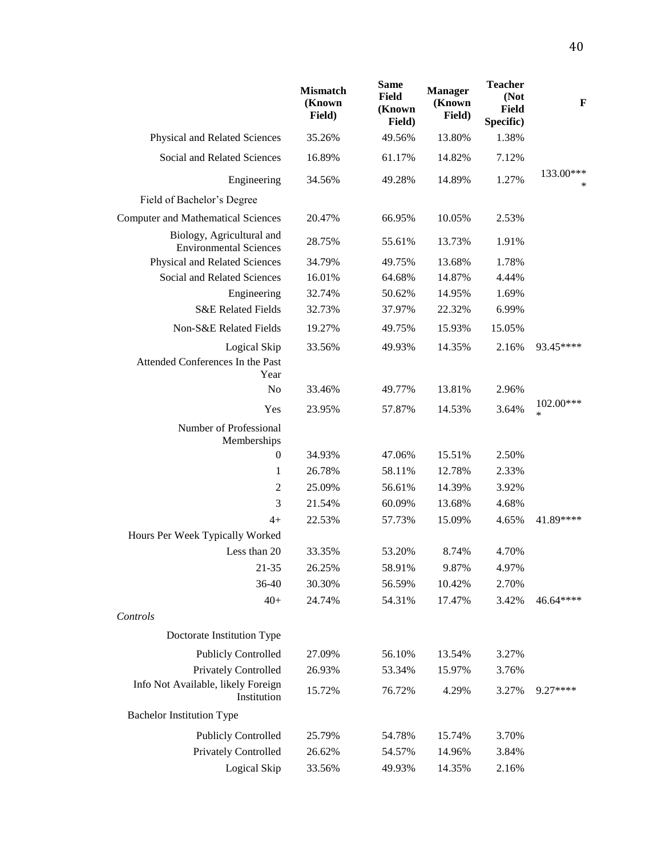|                                                            | <b>Mismatch</b><br>(Known<br>Field) | <b>Same</b><br>Field<br>(Known<br>Field) | <b>Manager</b><br>(Known<br>Field) | <b>Teacher</b><br>(Not<br><b>Field</b><br>Specific) | F                   |
|------------------------------------------------------------|-------------------------------------|------------------------------------------|------------------------------------|-----------------------------------------------------|---------------------|
| Physical and Related Sciences                              | 35.26%                              | 49.56%                                   | 13.80%                             | 1.38%                                               |                     |
| Social and Related Sciences                                | 16.89%                              | 61.17%                                   | 14.82%                             | 7.12%                                               |                     |
| Engineering                                                | 34.56%                              | 49.28%                                   | 14.89%                             | 1.27%                                               | 133.00***<br>$\ast$ |
| Field of Bachelor's Degree                                 |                                     |                                          |                                    |                                                     |                     |
| <b>Computer and Mathematical Sciences</b>                  | 20.47%                              | 66.95%                                   | 10.05%                             | 2.53%                                               |                     |
| Biology, Agricultural and<br><b>Environmental Sciences</b> | 28.75%                              | 55.61%                                   | 13.73%                             | 1.91%                                               |                     |
| Physical and Related Sciences                              | 34.79%                              | 49.75%                                   | 13.68%                             | 1.78%                                               |                     |
| Social and Related Sciences                                | 16.01%                              | 64.68%                                   | 14.87%                             | 4.44%                                               |                     |
| Engineering                                                | 32.74%                              | 50.62%                                   | 14.95%                             | 1.69%                                               |                     |
| <b>S&amp;E Related Fields</b>                              | 32.73%                              | 37.97%                                   | 22.32%                             | 6.99%                                               |                     |
| Non-S&E Related Fields                                     | 19.27%                              | 49.75%                                   | 15.93%                             | 15.05%                                              |                     |
| Logical Skip<br>Attended Conferences In the Past<br>Year   | 33.56%                              | 49.93%                                   | 14.35%                             | 2.16%                                               | 93.45****           |
| N <sub>o</sub>                                             | 33.46%                              | 49.77%                                   | 13.81%                             | 2.96%                                               |                     |
| Yes                                                        | 23.95%                              | 57.87%                                   | 14.53%                             | 3.64%                                               | 102.00***<br>$\ast$ |
| Number of Professional<br>Memberships                      |                                     |                                          |                                    |                                                     |                     |
| $\boldsymbol{0}$                                           | 34.93%                              | 47.06%                                   | 15.51%                             | 2.50%                                               |                     |
| 1                                                          | 26.78%                              | 58.11%                                   | 12.78%                             | 2.33%                                               |                     |
| $\overline{c}$                                             | 25.09%                              | 56.61%                                   | 14.39%                             | 3.92%                                               |                     |
| 3                                                          | 21.54%                              | 60.09%                                   | 13.68%                             | 4.68%                                               |                     |
| $4+$                                                       | 22.53%                              | 57.73%                                   | 15.09%                             | 4.65%                                               | 41.89****           |
| Hours Per Week Typically Worked                            |                                     |                                          |                                    |                                                     |                     |
| Less than 20                                               | 33.35%                              | 53.20%                                   | 8.74%                              | 4.70%                                               |                     |
| $21 - 35$                                                  | 26.25%                              | 58.91%                                   | 9.87%                              | 4.97%                                               |                     |
| 36-40                                                      | 30.30%                              | 56.59%                                   | 10.42%                             | 2.70%                                               |                     |
| $40+$                                                      | 24.74%                              | 54.31%                                   | 17.47%                             | 3.42%                                               | 46.64****           |
| Controls                                                   |                                     |                                          |                                    |                                                     |                     |
| Doctorate Institution Type                                 |                                     |                                          |                                    |                                                     |                     |
| <b>Publicly Controlled</b>                                 | 27.09%                              | 56.10%                                   | 13.54%                             | 3.27%                                               |                     |
| Privately Controlled                                       | 26.93%                              | 53.34%                                   | 15.97%                             | 3.76%                                               |                     |
| Info Not Available, likely Foreign<br>Institution          | 15.72%                              | 76.72%                                   | 4.29%                              | 3.27%                                               | 9.27****            |
| <b>Bachelor Institution Type</b>                           |                                     |                                          |                                    |                                                     |                     |
| <b>Publicly Controlled</b>                                 | 25.79%                              | 54.78%                                   | 15.74%                             | 3.70%                                               |                     |
| Privately Controlled                                       | 26.62%                              | 54.57%                                   | 14.96%                             | 3.84%                                               |                     |
| Logical Skip                                               | 33.56%                              | 49.93%                                   | 14.35%                             | 2.16%                                               |                     |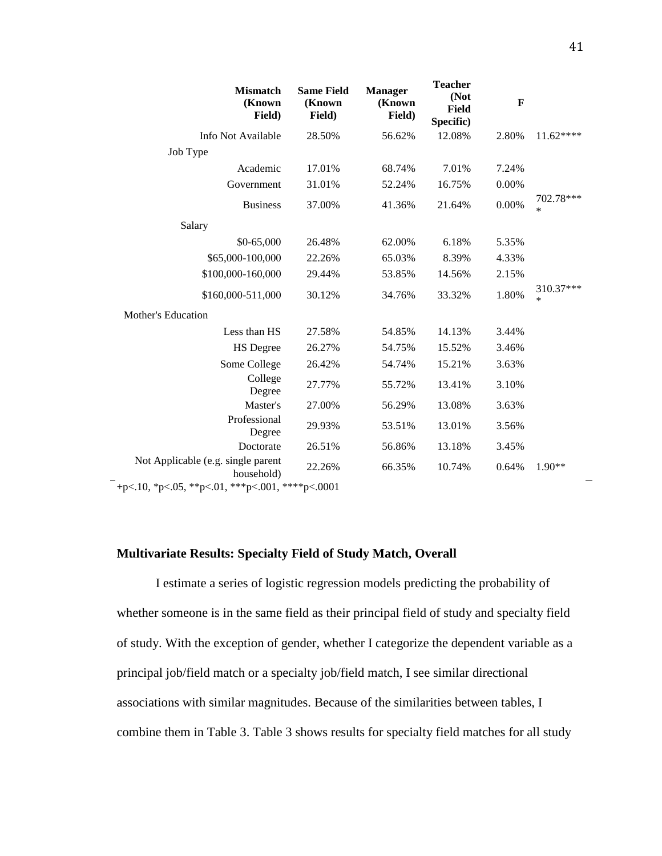| <b>Mismatch</b><br>(Known<br>Field)              | <b>Same Field</b><br>(Known<br>Field) | <b>Manager</b><br>(Known<br>Field) | <b>Teacher</b><br>(Not<br>Field<br>Specific) | $\mathbf F$ |                     |
|--------------------------------------------------|---------------------------------------|------------------------------------|----------------------------------------------|-------------|---------------------|
| Info Not Available                               | 28.50%                                | 56.62%                             | 12.08%                                       | 2.80%       | $11.62***$          |
| Job Type                                         |                                       |                                    |                                              |             |                     |
| Academic                                         | 17.01%                                | 68.74%                             | 7.01%                                        | 7.24%       |                     |
| Government                                       | 31.01%                                | 52.24%                             | 16.75%                                       | 0.00%       |                     |
| <b>Business</b>                                  | 37.00%                                | 41.36%                             | 21.64%                                       | 0.00%       | 702.78***<br>$\ast$ |
| Salary                                           |                                       |                                    |                                              |             |                     |
| $$0-65,000$                                      | 26.48%                                | 62.00%                             | 6.18%                                        | 5.35%       |                     |
| \$65,000-100,000                                 | 22.26%                                | 65.03%                             | 8.39%                                        | 4.33%       |                     |
| \$100,000-160,000                                | 29.44%                                | 53.85%                             | 14.56%                                       | 2.15%       |                     |
| \$160,000-511,000                                | 30.12%                                | 34.76%                             | 33.32%                                       | 1.80%       | 310.37***<br>*      |
| <b>Mother's Education</b>                        |                                       |                                    |                                              |             |                     |
| Less than HS                                     | 27.58%                                | 54.85%                             | 14.13%                                       | 3.44%       |                     |
| <b>HS</b> Degree                                 | 26.27%                                | 54.75%                             | 15.52%                                       | 3.46%       |                     |
| Some College                                     | 26.42%                                | 54.74%                             | 15.21%                                       | 3.63%       |                     |
| College<br>Degree                                | 27.77%                                | 55.72%                             | 13.41%                                       | 3.10%       |                     |
| Master's                                         | 27.00%                                | 56.29%                             | 13.08%                                       | 3.63%       |                     |
| Professional<br>Degree                           | 29.93%                                | 53.51%                             | 13.01%                                       | 3.56%       |                     |
| Doctorate                                        | 26.51%                                | 56.86%                             | 13.18%                                       | 3.45%       |                     |
| Not Applicable (e.g. single parent<br>household) | 22.26%                                | 66.35%                             | 10.74%                                       | 0.64%       | $1.90**$            |
| +p<.10, *p<.05, **p<.01, ***p<.001, ****p<.0001  |                                       |                                    |                                              |             |                     |

# **Multivariate Results: Specialty Field of Study Match, Overall**

I estimate a series of logistic regression models predicting the probability of whether someone is in the same field as their principal field of study and specialty field of study. With the exception of gender, whether I categorize the dependent variable as a principal job/field match or a specialty job/field match, I see similar directional associations with similar magnitudes. Because of the similarities between tables, I combine them in Table 3. Table 3 shows results for specialty field matches for all study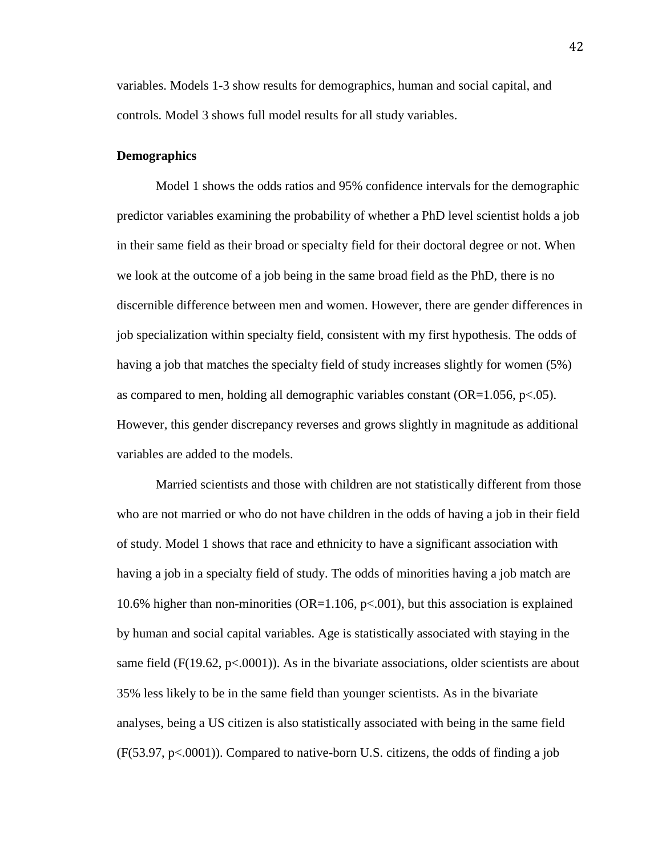variables. Models 1-3 show results for demographics, human and social capital, and controls. Model 3 shows full model results for all study variables.

## **Demographics**

Model 1 shows the odds ratios and 95% confidence intervals for the demographic predictor variables examining the probability of whether a PhD level scientist holds a job in their same field as their broad or specialty field for their doctoral degree or not. When we look at the outcome of a job being in the same broad field as the PhD, there is no discernible difference between men and women. However, there are gender differences in job specialization within specialty field, consistent with my first hypothesis. The odds of having a job that matches the specialty field of study increases slightly for women (5%) as compared to men, holding all demographic variables constant  $(OR=1.056, p<.05)$ . However, this gender discrepancy reverses and grows slightly in magnitude as additional variables are added to the models.

Married scientists and those with children are not statistically different from those who are not married or who do not have children in the odds of having a job in their field of study. Model 1 shows that race and ethnicity to have a significant association with having a job in a specialty field of study. The odds of minorities having a job match are 10.6% higher than non-minorities (OR=1.106,  $p<0.001$ ), but this association is explained by human and social capital variables. Age is statistically associated with staying in the same field ( $F(19.62, p<0001)$ ). As in the bivariate associations, older scientists are about 35% less likely to be in the same field than younger scientists. As in the bivariate analyses, being a US citizen is also statistically associated with being in the same field  $(F(53.97, p\le 0.0001))$ . Compared to native-born U.S. citizens, the odds of finding a job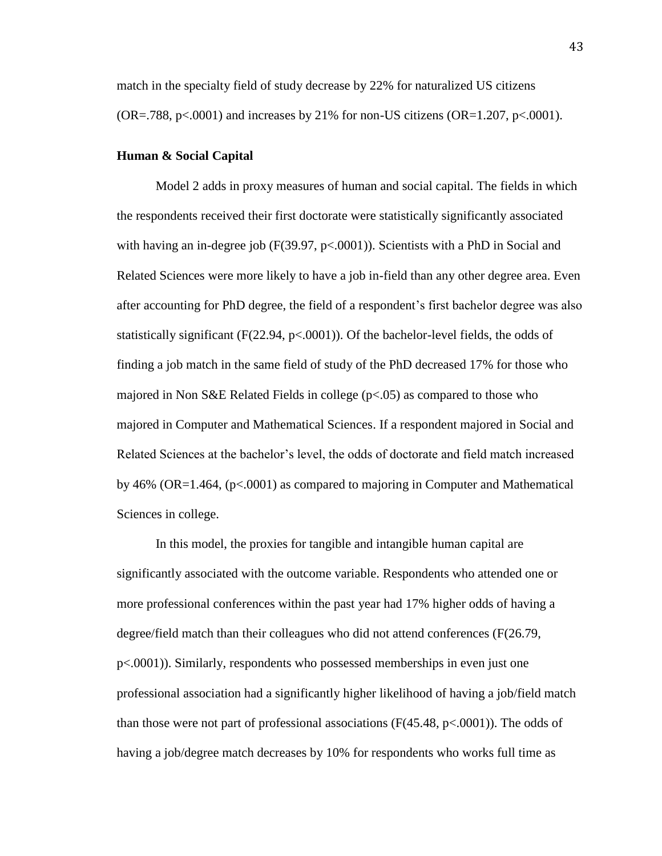match in the specialty field of study decrease by 22% for naturalized US citizens  $(OR=.788, p<.0001)$  and increases by 21% for non-US citizens  $(OR=.1.207, p<.0001)$ .

## **Human & Social Capital**

Model 2 adds in proxy measures of human and social capital. The fields in which the respondents received their first doctorate were statistically significantly associated with having an in-degree job (F(39.97, p<.0001)). Scientists with a PhD in Social and Related Sciences were more likely to have a job in-field than any other degree area. Even after accounting for PhD degree, the field of a respondent's first bachelor degree was also statistically significant (F(22.94, p<.0001)). Of the bachelor-level fields, the odds of finding a job match in the same field of study of the PhD decreased 17% for those who majored in Non S&E Related Fields in college (p<.05) as compared to those who majored in Computer and Mathematical Sciences. If a respondent majored in Social and Related Sciences at the bachelor's level, the odds of doctorate and field match increased by 46% (OR=1.464, (p<.0001) as compared to majoring in Computer and Mathematical Sciences in college.

In this model, the proxies for tangible and intangible human capital are significantly associated with the outcome variable. Respondents who attended one or more professional conferences within the past year had 17% higher odds of having a degree/field match than their colleagues who did not attend conferences (F(26.79, p<.0001)). Similarly, respondents who possessed memberships in even just one professional association had a significantly higher likelihood of having a job/field match than those were not part of professional associations  $(F(45.48, p<.0001))$ . The odds of having a job/degree match decreases by 10% for respondents who works full time as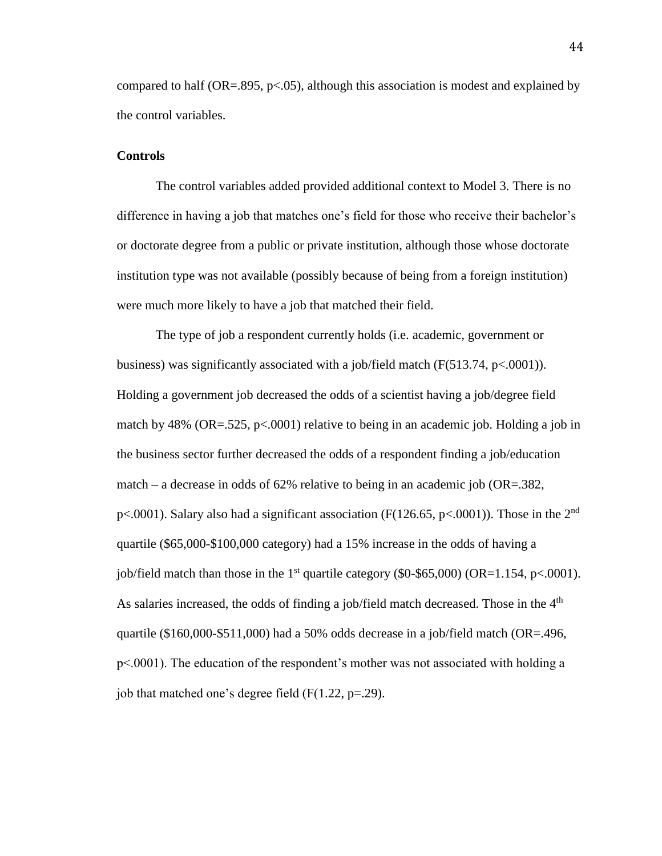compared to half (OR=.895,  $p<0.05$ ), although this association is modest and explained by the control variables.

## **Controls**

The control variables added provided additional context to Model 3. There is no difference in having a job that matches one's field for those who receive their bachelor's or doctorate degree from a public or private institution, although those whose doctorate institution type was not available (possibly because of being from a foreign institution) were much more likely to have a job that matched their field.

The type of job a respondent currently holds (i.e. academic, government or business) was significantly associated with a job/field match  $(F(513.74, p<.0001))$ . Holding a government job decreased the odds of a scientist having a job/degree field match by 48% (OR=.525, p<.0001) relative to being in an academic job. Holding a job in the business sector further decreased the odds of a respondent finding a job/education match – a decrease in odds of 62% relative to being in an academic job (OR=.382, p<.0001). Salary also had a significant association (F(126.65, p<.0001)). Those in the  $2<sup>nd</sup>$ quartile (\$65,000-\$100,000 category) had a 15% increase in the odds of having a job/field match than those in the 1<sup>st</sup> quartile category (\$0-\$65,000) (OR=1.154, p<.0001). As salaries increased, the odds of finding a job/field match decreased. Those in the  $4<sup>th</sup>$ quartile (\$160,000-\$511,000) had a 50% odds decrease in a job/field match (OR=.496, p<.0001). The education of the respondent's mother was not associated with holding a job that matched one's degree field  $(F(1.22, p=.29)$ .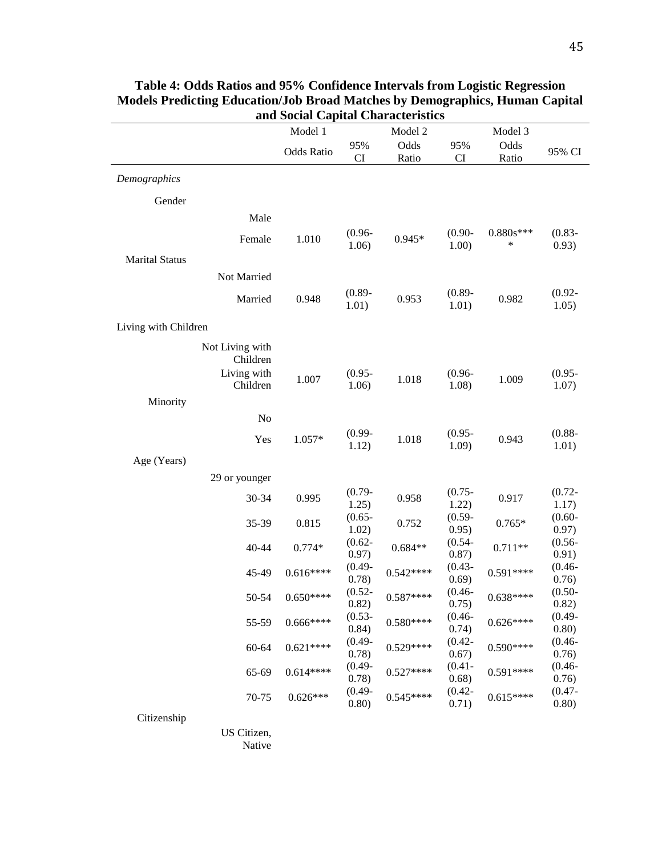|                       |                             | Model 1           |                    | Model 2       |                    | Model 3       |                    |
|-----------------------|-----------------------------|-------------------|--------------------|---------------|--------------------|---------------|--------------------|
|                       |                             | <b>Odds Ratio</b> | 95%<br>CI          | Odds<br>Ratio | 95%<br>CI          | Odds<br>Ratio | 95% CI             |
| Demographics          |                             |                   |                    |               |                    |               |                    |
| Gender                |                             |                   |                    |               |                    |               |                    |
|                       | Male                        |                   |                    |               |                    |               |                    |
|                       | Female                      | 1.010             | $(0.96 -$          | $0.945*$      | $(0.90 -$          | $0.880s***$   | $(0.83 -$          |
|                       |                             |                   | 1.06)              |               | 1.00)              | $\ast$        | 0.93)              |
| <b>Marital Status</b> |                             |                   |                    |               |                    |               |                    |
|                       | Not Married                 |                   |                    |               |                    |               |                    |
|                       | Married                     | 0.948             | $(0.89 -$<br>1.01) | 0.953         | $(0.89 -$<br>1.01) | 0.982         | $(0.92 -$<br>1.05) |
|                       |                             |                   |                    |               |                    |               |                    |
| Living with Children  |                             |                   |                    |               |                    |               |                    |
|                       | Not Living with<br>Children |                   |                    |               |                    |               |                    |
|                       | Living with                 |                   | $(0.95 -$          |               | $(0.96 -$          |               | $(0.95 -$          |
|                       | Children                    | 1.007             | 1.06)              | 1.018         | 1.08)              | 1.009         | 1.07)              |
| Minority              |                             |                   |                    |               |                    |               |                    |
|                       | No                          |                   |                    |               |                    |               |                    |
|                       | Yes                         | $1.057*$          | $(0.99 -$          | 1.018         | $(0.95 -$          | 0.943         | $(0.88 -$          |
|                       |                             |                   | 1.12)              |               | 1.09)              |               | 1.01)              |
| Age (Years)           |                             |                   |                    |               |                    |               |                    |
|                       | 29 or younger               |                   | $(0.79 -$          |               | $(0.75 -$          |               | $(0.72 -$          |
|                       | 30-34                       | 0.995             | 1.25)              | 0.958         | 1.22)              | 0.917         | 1.17)              |
|                       | 35-39                       | 0.815             | $(0.65 -$          | 0.752         | $(0.59 -$          | $0.765*$      | $(0.60 -$          |
|                       |                             |                   | 1.02)<br>$(0.62 -$ |               | 0.95)<br>$(0.54 -$ |               | 0.97)<br>$(0.56 -$ |
|                       | 40-44                       | $0.774*$          | 0.97)              | $0.684**$     | 0.87)              | $0.711**$     | 0.91)              |
|                       | 45-49                       | $0.616***$        | $(0.49 -$          | $0.542***$    | $(0.43 -$          | $0.591***$    | $(0.46 -$          |
|                       |                             |                   | 0.78)<br>$(0.52 -$ |               | 0.69)<br>$(0.46 -$ |               | 0.76)<br>$(0.50 -$ |
|                       | 50-54                       | $0.650***$        | 0.82)              | $0.587***$    | 0.75)              | $0.638***$    | 0.82)              |
|                       | 55-59                       | $0.666***$        | $(0.53 -$          | $0.580***$    | $(0.46 -$          | $0.626***$    | $(0.49 -$          |
|                       |                             |                   | 0.84)<br>$(0.49 -$ |               | 0.74)<br>$(0.42 -$ |               | 0.80)<br>$(0.46 -$ |
|                       | $60 - 64$                   | $0.621***$        | 0.78)              | $0.529***$    | 0.67)              | $0.590***$    | 0.76)              |
|                       | 65-69                       | $0.614***$        | $(0.49 -$          | $0.527***$    | $(0.41 -$          | $0.591***$    | $(0.46 -$          |
|                       |                             |                   | 0.78)<br>$(0.49 -$ |               | 0.68)<br>$(0.42 -$ |               | 0.76)<br>$(0.47 -$ |
|                       | 70-75                       | $0.626***$        | 0.80)              | $0.545***$    | 0.71)              | $0.615***$    | 0.80)              |
| Citizenship           |                             |                   |                    |               |                    |               |                    |
|                       | US Citizen,                 |                   |                    |               |                    |               |                    |

| Table 4: Odds Ratios and 95% Confidence Intervals from Logistic Regression   |
|------------------------------------------------------------------------------|
| Models Predicting Education/Job Broad Matches by Demographics, Human Capital |
| and Social Canital Characteristics                                           |

Native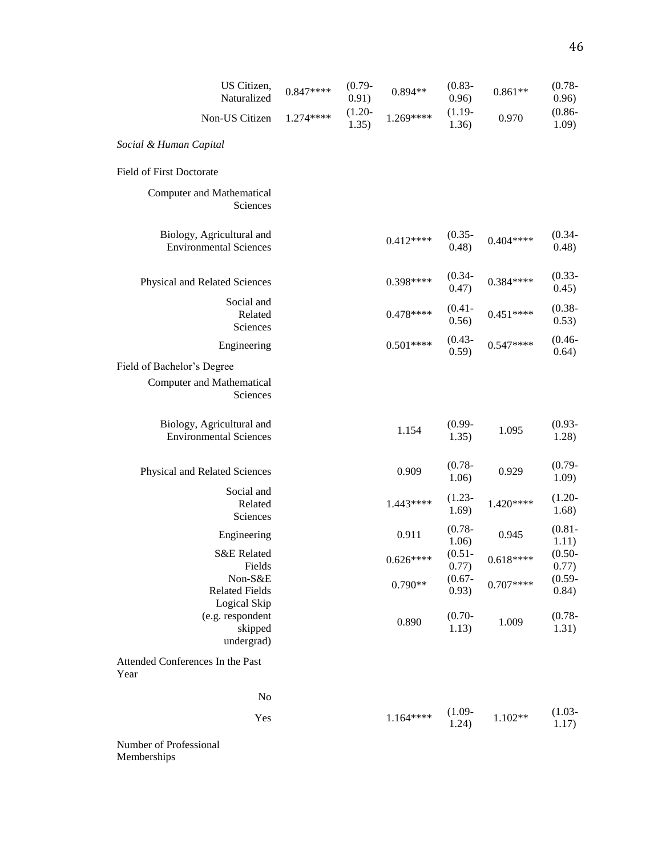| US Citizen,<br>Naturalized                                                 | $0.847***$ | $(0.79 -$<br>0.91) | $0.894**$  | $(0.83 -$<br>0.96) | $0.861**$  | $(0.78 -$<br>0.96) |
|----------------------------------------------------------------------------|------------|--------------------|------------|--------------------|------------|--------------------|
| Non-US Citizen                                                             | $1.274***$ | $(1.20 -$<br>1.35) | $1.269***$ | $(1.19 -$<br>1.36) | 0.970      | $(0.86 -$<br>1.09) |
| Social & Human Capital                                                     |            |                    |            |                    |            |                    |
| Field of First Doctorate                                                   |            |                    |            |                    |            |                    |
| <b>Computer and Mathematical</b><br>Sciences                               |            |                    |            |                    |            |                    |
| Biology, Agricultural and<br><b>Environmental Sciences</b>                 |            |                    | $0.412***$ | $(0.35 -$<br>0.48) | $0.404***$ | $(0.34 -$<br>0.48) |
| Physical and Related Sciences                                              |            |                    | 0.398****  | $(0.34 -$<br>0.47) | $0.384***$ | $(0.33 -$<br>0.45) |
| Social and<br>Related<br>Sciences                                          |            |                    | $0.478***$ | $(0.41 -$<br>0.56) | $0.451***$ | $(0.38 -$<br>0.53) |
| Engineering                                                                |            |                    | $0.501***$ | $(0.43 -$<br>0.59) | $0.547***$ | $(0.46 -$<br>0.64) |
| Field of Bachelor's Degree<br><b>Computer and Mathematical</b><br>Sciences |            |                    |            |                    |            |                    |
| Biology, Agricultural and<br><b>Environmental Sciences</b>                 |            |                    | 1.154      | $(0.99 -$<br>1.35) | 1.095      | $(0.93 -$<br>1.28) |
| Physical and Related Sciences                                              |            |                    | 0.909      | $(0.78 -$<br>1.06) | 0.929      | $(0.79 -$<br>1.09) |
| Social and<br>Related<br>Sciences                                          |            |                    | $1.443***$ | $(1.23 -$<br>1.69) | $1.420***$ | $(1.20 -$<br>1.68) |
| Engineering                                                                |            |                    | 0.911      | $(0.78 -$<br>1.06) | 0.945      | $(0.81 -$<br>1.11) |
| <b>S&amp;E</b> Related<br>Fields                                           |            |                    | $0.626***$ | $(0.51 -$<br>0.77) | $0.618***$ | $(0.50 -$<br>0.77) |
| Non-S&E<br><b>Related Fields</b>                                           |            |                    | $0.790**$  | $(0.67 -$<br>0.93) | $0.707***$ | $(0.59 -$<br>0.84) |
| Logical Skip<br>(e.g. respondent<br>skipped<br>undergrad)                  |            |                    | 0.890      | $(0.70 -$<br>1.13) | 1.009      | $(0.78 -$<br>1.31) |
| Attended Conferences In the Past<br>Year                                   |            |                    |            |                    |            |                    |
| No                                                                         |            |                    |            |                    |            |                    |
| Yes                                                                        |            |                    | $1.164***$ | $(1.09 -$<br>1.24) | $1.102**$  | $(1.03 -$<br>1.17) |

Number of Professional Memberships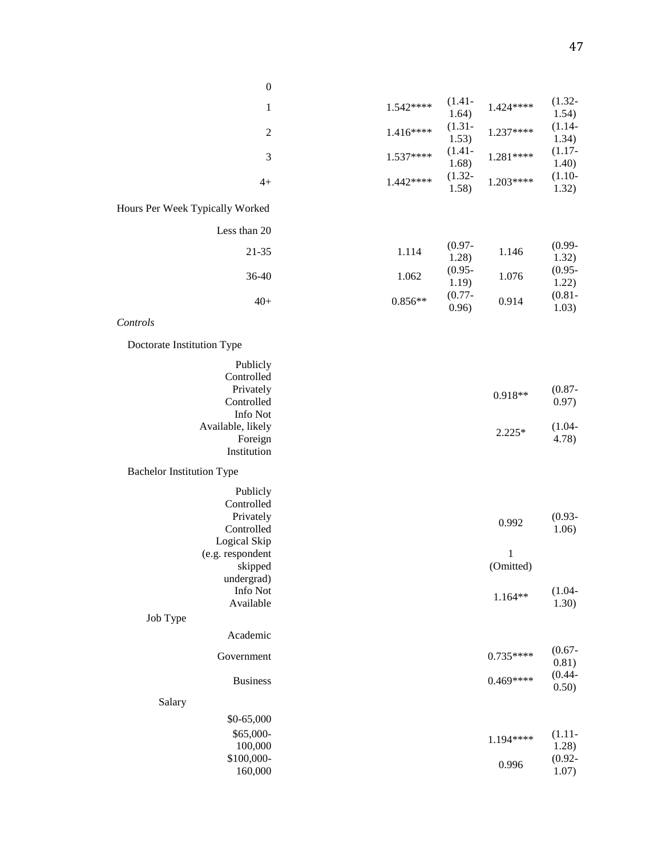| $\boldsymbol{0}$                 |            |                    |              |                    |
|----------------------------------|------------|--------------------|--------------|--------------------|
| $\mathbf{1}$                     | $1.542***$ | $(1.41 -$          | $1.424***$   | $(1.32 -$          |
|                                  |            | 1.64)<br>$(1.31 -$ |              | 1.54)<br>$(1.14 -$ |
| $\overline{c}$                   | $1.416***$ | 1.53)              | 1.237****    | 1.34)              |
| $\mathfrak{Z}$                   | 1.537****  | $(1.41 -$<br>1.68) | 1.281****    | $(1.17 -$<br>1.40) |
| $4+$                             | $1.442***$ | $(1.32 -$<br>1.58) | $1.203***$   | $(1.10-$<br>1.32)  |
| Hours Per Week Typically Worked  |            |                    |              |                    |
| Less than 20                     |            |                    |              |                    |
| 21-35                            | 1.114      | $(0.97 -$<br>1.28) | 1.146        | $(0.99 -$<br>1.32) |
| 36-40                            | 1.062      | $(0.95 -$<br>1.19) | 1.076        | $(0.95 -$<br>1.22) |
| $40+$                            | $0.856**$  | $(0.77 -$<br>0.96) | 0.914        | $(0.81 -$<br>1.03) |
| Controls                         |            |                    |              |                    |
| Doctorate Institution Type       |            |                    |              |                    |
| Publicly                         |            |                    |              |                    |
| Controlled                       |            |                    |              |                    |
| Privately                        |            |                    | 0.918**      | $(0.87 -$          |
| Controlled<br>Info Not           |            |                    |              | 0.97)              |
| Available, likely                |            |                    |              | $(1.04 -$          |
| Foreign                          |            |                    | $2.225*$     | 4.78)              |
| Institution                      |            |                    |              |                    |
| <b>Bachelor Institution Type</b> |            |                    |              |                    |
| Publicly                         |            |                    |              |                    |
| Controlled                       |            |                    |              |                    |
| Privately                        |            |                    | 0.992        | $(0.93 -$          |
| Controlled                       |            |                    |              | 1.06)              |
| Logical Skip                     |            |                    |              |                    |
| (e.g. respondent                 |            |                    | $\mathbf{1}$ |                    |
| skipped                          |            |                    | (Omitted)    |                    |
| undergrad)<br>Info Not           |            |                    |              | $(1.04 -$          |
| Available                        |            |                    | $1.164**$    | 1.30)              |
| Job Type                         |            |                    |              |                    |
| Academic                         |            |                    |              |                    |
| Government                       |            |                    | $0.735***$   | $(0.67 -$<br>0.81) |
| <b>Business</b>                  |            |                    | $0.469***$   | $(0.44 -$<br>0.50) |
| Salary                           |            |                    |              |                    |
| \$0-65,000                       |            |                    |              |                    |
| \$65,000-                        |            |                    |              | $(1.11 -$          |
| 100,000                          |            |                    | 1.194****    | 1.28)              |
| \$100,000-                       |            |                    | 0.996        | $(0.92 -$          |
| 160,000                          |            |                    |              | 1.07)              |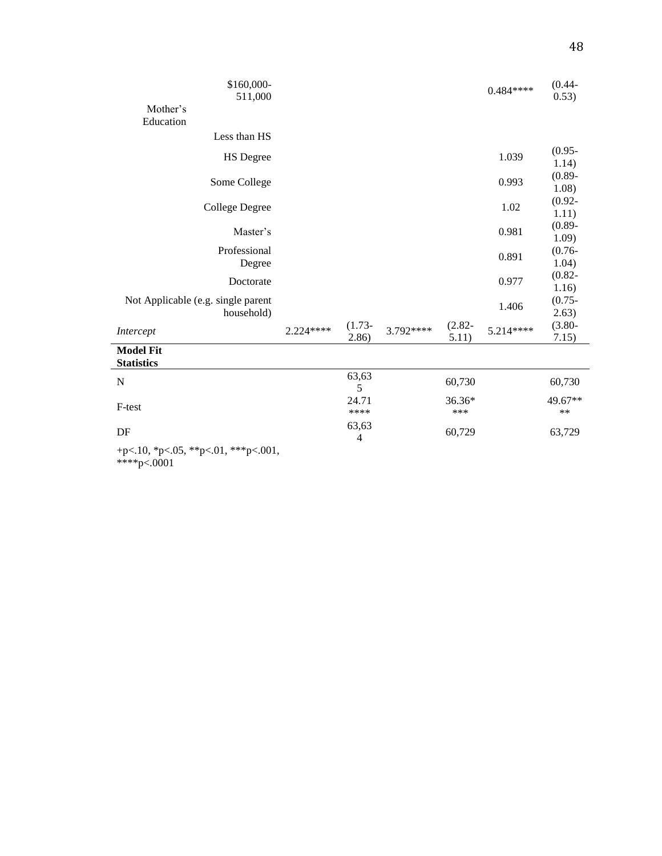| \$160,000-<br>511,000                              |           |                         |           |                    | $0.484***$ | $(0.44 -$<br>0.53) |
|----------------------------------------------------|-----------|-------------------------|-----------|--------------------|------------|--------------------|
| Mother's                                           |           |                         |           |                    |            |                    |
| Education                                          |           |                         |           |                    |            |                    |
| Less than HS                                       |           |                         |           |                    |            |                    |
| <b>HS</b> Degree                                   |           |                         |           |                    | 1.039      | $(0.95 -$<br>1.14) |
| Some College                                       |           |                         |           |                    | 0.993      | $(0.89 -$<br>1.08) |
| College Degree                                     |           |                         |           |                    | 1.02       | $(0.92 -$<br>1.11) |
| Master's                                           |           |                         |           |                    | 0.981      | $(0.89 -$<br>1.09) |
| Professional<br>Degree                             |           |                         |           |                    | 0.891      | $(0.76 -$<br>1.04) |
| Doctorate                                          |           |                         |           |                    | 0.977      | $(0.82 -$<br>1.16) |
| Not Applicable (e.g. single parent<br>household)   |           |                         |           |                    | 1.406      | $(0.75 -$<br>2.63) |
| Intercept                                          | 2.224**** | $(1.73 -$<br>2.86)      | 3.792**** | $(2.82 -$<br>5.11) | 5.214****  | $(3.80 -$<br>7.15) |
| <b>Model Fit</b><br><b>Statistics</b>              |           |                         |           |                    |            |                    |
| N                                                  |           | 63,63<br>5              |           | 60,730             |            | 60,730             |
| F-test                                             |           | 24.71<br>****           |           | 36.36*<br>***      |            | 49.67**<br>$**$    |
| DF                                                 |           | 63,63<br>$\overline{4}$ |           | 60,729             |            | 63,729             |
| +p<.10, *p<.05, **p<.01, ***p<.001,<br>****p<.0001 |           |                         |           |                    |            |                    |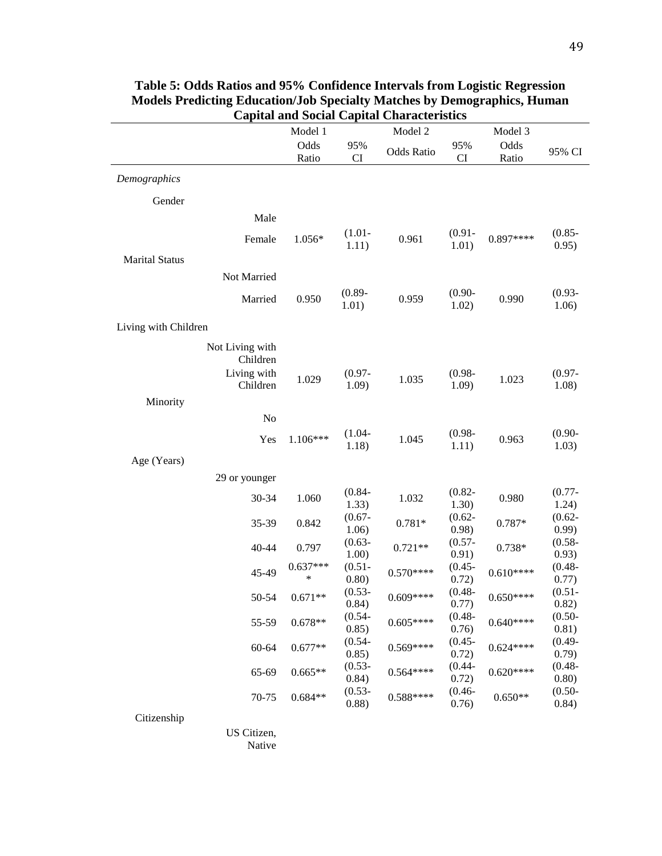|                             | Model 1         |                    | Model 2           |                    | Model 3       |                    |
|-----------------------------|-----------------|--------------------|-------------------|--------------------|---------------|--------------------|
|                             | Odds<br>Ratio   | 95%<br>CI          | <b>Odds Ratio</b> | 95%<br>CI          | Odds<br>Ratio | 95% CI             |
| Demographics                |                 |                    |                   |                    |               |                    |
| Gender                      |                 |                    |                   |                    |               |                    |
| Male                        |                 |                    |                   |                    |               |                    |
| Female                      | 1.056*          | $(1.01 -$<br>1.11) | 0.961             | $(0.91 -$<br>1.01) | $0.897***$    | $(0.85 -$<br>0.95) |
| <b>Marital Status</b>       |                 |                    |                   |                    |               |                    |
| Not Married                 |                 |                    |                   |                    |               |                    |
| Married                     | 0.950           | $(0.89 -$<br>1.01) | 0.959             | $(0.90 -$<br>1.02) | 0.990         | $(0.93 -$<br>1.06) |
| Living with Children        |                 |                    |                   |                    |               |                    |
| Not Living with<br>Children |                 |                    |                   |                    |               |                    |
| Living with<br>Children     | 1.029           | $(0.97 -$<br>1.09) | 1.035             | $(0.98 -$<br>1.09) | 1.023         | $(0.97 -$<br>1.08) |
| Minority                    |                 |                    |                   |                    |               |                    |
| No                          |                 |                    |                   |                    |               |                    |
| Yes                         | $1.106***$      | $(1.04 -$<br>1.18) | 1.045             | $(0.98 -$<br>1.11) | 0.963         | $(0.90 -$<br>1.03) |
| Age (Years)                 |                 |                    |                   |                    |               |                    |
| 29 or younger               |                 |                    |                   |                    |               |                    |
| 30-34                       | 1.060           | $(0.84 -$<br>1.33) | 1.032             | $(0.82 -$<br>1.30) | 0.980         | $(0.77 -$<br>1.24) |
| 35-39                       | 0.842           | $(0.67 -$<br>1.06) | $0.781*$          | $(0.62 -$<br>0.98) | 0.787*        | $(0.62 -$<br>0.99) |
| 40-44                       | 0.797           | $(0.63 -$<br>1.00) | $0.721**$         | $(0.57 -$<br>0.91) | $0.738*$      | $(0.58 -$<br>0.93) |
| 45-49                       | $0.637***$<br>* | $(0.51 -$<br>0.80) | $0.570***$        | $(0.45 -$<br>0.72) | $0.610***$    | $(0.48 -$<br>0.77) |
| 50-54                       | $0.671**$       | $(0.53 -$<br>0.84) | $0.609***$        | $(0.48 -$<br>0.77) | $0.650***$    | $(0.51 -$<br>0.82) |
| 55-59                       | $0.678**$       | $(0.54 -$<br>0.85) | $0.605***$        | $(0.48 -$<br>0.76) | $0.640***$    | $(0.50 -$<br>0.81) |
| 60-64                       | $0.677**$       | $(0.54 -$<br>0.85) | $0.569***$        | $(0.45 -$<br>0.72) | $0.624***$    | $(0.49 -$<br>0.79) |
| 65-69                       | $0.665**$       | $(0.53 -$<br>0.84) | $0.564***$        | $(0.44 -$<br>0.72) | $0.620***$    | $(0.48 -$<br>0.80) |
| 70-75                       | $0.684**$       | $(0.53 -$<br>0.88) | $0.588***$        | $(0.46 -$<br>0.76) | $0.650**$     | $(0.50 -$<br>0.84) |
| Citizenship                 |                 |                    |                   |                    |               |                    |
| US Citizen,                 |                 |                    |                   |                    |               |                    |

**Table 5: Odds Ratios and 95% Confidence Intervals from Logistic Regression Models Predicting Education/Job Specialty Matches by Demographics, Human** 

Native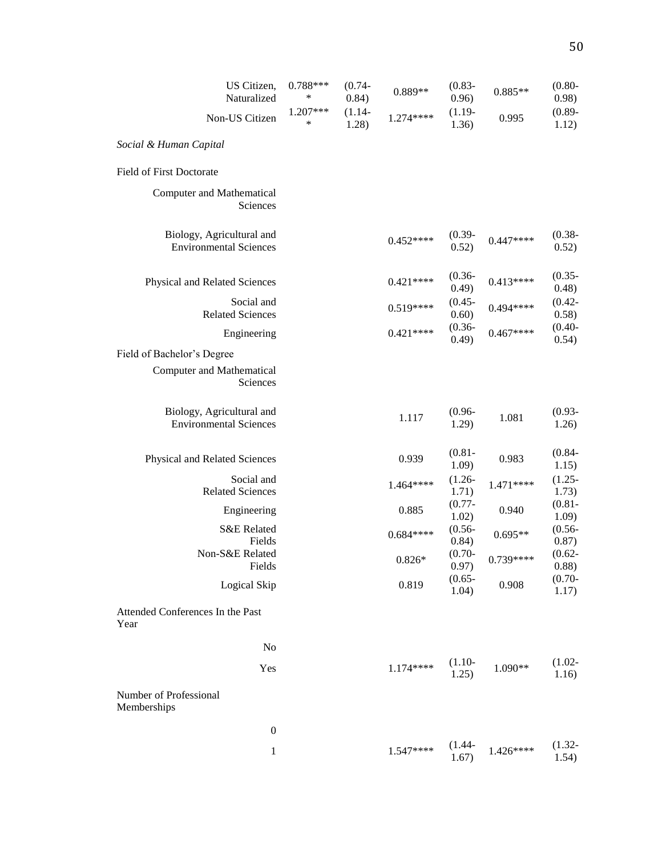| US Citizen,<br>Naturalized                                 | $0.788***$<br>∗ | $(0.74 -$<br>0.84) | 0.889**    | $(0.83 -$<br>0.96)  | $0.885**$  | $(0.80 -$<br>0.98)  |
|------------------------------------------------------------|-----------------|--------------------|------------|---------------------|------------|---------------------|
| Non-US Citizen                                             | 1.207***<br>∗   | $(1.14 -$<br>1.28) | $1.274***$ | $(1.19-$<br>1.36)   | 0.995      | $(0.89 -$<br>1.12)  |
| Social & Human Capital                                     |                 |                    |            |                     |            |                     |
| Field of First Doctorate                                   |                 |                    |            |                     |            |                     |
| <b>Computer and Mathematical</b><br>Sciences               |                 |                    |            |                     |            |                     |
| Biology, Agricultural and<br><b>Environmental Sciences</b> |                 |                    | $0.452***$ | $(0.39 -$<br>0.52)  | $0.447***$ | $(0.38 -$<br>0.52)  |
| Physical and Related Sciences                              |                 |                    | $0.421***$ | $(0.36 -$<br>(0.49) | $0.413***$ | $(0.35 -$<br>0.48)  |
| Social and<br><b>Related Sciences</b>                      |                 |                    | $0.519***$ | $(0.45 -$<br>0.60)  | $0.494***$ | $(0.42 -$<br>0.58)  |
| Engineering                                                |                 |                    | $0.421***$ | $(0.36 -$<br>0.49)  | $0.467***$ | $(0.40 -$<br>0.54)  |
| Field of Bachelor's Degree                                 |                 |                    |            |                     |            |                     |
| <b>Computer and Mathematical</b><br>Sciences               |                 |                    |            |                     |            |                     |
| Biology, Agricultural and<br><b>Environmental Sciences</b> |                 |                    | 1.117      | $(0.96 -$<br>1.29)  | 1.081      | $(0.93 -$<br>1.26)  |
| Physical and Related Sciences                              |                 |                    | 0.939      | $(0.81 -$<br>1.09)  | 0.983      | $(0.84 -$<br>1.15)  |
| Social and<br><b>Related Sciences</b>                      |                 |                    | $1.464***$ | $(1.26 -$<br>1.71)  | 1.471****  | $(1.25 -$<br>1.73)  |
| Engineering                                                |                 |                    | 0.885      | $(0.77 -$<br>1.02)  | 0.940      | $(0.81 -$<br>1.09)  |
| S&E Related<br>Fields                                      |                 |                    | $0.684***$ | $(0.56 -$<br>0.84)  | $0.695**$  | $(0.56 -$<br>0.87)  |
| Non-S&E Related<br>Fields                                  |                 |                    | $0.826*$   | $(0.70 -$<br>0.97)  | 0.739****  | $(0.62 -$<br>(0.88) |
| Logical Skip                                               |                 |                    | 0.819      | $(0.65 -$<br>1.04)  | 0.908      | $(0.70 -$<br>1.17)  |
| Attended Conferences In the Past<br>Year                   |                 |                    |            |                     |            |                     |
| N <sub>o</sub>                                             |                 |                    |            |                     |            |                     |
| Yes                                                        |                 |                    | $1.174***$ | $(1.10-$<br>1.25)   | 1.090**    | $(1.02 -$<br>1.16)  |
| Number of Professional<br>Memberships                      |                 |                    |            |                     |            |                     |
| $\boldsymbol{0}$                                           |                 |                    |            |                     |            |                     |
|                                                            |                 |                    |            | $(1 \ A)$           |            | (1, 22)             |

1  $1.547***$   $(1.44-1.67)$  $1.426***$  $(1.32 - 1.54)$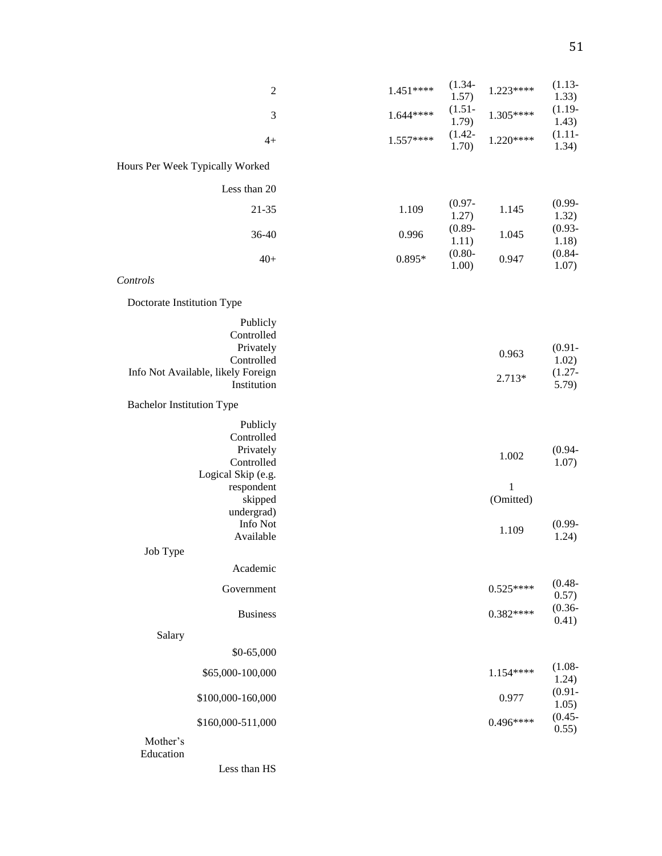| $\mathfrak{2}$                                    | $1.451***$ | $(1.34 -$<br>1.57) | $1.223***$ | $(1.13 -$<br>1.33) |
|---------------------------------------------------|------------|--------------------|------------|--------------------|
| $\mathfrak{Z}$                                    | $1.644***$ | $(1.51 -$<br>1.79) | 1.305****  | $(1.19-$<br>1.43)  |
| $4+$                                              | $1.557***$ | $(1.42 -$<br>1.70) | $1.220***$ | $(1.11 -$<br>1.34) |
| Hours Per Week Typically Worked                   |            |                    |            |                    |
| Less than 20                                      |            |                    |            |                    |
| 21-35                                             | 1.109      | $(0.97 -$<br>1.27) | 1.145      | $(0.99 -$<br>1.32) |
| 36-40                                             | 0.996      | $(0.89 -$<br>1.11) | 1.045      | $(0.93 -$<br>1.18) |
| $40+$                                             | $0.895*$   | $(0.80 -$<br>1.00) | 0.947      | $(0.84 -$<br>1.07) |
| Controls                                          |            |                    |            |                    |
| Doctorate Institution Type                        |            |                    |            |                    |
| Publicly<br>Controlled                            |            |                    |            |                    |
| Privately<br>Controlled                           |            |                    | 0.963      | $(0.91 -$<br>1.02) |
| Info Not Available, likely Foreign<br>Institution |            |                    | 2.713*     | $(1.27 -$<br>5.79) |
| <b>Bachelor Institution Type</b>                  |            |                    |            |                    |
| Publicly                                          |            |                    |            |                    |
| Controlled                                        |            |                    |            |                    |
| Privately<br>Controlled                           |            |                    | 1.002      | $(0.94 -$<br>1.07) |
| Logical Skip (e.g.                                |            |                    |            |                    |
| respondent                                        |            |                    | 1          |                    |
| skipped                                           |            |                    | (Omitted)  |                    |
| undergrad)<br>Info Not                            |            |                    |            | $(0.99 -$          |
| Available                                         |            |                    | 1.109      | 1.24)              |
| Job Type                                          |            |                    |            |                    |
| Academic                                          |            |                    |            |                    |
| Government                                        |            |                    | $0.525***$ | $(0.48 -$<br>0.57) |
| <b>Business</b>                                   |            |                    | $0.382***$ | $(0.36 -$<br>0.41) |
| Salary                                            |            |                    |            |                    |
| \$0-65,000                                        |            |                    |            |                    |
| \$65,000-100,000                                  |            |                    | $1.154***$ | $(1.08 -$<br>1.24) |
| \$100,000-160,000                                 |            |                    | 0.977      | $(0.91 -$<br>1.05) |
| \$160,000-511,000                                 |            |                    | $0.496***$ | $(0.45 -$<br>0.55) |
| Mother's<br>Education                             |            |                    |            |                    |

Less than HS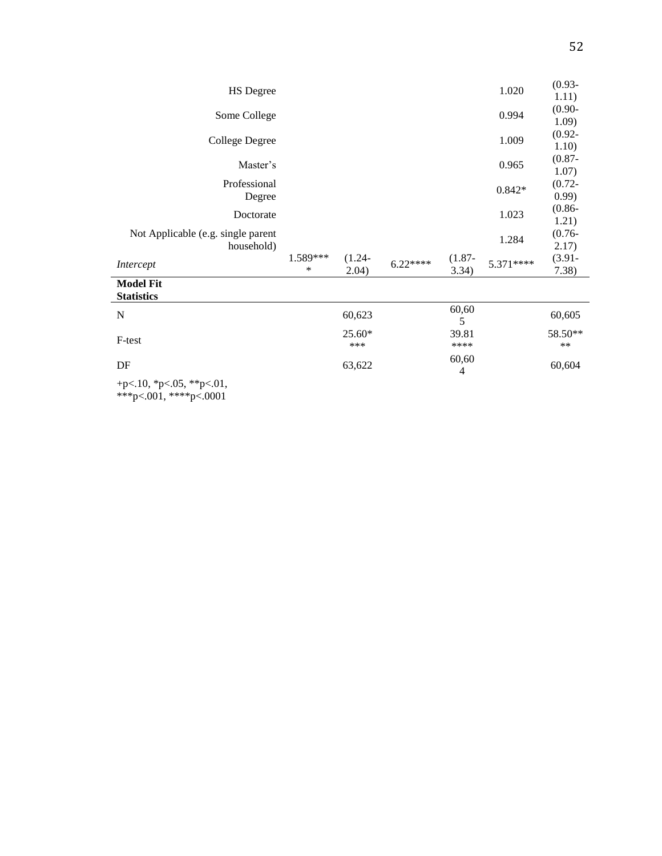| <b>HS</b> Degree                                   |               |                    |           |                    | 1.020     | $(0.93 -$<br>1.11) |
|----------------------------------------------------|---------------|--------------------|-----------|--------------------|-----------|--------------------|
| Some College                                       |               |                    |           |                    | 0.994     | $(0.90 -$<br>1.09) |
| <b>College Degree</b>                              |               |                    |           |                    | 1.009     | $(0.92 -$<br>1.10) |
| Master's                                           |               |                    |           |                    | 0.965     | $(0.87 -$<br>1.07) |
| Professional<br>Degree                             |               |                    |           |                    | $0.842*$  | $(0.72 -$<br>0.99) |
| Doctorate                                          |               |                    |           |                    | 1.023     | $(0.86 -$<br>1.21) |
| Not Applicable (e.g. single parent<br>household)   |               |                    |           |                    | 1.284     | $(0.76 -$<br>2.17) |
| Intercept                                          | 1.589***<br>* | $(1.24 -$<br>2.04) | $6.22***$ | $(1.87 -$<br>3.34) | 5.371**** | $(3.91 -$<br>7.38) |
| <b>Model Fit</b><br><b>Statistics</b>              |               |                    |           |                    |           |                    |
| $\mathbf N$                                        |               | 60,623             |           | 60,60<br>5         |           | 60,605             |
| F-test                                             |               | 25.60*<br>***      |           | 39.81<br>****      |           | 58.50**<br>$***$   |
| DF                                                 |               | 63,622             |           | 60,60<br>4         |           | 60,604             |
| +p<.10, *p<.05, **p<.01,<br>***p<.001, ****p<.0001 |               |                    |           |                    |           |                    |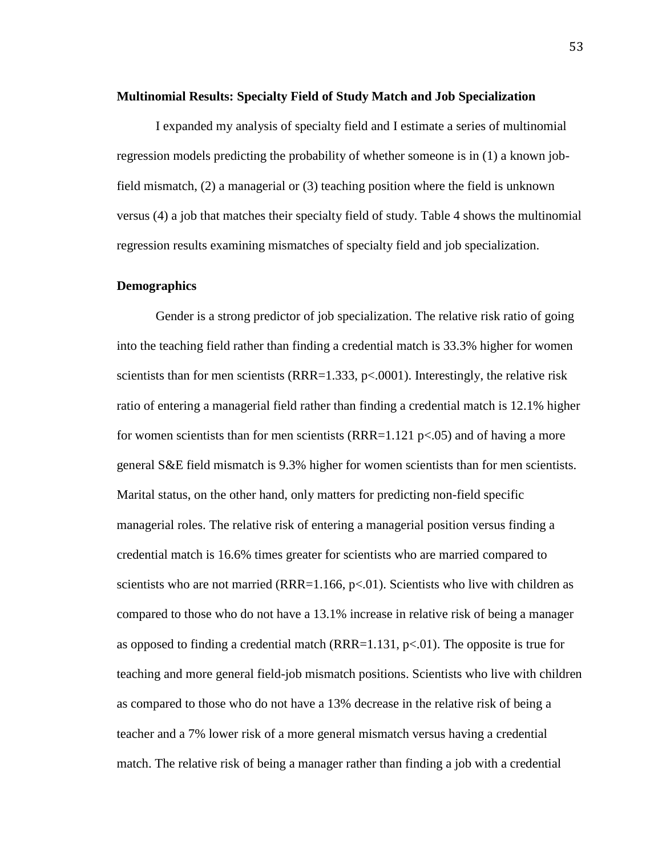#### **Multinomial Results: Specialty Field of Study Match and Job Specialization**

I expanded my analysis of specialty field and I estimate a series of multinomial regression models predicting the probability of whether someone is in (1) a known jobfield mismatch, (2) a managerial or (3) teaching position where the field is unknown versus (4) a job that matches their specialty field of study. Table 4 shows the multinomial regression results examining mismatches of specialty field and job specialization.

# **Demographics**

Gender is a strong predictor of job specialization. The relative risk ratio of going into the teaching field rather than finding a credential match is 33.3% higher for women scientists than for men scientists (RRR=1.333,  $p<.0001$ ). Interestingly, the relative risk ratio of entering a managerial field rather than finding a credential match is 12.1% higher for women scientists than for men scientists (RRR=1.121  $p<0.05$ ) and of having a more general S&E field mismatch is 9.3% higher for women scientists than for men scientists. Marital status, on the other hand, only matters for predicting non-field specific managerial roles. The relative risk of entering a managerial position versus finding a credential match is 16.6% times greater for scientists who are married compared to scientists who are not married (RRR=1.166,  $p<0$ 1). Scientists who live with children as compared to those who do not have a 13.1% increase in relative risk of being a manager as opposed to finding a credential match  $(RRR=1.131, p<0.01)$ . The opposite is true for teaching and more general field-job mismatch positions. Scientists who live with children as compared to those who do not have a 13% decrease in the relative risk of being a teacher and a 7% lower risk of a more general mismatch versus having a credential match. The relative risk of being a manager rather than finding a job with a credential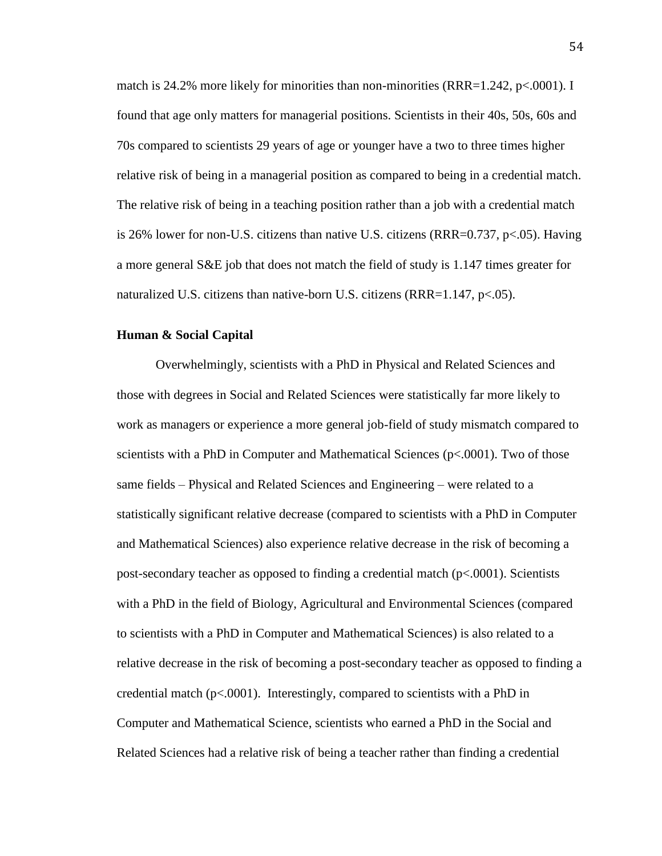match is 24.2% more likely for minorities than non-minorities (RRR=1.242, p<.0001). I found that age only matters for managerial positions. Scientists in their 40s, 50s, 60s and 70s compared to scientists 29 years of age or younger have a two to three times higher relative risk of being in a managerial position as compared to being in a credential match. The relative risk of being in a teaching position rather than a job with a credential match is 26% lower for non-U.S. citizens than native U.S. citizens (RRR=0.737, p<.05). Having a more general S&E job that does not match the field of study is 1.147 times greater for naturalized U.S. citizens than native-born U.S. citizens (RRR=1.147, p<.05).

# **Human & Social Capital**

Overwhelmingly, scientists with a PhD in Physical and Related Sciences and those with degrees in Social and Related Sciences were statistically far more likely to work as managers or experience a more general job-field of study mismatch compared to scientists with a PhD in Computer and Mathematical Sciences (p<.0001). Two of those same fields – Physical and Related Sciences and Engineering – were related to a statistically significant relative decrease (compared to scientists with a PhD in Computer and Mathematical Sciences) also experience relative decrease in the risk of becoming a post-secondary teacher as opposed to finding a credential match (p<.0001). Scientists with a PhD in the field of Biology, Agricultural and Environmental Sciences (compared to scientists with a PhD in Computer and Mathematical Sciences) is also related to a relative decrease in the risk of becoming a post-secondary teacher as opposed to finding a credential match ( $p<0.001$ ). Interestingly, compared to scientists with a PhD in Computer and Mathematical Science, scientists who earned a PhD in the Social and Related Sciences had a relative risk of being a teacher rather than finding a credential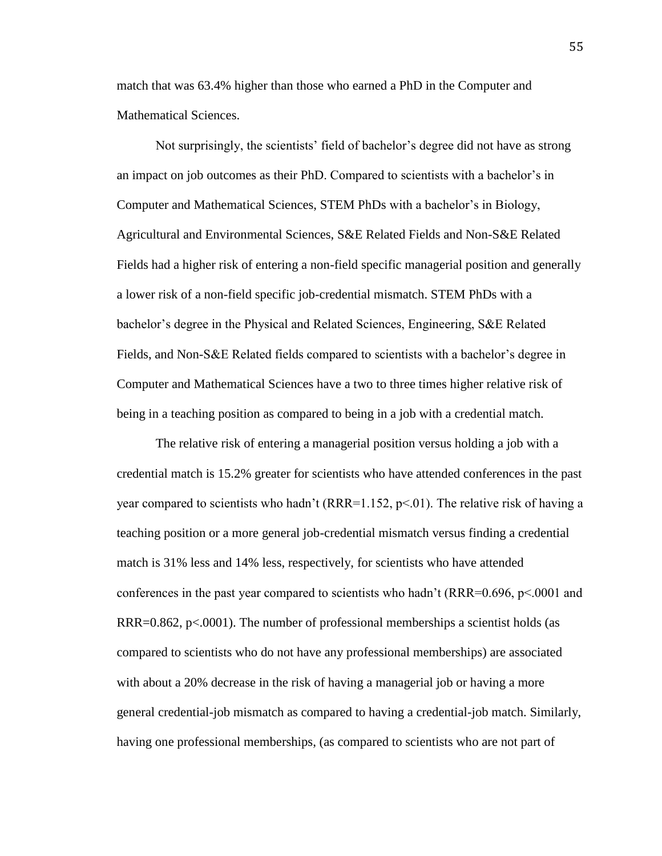match that was 63.4% higher than those who earned a PhD in the Computer and Mathematical Sciences.

Not surprisingly, the scientists' field of bachelor's degree did not have as strong an impact on job outcomes as their PhD. Compared to scientists with a bachelor's in Computer and Mathematical Sciences, STEM PhDs with a bachelor's in Biology, Agricultural and Environmental Sciences, S&E Related Fields and Non-S&E Related Fields had a higher risk of entering a non-field specific managerial position and generally a lower risk of a non-field specific job-credential mismatch. STEM PhDs with a bachelor's degree in the Physical and Related Sciences, Engineering, S&E Related Fields, and Non-S&E Related fields compared to scientists with a bachelor's degree in Computer and Mathematical Sciences have a two to three times higher relative risk of being in a teaching position as compared to being in a job with a credential match.

The relative risk of entering a managerial position versus holding a job with a credential match is 15.2% greater for scientists who have attended conferences in the past year compared to scientists who hadn't ( $RRR=1.152$ ,  $p<01$ ). The relative risk of having a teaching position or a more general job-credential mismatch versus finding a credential match is 31% less and 14% less, respectively, for scientists who have attended conferences in the past year compared to scientists who hadn't (RRR= $0.696$ , p $\leq 0.001$  and  $RRR=0.862$ , p<.0001). The number of professional memberships a scientist holds (as compared to scientists who do not have any professional memberships) are associated with about a 20% decrease in the risk of having a managerial job or having a more general credential-job mismatch as compared to having a credential-job match. Similarly, having one professional memberships, (as compared to scientists who are not part of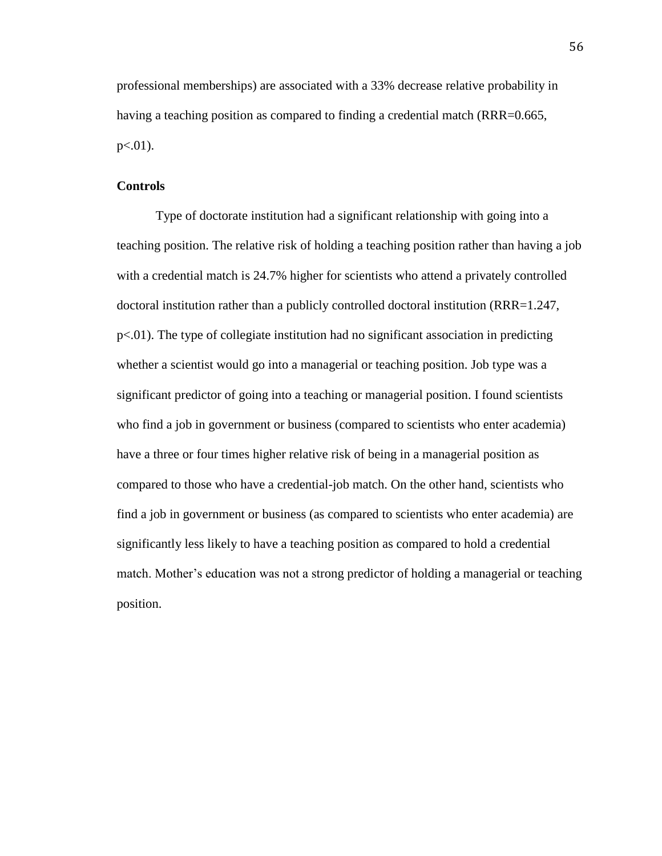professional memberships) are associated with a 33% decrease relative probability in having a teaching position as compared to finding a credential match (RRR=0.665,  $p<.01$ ).

## **Controls**

Type of doctorate institution had a significant relationship with going into a teaching position. The relative risk of holding a teaching position rather than having a job with a credential match is 24.7% higher for scientists who attend a privately controlled doctoral institution rather than a publicly controlled doctoral institution (RRR=1.247, p<.01). The type of collegiate institution had no significant association in predicting whether a scientist would go into a managerial or teaching position. Job type was a significant predictor of going into a teaching or managerial position. I found scientists who find a job in government or business (compared to scientists who enter academia) have a three or four times higher relative risk of being in a managerial position as compared to those who have a credential-job match. On the other hand, scientists who find a job in government or business (as compared to scientists who enter academia) are significantly less likely to have a teaching position as compared to hold a credential match. Mother's education was not a strong predictor of holding a managerial or teaching position.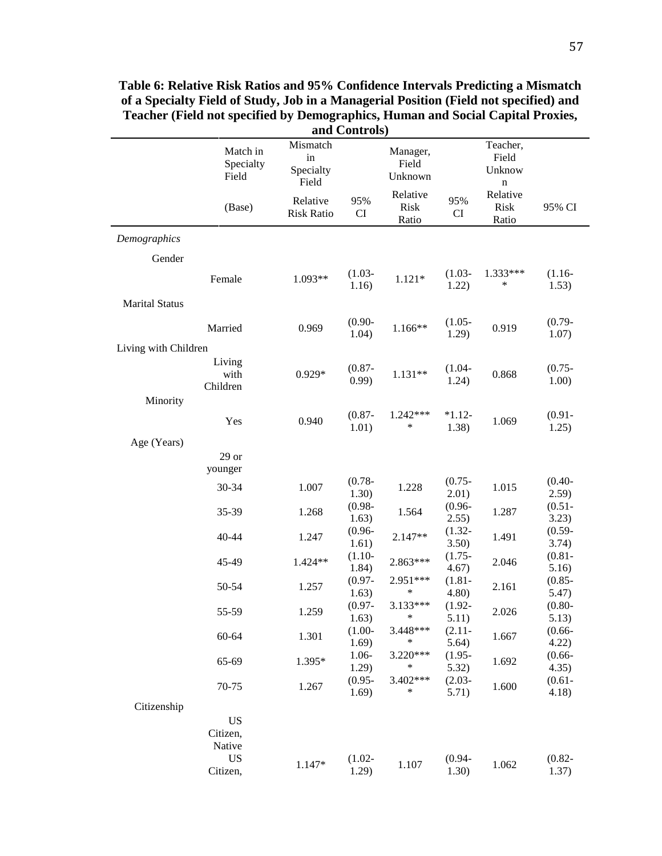| and Controls)         |                                              |                                      |                    |                              |                    |                                            |                    |
|-----------------------|----------------------------------------------|--------------------------------------|--------------------|------------------------------|--------------------|--------------------------------------------|--------------------|
|                       | Match in<br>Specialty<br>Field               | Mismatch<br>in<br>Specialty<br>Field |                    | Manager,<br>Field<br>Unknown |                    | Teacher,<br>Field<br>Unknow<br>$\mathbf n$ |                    |
|                       | (Base)                                       | Relative<br><b>Risk Ratio</b>        | 95%<br>CI          | Relative<br>Risk<br>Ratio    | 95%<br><b>CI</b>   | Relative<br><b>Risk</b><br>Ratio           | 95% CI             |
| Demographics          |                                              |                                      |                    |                              |                    |                                            |                    |
| Gender                |                                              |                                      |                    |                              |                    |                                            |                    |
|                       | Female                                       | 1.093**                              | $(1.03 -$<br>1.16) | $1.121*$                     | $(1.03 -$<br>1.22) | 1.333***<br>$\ast$                         | $(1.16 -$<br>1.53) |
| <b>Marital Status</b> |                                              |                                      |                    |                              |                    |                                            |                    |
|                       | Married                                      | 0.969                                | $(0.90 -$<br>1.04) | $1.166**$                    | $(1.05 -$<br>1.29) | 0.919                                      | $(0.79 -$<br>1.07) |
| Living with Children  |                                              |                                      |                    |                              |                    |                                            |                    |
|                       | Living<br>with<br>Children                   | $0.929*$                             | $(0.87 -$<br>0.99) | $1.131**$                    | $(1.04 -$<br>1.24) | 0.868                                      | $(0.75 -$<br>1.00) |
| Minority              |                                              |                                      |                    |                              |                    |                                            |                    |
|                       | Yes                                          | 0.940                                | $(0.87 -$<br>1.01) | $1.242***$<br>$\ast$         | $*1.12-$<br>1.38)  | 1.069                                      | $(0.91 -$<br>1.25) |
| Age (Years)           |                                              |                                      |                    |                              |                    |                                            |                    |
|                       | $29$ or<br>younger                           |                                      |                    |                              |                    |                                            |                    |
|                       | 30-34                                        | 1.007                                | $(0.78 -$<br>1.30) | 1.228                        | $(0.75 -$<br>2.01) | 1.015                                      | $(0.40 -$<br>2.59) |
|                       | 35-39                                        | 1.268                                | $(0.98 -$<br>1.63) | 1.564                        | $(0.96 -$<br>2.55) | 1.287                                      | $(0.51 -$<br>3.23) |
|                       | 40-44                                        | 1.247                                | $(0.96 -$<br>1.61) | 2.147**                      | $(1.32 -$<br>3.50) | 1.491                                      | $(0.59 -$<br>3.74) |
|                       | 45-49                                        | 1.424**                              | $(1.10-$<br>1.84)  | 2.863***                     | $(1.75 -$<br>4.67) | 2.046                                      | $(0.81 -$<br>5.16) |
|                       | 50-54                                        | 1.257                                | $(0.97 -$<br>1.63) | 2.951***<br>∗                | $(1.81 -$<br>4.80) | 2.161                                      | $(0.85 -$<br>5.47) |
|                       | 55-59                                        | 1.259                                | $(0.97 -$<br>1.63) | 3.133***<br>$\ast$           | $(1.92 -$<br>5.11) | 2.026                                      | $(0.80 -$<br>5.13) |
|                       | $60 - 64$                                    | 1.301                                | $(1.00 -$<br>1.69) | 3.448***<br>$\ast$           | $(2.11 -$<br>5.64) | 1.667                                      | $(0.66 -$<br>4.22) |
|                       | 65-69                                        | 1.395*                               | 1.06-<br>1.29)     | 3.220***<br>∗                | $(1.95 -$<br>5.32) | 1.692                                      | $(0.66 -$<br>4.35) |
|                       | 70-75                                        | 1.267                                | $(0.95 -$<br>1.69) | 3.402***<br>$\ast$           | $(2.03 -$<br>5.71) | 1.600                                      | $(0.61 -$<br>4.18) |
| Citizenship           |                                              |                                      |                    |                              |                    |                                            |                    |
|                       | <b>US</b><br>Citizen,<br>Native<br><b>US</b> |                                      | $(1.02 -$          |                              | $(0.94 -$          |                                            | $(0.82 -$          |
|                       | Citizen,                                     | 1.147*                               | 1.29)              | 1.107                        | 1.30)              | 1.062                                      | 1.37)              |

**Table 6: Relative Risk Ratios and 95% Confidence Intervals Predicting a Mismatch of a Specialty Field of Study, Job in a Managerial Position (Field not specified) and Teacher (Field not specified by Demographics, Human and Social Capital Proxies,**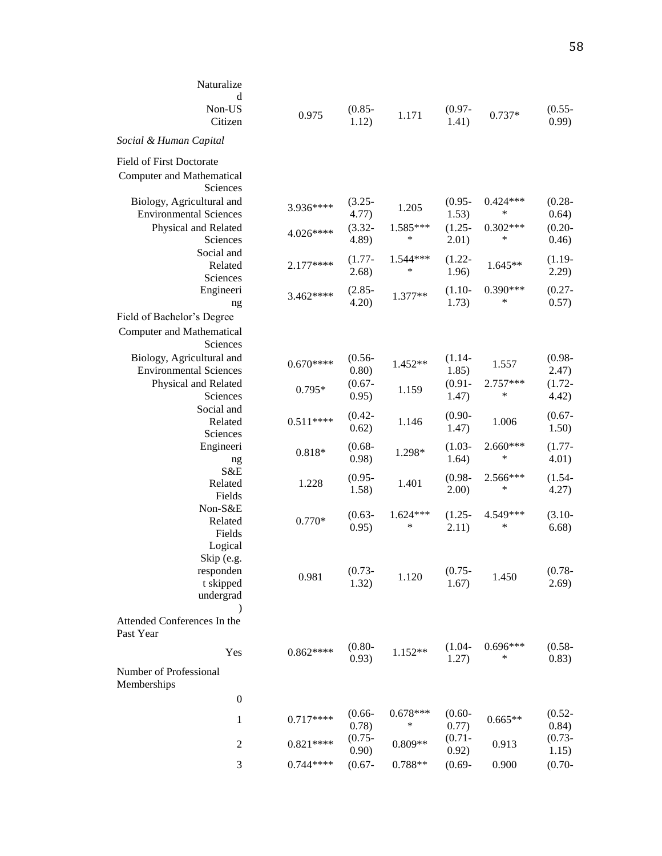| Naturalize<br>d<br>Non-US                |            | $(0.85 -$          |                 | $(0.97 -$          |                 | $(0.55 -$          |
|------------------------------------------|------------|--------------------|-----------------|--------------------|-----------------|--------------------|
| Citizen                                  | 0.975      | 1.12)              | 1.171           | 1.41)              | $0.737*$        | 0.99)              |
| Social & Human Capital                   |            |                    |                 |                    |                 |                    |
| <b>Field of First Doctorate</b>          |            |                    |                 |                    |                 |                    |
| <b>Computer and Mathematical</b>         |            |                    |                 |                    |                 |                    |
| Sciences                                 |            |                    |                 |                    |                 |                    |
| Biology, Agricultural and                | 3.936****  | $(3.25 -$          | 1.205           | $(0.95 -$          | $0.424***$      | $(0.28 -$          |
| <b>Environmental Sciences</b>            |            | 4.77)              |                 | 1.53)              | ∗               | 0.64)              |
| Physical and Related                     | 4.026****  | $(3.32 -$          | 1.585***        | $(1.25 -$          | $0.302***$      | $(0.20 -$          |
| Sciences                                 |            | 4.89               | ∗               | 2.01)              | ∗               | 0.46)              |
| Social and                               |            | $(1.77 -$          | 1.544 ***       | $(1.22 -$          |                 | $(1.19-$           |
| Related                                  | $2.177***$ | 2.68)              | *               | 1.96)              | 1.645**         | 2.29)              |
| Sciences                                 |            |                    |                 |                    |                 |                    |
| Engineeri                                | 3.462****  | $(2.85 -$          | $1.377**$       | $(1.10-$           | $0.390***$      | $(0.27 -$          |
| ng                                       |            | 4.20               |                 | 1.73)              | ∗               | 0.57)              |
| Field of Bachelor's Degree               |            |                    |                 |                    |                 |                    |
| <b>Computer and Mathematical</b>         |            |                    |                 |                    |                 |                    |
| Sciences                                 |            |                    |                 |                    |                 |                    |
| Biology, Agricultural and                | $0.670***$ | $(0.56 -$          | 1.452**         | $(1.14-$           | 1.557           | $(0.98 -$          |
| <b>Environmental Sciences</b>            |            | 0.80)              |                 | 1.85)              |                 | 2.47)              |
| Physical and Related                     | $0.795*$   | $(0.67 -$          | 1.159           | $(0.91 -$          | 2.757***        | $(1.72 -$          |
| Sciences                                 |            | 0.95)              |                 | 1.47)              | *               | 4.42)              |
| Social and                               |            | $(0.42 -$          |                 | $(0.90 -$          |                 | $(0.67 -$          |
| Related                                  | $0.511***$ | 0.62)              | 1.146           | 1.47)              | 1.006           | 1.50)              |
| Sciences                                 |            |                    |                 |                    |                 |                    |
| Engineeri                                | $0.818*$   | $(0.68 -$<br>0.98) | 1.298*          | $(1.03 -$<br>1.64) | 2.660***<br>∗   | $(1.77-$<br>4.01)  |
| ng<br>S&E                                |            |                    |                 |                    |                 |                    |
| Related                                  | 1.228      | $(0.95 -$          | 1.401           | $(0.98 -$          | 2.566***        | $(1.54 -$          |
| Fields                                   |            | 1.58)              |                 | 2.00)              | *               | 4.27)              |
| Non-S&E                                  |            |                    |                 |                    |                 |                    |
| Related                                  | $0.770*$   | $(0.63 -$          | $1.624***$<br>∗ | $(1.25 -$          | 4.549***<br>*   | $(3.10 -$          |
| Fields                                   |            | 0.95)              |                 | 2.11)              |                 | 6.68)              |
| Logical                                  |            |                    |                 |                    |                 |                    |
| Skip (e.g.                               |            |                    |                 |                    |                 |                    |
| responden                                | 0.981      | $(0.73 -$          | 1.120           | $(0.75 -$          | 1.450           | $(0.78 -$          |
| t skipped                                |            | 1.32)              |                 | 1.67)              |                 | 2.69)              |
| undergrad                                |            |                    |                 |                    |                 |                    |
| $\mathcal{E}$                            |            |                    |                 |                    |                 |                    |
| Attended Conferences In the<br>Past Year |            |                    |                 |                    |                 |                    |
| Yes                                      | $0.862***$ | $(0.80 -$<br>0.93) | 1.152**         | $(1.04 -$<br>1.27) | $0.696***$<br>∗ | $(0.58 -$<br>0.83) |
| Number of Professional<br>Memberships    |            |                    |                 |                    |                 |                    |
| $\boldsymbol{0}$                         |            |                    |                 |                    |                 |                    |
|                                          | $0.717***$ | $(0.66 -$          | $0.678***$      | $(0.60 -$          |                 | $(0.52 -$          |
| 1                                        |            | 0.78)              | ∗               | 0.77)              | $0.665**$       | 0.84)              |
| $\boldsymbol{2}$                         | $0.821***$ | $(0.75 -$<br>0.90) | $0.809**$       | $(0.71 -$<br>0.92) | 0.913           | $(0.73 -$<br>1.15) |
| 3                                        | $0.744***$ | $(0.67 -$          | 0.788**         | $(0.69 -$          | 0.900           | $(0.70 -$          |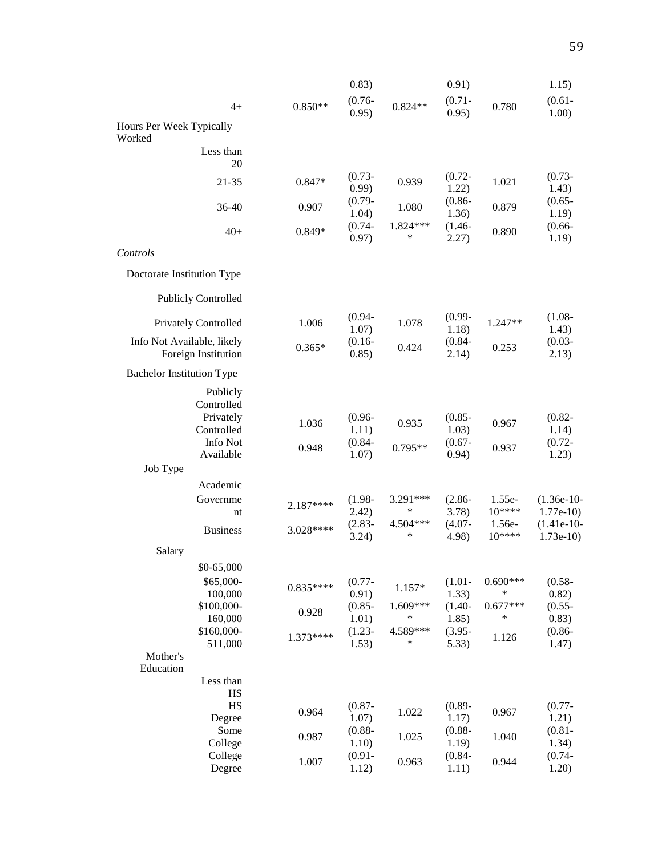|                                                   |            | 0.83)              |                      | 0.91)              |                   | 1.15)                      |
|---------------------------------------------------|------------|--------------------|----------------------|--------------------|-------------------|----------------------------|
| $4+$                                              | $0.850**$  | $(0.76 -$<br>0.95) | $0.824**$            | $(0.71 -$<br>0.95) | 0.780             | $(0.61 -$<br>1.00)         |
| Hours Per Week Typically<br>Worked                |            |                    |                      |                    |                   |                            |
| Less than<br>20                                   |            |                    |                      |                    |                   |                            |
| 21-35                                             | 0.847*     | $(0.73 -$<br>0.99) | 0.939                | $(0.72 -$<br>1.22) | 1.021             | $(0.73 -$<br>1.43)         |
| 36-40                                             | 0.907      | $(0.79 -$<br>1.04) | 1.080                | $(0.86 -$<br>1.36) | 0.879             | $(0.65 -$<br>1.19)         |
| $40+$                                             | 0.849*     | $(0.74 -$<br>0.97) | 1.824***<br>$\ast$   | $(1.46-$<br>2.27)  | 0.890             | $(0.66 -$<br>1.19)         |
| Controls                                          |            |                    |                      |                    |                   |                            |
| Doctorate Institution Type                        |            |                    |                      |                    |                   |                            |
| <b>Publicly Controlled</b>                        |            |                    |                      |                    |                   |                            |
| <b>Privately Controlled</b>                       | 1.006      | $(0.94 -$<br>1.07) | 1.078                | $(0.99 -$<br>1.18) | 1.247**           | $(1.08 -$<br>1.43)         |
| Info Not Available, likely<br>Foreign Institution | $0.365*$   | $(0.16 -$<br>0.85) | 0.424                | $(0.84 -$<br>2.14) | 0.253             | $(0.03 -$<br>2.13)         |
| <b>Bachelor Institution Type</b>                  |            |                    |                      |                    |                   |                            |
| Publicly<br>Controlled<br>Privately<br>Controlled | 1.036      | $(0.96 -$<br>1.11) | 0.935                | $(0.85 -$<br>1.03) | 0.967             | $(0.82 -$<br>1.14)         |
| Info Not<br>Available                             | 0.948      | $(0.84 -$<br>1.07) | 0.795**              | $(0.67 -$<br>0.94) | 0.937             | $(0.72 -$<br>1.23)         |
| Job Type                                          |            |                    |                      |                    |                   |                            |
| Academic                                          |            |                    |                      |                    |                   |                            |
| Governme<br>nt                                    | $2.187***$ | $(1.98 -$<br>2.42) | 3.291***<br>∗        | $(2.86 -$<br>3.78) | 1.55e-<br>$10***$ | $(1.36e-10-$<br>$1.77e-10$ |
| <b>Business</b>                                   | 3.028****  | $(2.83 -$<br>3.24) | 4.504***<br>∗        | $(4.07 -$<br>4.98) | 1.56e-<br>$10***$ | $(1.41e-10-$<br>$1.73e-10$ |
| Salary                                            |            |                    |                      |                    |                   |                            |
| \$0-65,000                                        |            |                    |                      |                    |                   |                            |
| \$65,000-<br>100,000                              | $0.835***$ | $(0.77 -$<br>0.91) | $1.157*$             | $(1.01 -$<br>1.33) | $0.690***$<br>∗   | $(0.58 -$<br>0.82)         |
| \$100,000-<br>160,000                             | 0.928      | $(0.85 -$<br>1.01) | $1.609***$<br>$\ast$ | $(1.40-$<br>1.85)  | $0.677***$<br>*   | $(0.55 -$<br>0.83)         |
| \$160,000-<br>511,000                             | 1.373****  | $(1.23 -$<br>1.53) | 4.589***<br>$\ast$   | $(3.95 -$<br>5.33) | 1.126             | $(0.86 -$<br>1.47)         |
| Mother's                                          |            |                    |                      |                    |                   |                            |
| Education<br>Less than<br>HS                      |            |                    |                      |                    |                   |                            |
| HS<br>Degree                                      | 0.964      | $(0.87 -$<br>1.07) | 1.022                | $(0.89 -$<br>1.17) | 0.967             | $(0.77 -$<br>1.21)         |
| Some<br>College                                   | 0.987      | $(0.88 -$<br>1.10) | 1.025                | $(0.88 -$<br>1.19) | 1.040             | $(0.81 -$<br>1.34)         |
| College<br>Degree                                 | 1.007      | $(0.91 -$<br>1.12) | 0.963                | $(0.84 -$<br>1.11) | 0.944             | $(0.74 -$<br>1.20)         |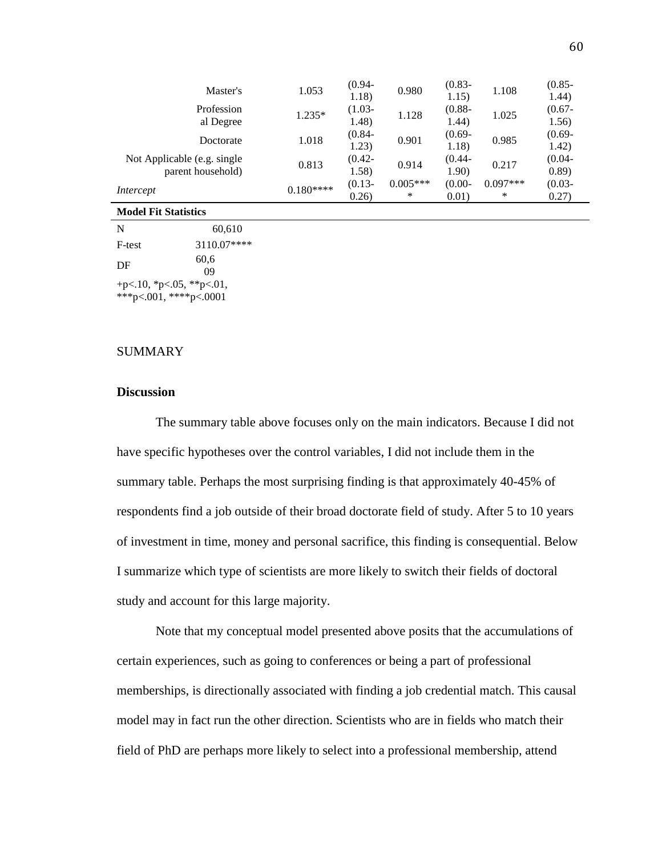| Master's                    | 1.053      | $(0.94 -$ | 0.980      | $(0.83 -$ | 1.108      | $(0.85 -$ |
|-----------------------------|------------|-----------|------------|-----------|------------|-----------|
|                             |            | 1.18)     |            | 1.15)     |            | 1.44)     |
| Profession                  | $1.235*$   | $(1.03 -$ | 1.128      | $(0.88 -$ | 1.025      | $(0.67 -$ |
| al Degree                   |            | 1.48)     |            | 1.44)     |            | 1.56)     |
| Doctorate                   | 1.018      | $(0.84 -$ | 0.901      | $(0.69 -$ | 0.985      | $(0.69 -$ |
|                             |            | 1.23)     |            | 1.18)     |            | 1.42)     |
| Not Applicable (e.g. single | 0.813      | $(0.42 -$ | 0.914      | $(0.44 -$ | 0.217      | $(0.04 -$ |
| parent household)           |            | 1.58)     |            | 1.90)     |            | (0.89)    |
| Intercept                   | $0.180***$ | $(0.13 -$ | $0.005***$ | $(0.00 -$ | $0.097***$ | $(0.03 -$ |
|                             |            | 0.26      | ∗          | 0.01)     | ∗          | 0.27)     |
|                             |            |           |            |           |            |           |

#### **Model Fit Statistics**

| N      | 60,610                                             |
|--------|----------------------------------------------------|
| F-test | 3110.07****                                        |
| DF     | 60,6<br>09                                         |
|        | +p<.10, *p<.05, **p<.01,<br>***p<.001, ****p<.0001 |

# SUMMARY

# **Discussion**

The summary table above focuses only on the main indicators. Because I did not have specific hypotheses over the control variables, I did not include them in the summary table. Perhaps the most surprising finding is that approximately 40-45% of respondents find a job outside of their broad doctorate field of study. After 5 to 10 years of investment in time, money and personal sacrifice, this finding is consequential. Below I summarize which type of scientists are more likely to switch their fields of doctoral study and account for this large majority.

Note that my conceptual model presented above posits that the accumulations of certain experiences, such as going to conferences or being a part of professional memberships, is directionally associated with finding a job credential match. This causal model may in fact run the other direction. Scientists who are in fields who match their field of PhD are perhaps more likely to select into a professional membership, attend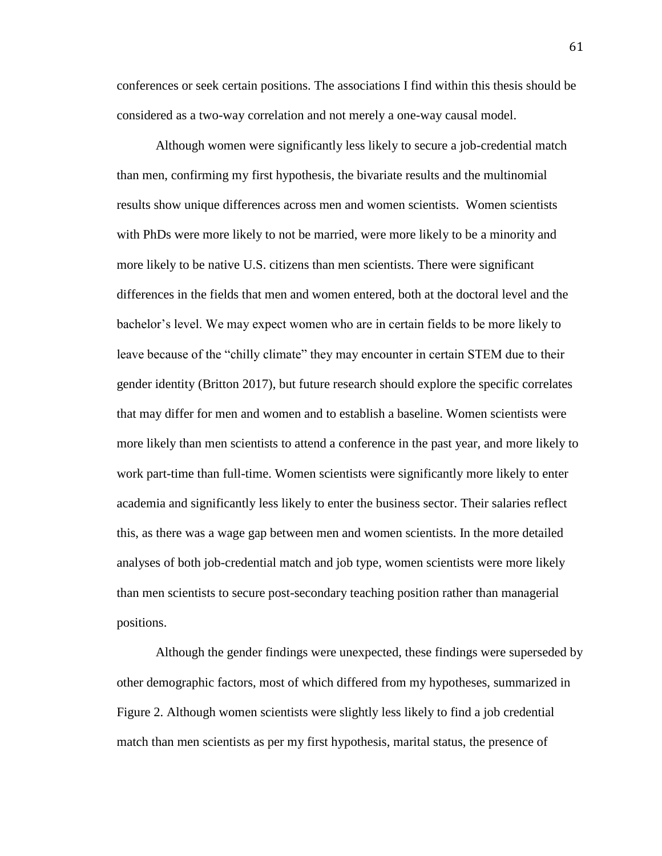conferences or seek certain positions. The associations I find within this thesis should be considered as a two-way correlation and not merely a one-way causal model.

Although women were significantly less likely to secure a job-credential match than men, confirming my first hypothesis, the bivariate results and the multinomial results show unique differences across men and women scientists. Women scientists with PhDs were more likely to not be married, were more likely to be a minority and more likely to be native U.S. citizens than men scientists. There were significant differences in the fields that men and women entered, both at the doctoral level and the bachelor's level. We may expect women who are in certain fields to be more likely to leave because of the "chilly climate" they may encounter in certain STEM due to their gender identity (Britton 2017), but future research should explore the specific correlates that may differ for men and women and to establish a baseline. Women scientists were more likely than men scientists to attend a conference in the past year, and more likely to work part-time than full-time. Women scientists were significantly more likely to enter academia and significantly less likely to enter the business sector. Their salaries reflect this, as there was a wage gap between men and women scientists. In the more detailed analyses of both job-credential match and job type, women scientists were more likely than men scientists to secure post-secondary teaching position rather than managerial positions.

Although the gender findings were unexpected, these findings were superseded by other demographic factors, most of which differed from my hypotheses, summarized in Figure 2. Although women scientists were slightly less likely to find a job credential match than men scientists as per my first hypothesis, marital status, the presence of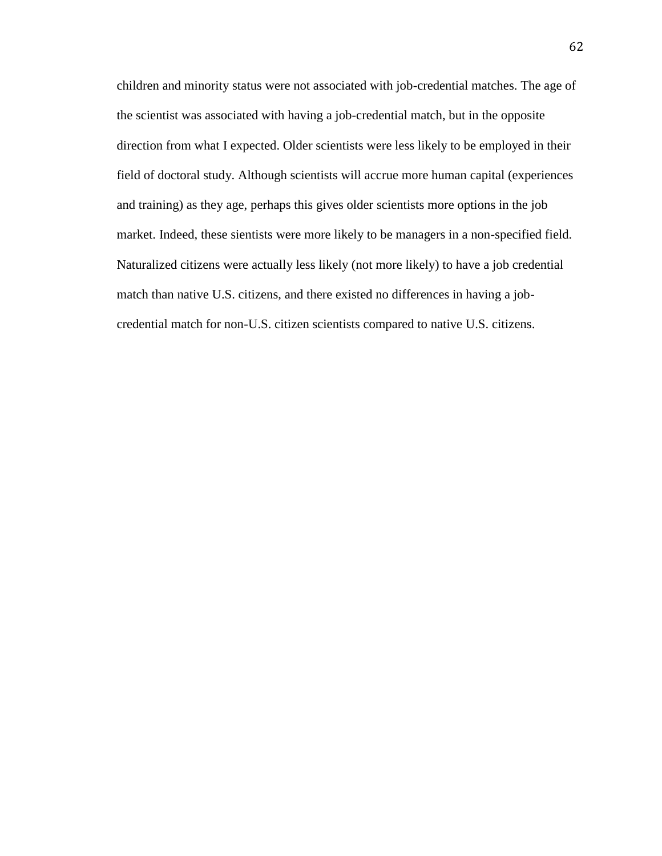children and minority status were not associated with job-credential matches. The age of the scientist was associated with having a job-credential match, but in the opposite direction from what I expected. Older scientists were less likely to be employed in their field of doctoral study. Although scientists will accrue more human capital (experiences and training) as they age, perhaps this gives older scientists more options in the job market. Indeed, these sientists were more likely to be managers in a non-specified field. Naturalized citizens were actually less likely (not more likely) to have a job credential match than native U.S. citizens, and there existed no differences in having a jobcredential match for non-U.S. citizen scientists compared to native U.S. citizens.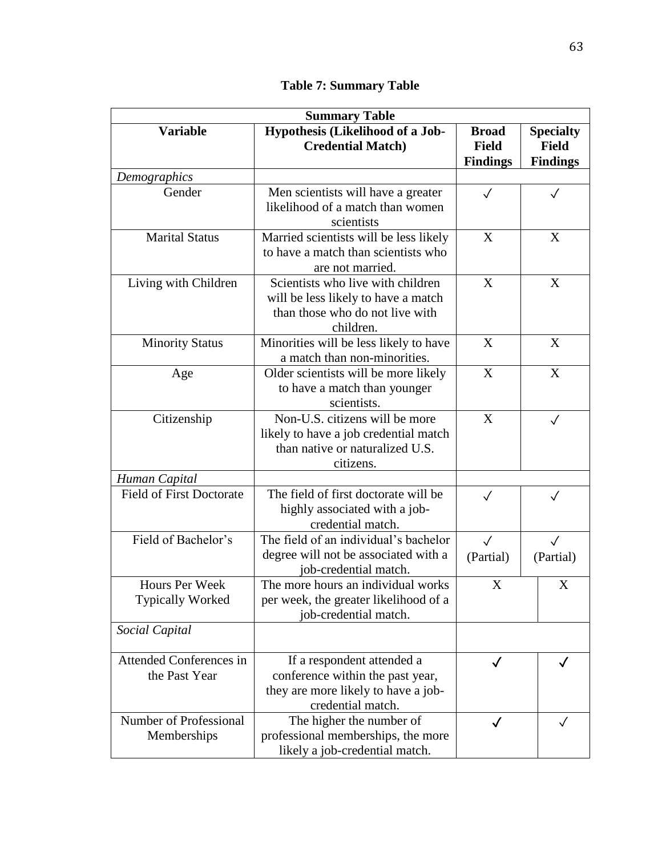|  |  | <b>Table 7: Summary Table</b> |  |
|--|--|-------------------------------|--|
|--|--|-------------------------------|--|

| <b>Summary Table</b>                      |                                                                                                                            |                                                 |                                                     |  |  |  |
|-------------------------------------------|----------------------------------------------------------------------------------------------------------------------------|-------------------------------------------------|-----------------------------------------------------|--|--|--|
| <b>Variable</b>                           | Hypothesis (Likelihood of a Job-<br><b>Credential Match)</b>                                                               | <b>Broad</b><br><b>Field</b><br><b>Findings</b> | <b>Specialty</b><br><b>Field</b><br><b>Findings</b> |  |  |  |
| Demographics                              |                                                                                                                            |                                                 |                                                     |  |  |  |
| Gender                                    | Men scientists will have a greater<br>likelihood of a match than women<br>scientists                                       | $\checkmark$                                    | $\checkmark$                                        |  |  |  |
| <b>Marital Status</b>                     | Married scientists will be less likely<br>to have a match than scientists who<br>are not married.                          | X                                               | X                                                   |  |  |  |
| Living with Children                      | Scientists who live with children<br>will be less likely to have a match<br>than those who do not live with<br>children.   | X                                               | X                                                   |  |  |  |
| <b>Minority Status</b>                    | Minorities will be less likely to have<br>a match than non-minorities.                                                     | X                                               | X                                                   |  |  |  |
| Age                                       | Older scientists will be more likely<br>to have a match than younger<br>scientists.                                        | X                                               | X                                                   |  |  |  |
| Citizenship                               | Non-U.S. citizens will be more<br>likely to have a job credential match<br>than native or naturalized U.S.<br>citizens.    | X                                               | $\sqrt{}$                                           |  |  |  |
| Human Capital                             |                                                                                                                            |                                                 |                                                     |  |  |  |
| <b>Field of First Doctorate</b>           | The field of first doctorate will be<br>highly associated with a job-<br>credential match.                                 | $\checkmark$                                    |                                                     |  |  |  |
| Field of Bachelor's                       | The field of an individual's bachelor<br>degree will not be associated with a<br>job-credential match.                     | $\checkmark$<br>(Partial)                       | $\sqrt{}$<br>(Partial)                              |  |  |  |
| Hours Per Week<br><b>Typically Worked</b> | The more hours an individual works<br>per week, the greater likelihood of a<br>job-credential match.                       | X                                               | X                                                   |  |  |  |
| Social Capital                            |                                                                                                                            |                                                 |                                                     |  |  |  |
| Attended Conferences in<br>the Past Year  | If a respondent attended a<br>conference within the past year,<br>they are more likely to have a job-<br>credential match. | $\checkmark$                                    | $\checkmark$                                        |  |  |  |
| Number of Professional<br>Memberships     | The higher the number of<br>professional memberships, the more<br>likely a job-credential match.                           |                                                 |                                                     |  |  |  |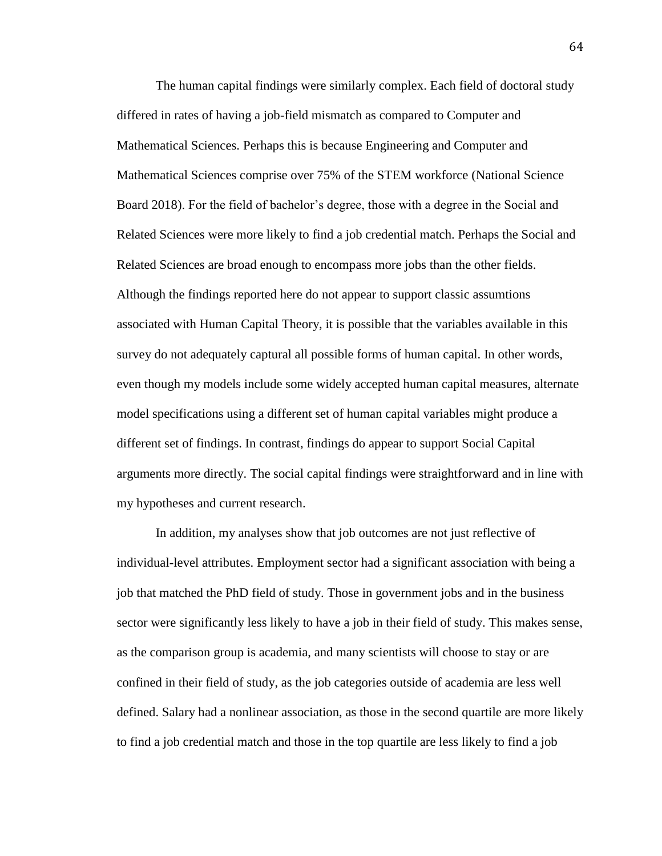The human capital findings were similarly complex. Each field of doctoral study differed in rates of having a job-field mismatch as compared to Computer and Mathematical Sciences. Perhaps this is because Engineering and Computer and Mathematical Sciences comprise over 75% of the STEM workforce (National Science Board 2018). For the field of bachelor's degree, those with a degree in the Social and Related Sciences were more likely to find a job credential match. Perhaps the Social and Related Sciences are broad enough to encompass more jobs than the other fields. Although the findings reported here do not appear to support classic assumtions associated with Human Capital Theory, it is possible that the variables available in this survey do not adequately captural all possible forms of human capital. In other words, even though my models include some widely accepted human capital measures, alternate model specifications using a different set of human capital variables might produce a different set of findings. In contrast, findings do appear to support Social Capital arguments more directly. The social capital findings were straightforward and in line with my hypotheses and current research.

In addition, my analyses show that job outcomes are not just reflective of individual-level attributes. Employment sector had a significant association with being a job that matched the PhD field of study. Those in government jobs and in the business sector were significantly less likely to have a job in their field of study. This makes sense, as the comparison group is academia, and many scientists will choose to stay or are confined in their field of study, as the job categories outside of academia are less well defined. Salary had a nonlinear association, as those in the second quartile are more likely to find a job credential match and those in the top quartile are less likely to find a job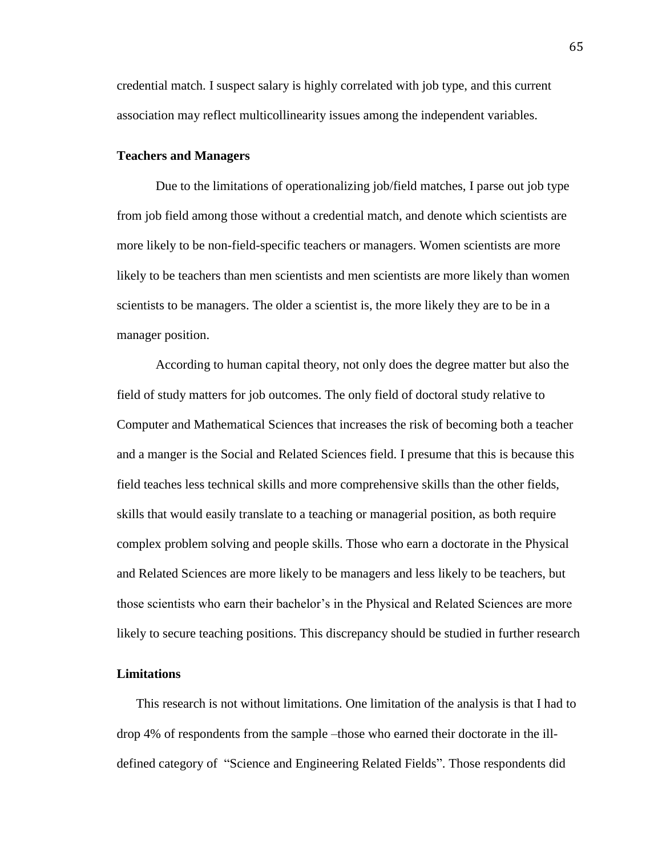credential match. I suspect salary is highly correlated with job type, and this current association may reflect multicollinearity issues among the independent variables.

#### **Teachers and Managers**

Due to the limitations of operationalizing job/field matches, I parse out job type from job field among those without a credential match, and denote which scientists are more likely to be non-field-specific teachers or managers. Women scientists are more likely to be teachers than men scientists and men scientists are more likely than women scientists to be managers. The older a scientist is, the more likely they are to be in a manager position.

According to human capital theory, not only does the degree matter but also the field of study matters for job outcomes. The only field of doctoral study relative to Computer and Mathematical Sciences that increases the risk of becoming both a teacher and a manger is the Social and Related Sciences field. I presume that this is because this field teaches less technical skills and more comprehensive skills than the other fields, skills that would easily translate to a teaching or managerial position, as both require complex problem solving and people skills. Those who earn a doctorate in the Physical and Related Sciences are more likely to be managers and less likely to be teachers, but those scientists who earn their bachelor's in the Physical and Related Sciences are more likely to secure teaching positions. This discrepancy should be studied in further research

## **Limitations**

This research is not without limitations. One limitation of the analysis is that I had to drop 4% of respondents from the sample –those who earned their doctorate in the illdefined category of "Science and Engineering Related Fields". Those respondents did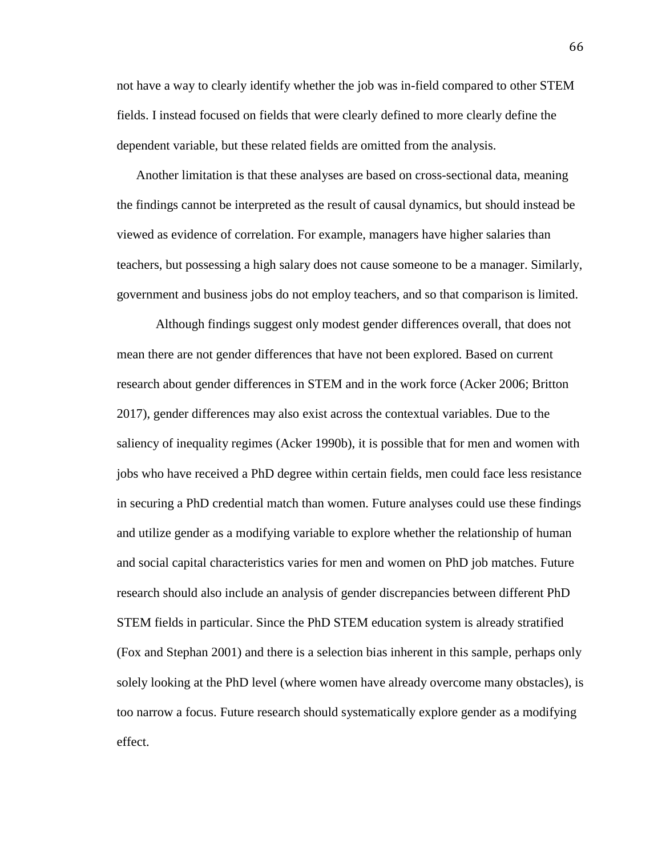not have a way to clearly identify whether the job was in-field compared to other STEM fields. I instead focused on fields that were clearly defined to more clearly define the dependent variable, but these related fields are omitted from the analysis.

Another limitation is that these analyses are based on cross-sectional data, meaning the findings cannot be interpreted as the result of causal dynamics, but should instead be viewed as evidence of correlation. For example, managers have higher salaries than teachers, but possessing a high salary does not cause someone to be a manager. Similarly, government and business jobs do not employ teachers, and so that comparison is limited.

Although findings suggest only modest gender differences overall, that does not mean there are not gender differences that have not been explored. Based on current research about gender differences in STEM and in the work force (Acker 2006; Britton 2017), gender differences may also exist across the contextual variables. Due to the saliency of inequality regimes (Acker 1990b), it is possible that for men and women with jobs who have received a PhD degree within certain fields, men could face less resistance in securing a PhD credential match than women. Future analyses could use these findings and utilize gender as a modifying variable to explore whether the relationship of human and social capital characteristics varies for men and women on PhD job matches. Future research should also include an analysis of gender discrepancies between different PhD STEM fields in particular. Since the PhD STEM education system is already stratified (Fox and Stephan 2001) and there is a selection bias inherent in this sample, perhaps only solely looking at the PhD level (where women have already overcome many obstacles), is too narrow a focus. Future research should systematically explore gender as a modifying effect.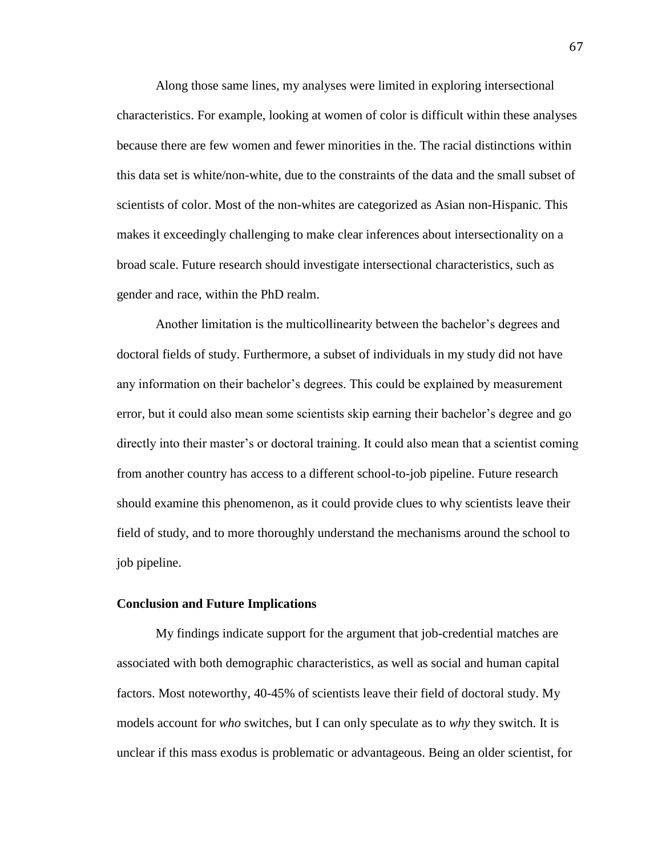Along those same lines, my analyses were limited in exploring intersectional characteristics. For example, looking at women of color is difficult within these analyses because there are few women and fewer minorities in the. The racial distinctions within this data set is white/non-white, due to the constraints of the data and the small subset of scientists of color. Most of the non-whites are categorized as Asian non-Hispanic. This makes it exceedingly challenging to make clear inferences about intersectionality on a broad scale. Future research should investigate intersectional characteristics, such as gender and race, within the PhD realm.

Another limitation is the multicollinearity between the bachelor's degrees and doctoral fields of study. Furthermore, a subset of individuals in my study did not have any information on their bachelor's degrees. This could be explained by measurement error, but it could also mean some scientists skip earning their bachelor's degree and go directly into their master's or doctoral training. It could also mean that a scientist coming from another country has access to a different school-to-job pipeline. Future research should examine this phenomenon, as it could provide clues to why scientists leave their field of study, and to more thoroughly understand the mechanisms around the school to job pipeline.

# **Conclusion and Future Implications**

My findings indicate support for the argument that job-credential matches are associated with both demographic characteristics, as well as social and human capital factors. Most noteworthy, 40-45% of scientists leave their field of doctoral study. My models account for *who* switches, but I can only speculate as to *why* they switch. It is unclear if this mass exodus is problematic or advantageous. Being an older scientist, for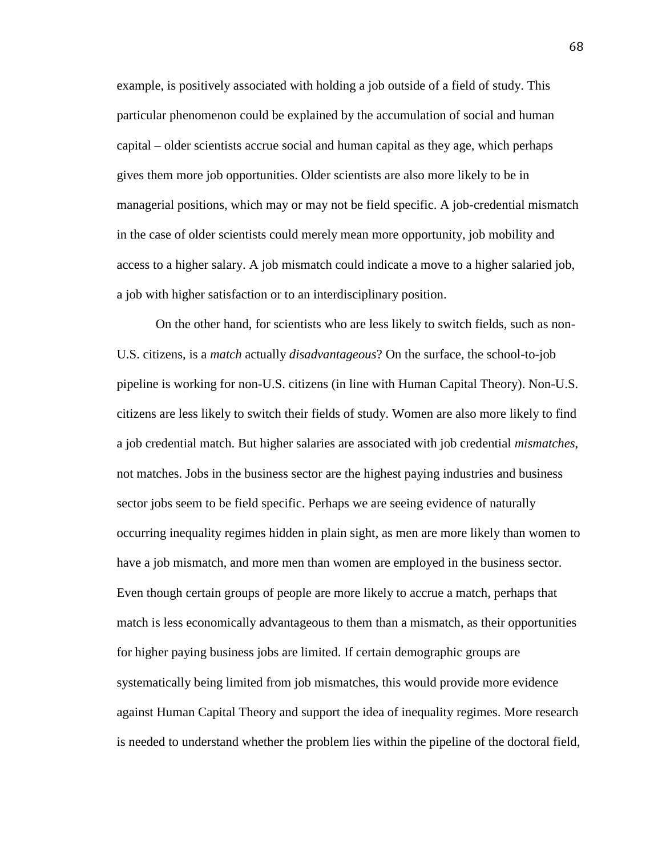example, is positively associated with holding a job outside of a field of study. This particular phenomenon could be explained by the accumulation of social and human capital – older scientists accrue social and human capital as they age, which perhaps gives them more job opportunities. Older scientists are also more likely to be in managerial positions, which may or may not be field specific. A job-credential mismatch in the case of older scientists could merely mean more opportunity, job mobility and access to a higher salary. A job mismatch could indicate a move to a higher salaried job, a job with higher satisfaction or to an interdisciplinary position.

On the other hand, for scientists who are less likely to switch fields, such as non-U.S. citizens, is a *match* actually *disadvantageous*? On the surface, the school-to-job pipeline is working for non-U.S. citizens (in line with Human Capital Theory). Non-U.S. citizens are less likely to switch their fields of study. Women are also more likely to find a job credential match. But higher salaries are associated with job credential *mismatches*, not matches. Jobs in the business sector are the highest paying industries and business sector jobs seem to be field specific. Perhaps we are seeing evidence of naturally occurring inequality regimes hidden in plain sight, as men are more likely than women to have a job mismatch, and more men than women are employed in the business sector. Even though certain groups of people are more likely to accrue a match, perhaps that match is less economically advantageous to them than a mismatch, as their opportunities for higher paying business jobs are limited. If certain demographic groups are systematically being limited from job mismatches, this would provide more evidence against Human Capital Theory and support the idea of inequality regimes. More research is needed to understand whether the problem lies within the pipeline of the doctoral field,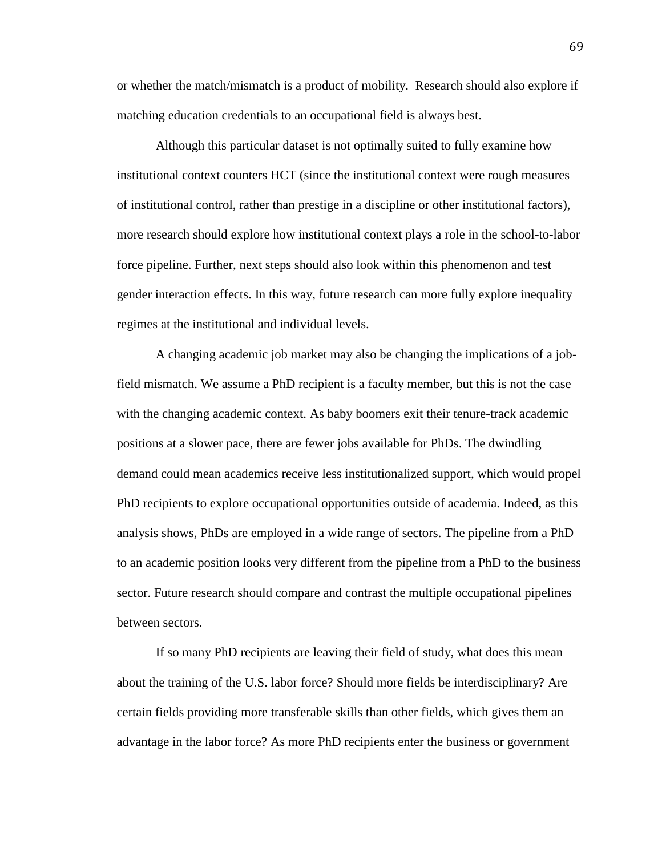or whether the match/mismatch is a product of mobility. Research should also explore if matching education credentials to an occupational field is always best.

Although this particular dataset is not optimally suited to fully examine how institutional context counters HCT (since the institutional context were rough measures of institutional control, rather than prestige in a discipline or other institutional factors), more research should explore how institutional context plays a role in the school-to-labor force pipeline. Further, next steps should also look within this phenomenon and test gender interaction effects. In this way, future research can more fully explore inequality regimes at the institutional and individual levels.

A changing academic job market may also be changing the implications of a jobfield mismatch. We assume a PhD recipient is a faculty member, but this is not the case with the changing academic context. As baby boomers exit their tenure-track academic positions at a slower pace, there are fewer jobs available for PhDs. The dwindling demand could mean academics receive less institutionalized support, which would propel PhD recipients to explore occupational opportunities outside of academia. Indeed, as this analysis shows, PhDs are employed in a wide range of sectors. The pipeline from a PhD to an academic position looks very different from the pipeline from a PhD to the business sector. Future research should compare and contrast the multiple occupational pipelines between sectors.

If so many PhD recipients are leaving their field of study, what does this mean about the training of the U.S. labor force? Should more fields be interdisciplinary? Are certain fields providing more transferable skills than other fields, which gives them an advantage in the labor force? As more PhD recipients enter the business or government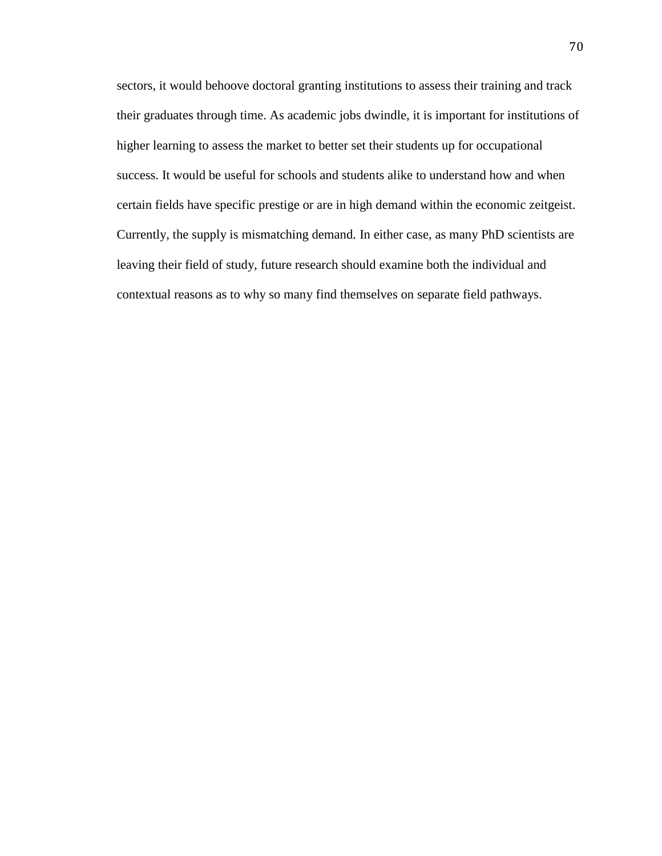sectors, it would behoove doctoral granting institutions to assess their training and track their graduates through time. As academic jobs dwindle, it is important for institutions of higher learning to assess the market to better set their students up for occupational success. It would be useful for schools and students alike to understand how and when certain fields have specific prestige or are in high demand within the economic zeitgeist. Currently, the supply is mismatching demand. In either case, as many PhD scientists are leaving their field of study, future research should examine both the individual and contextual reasons as to why so many find themselves on separate field pathways.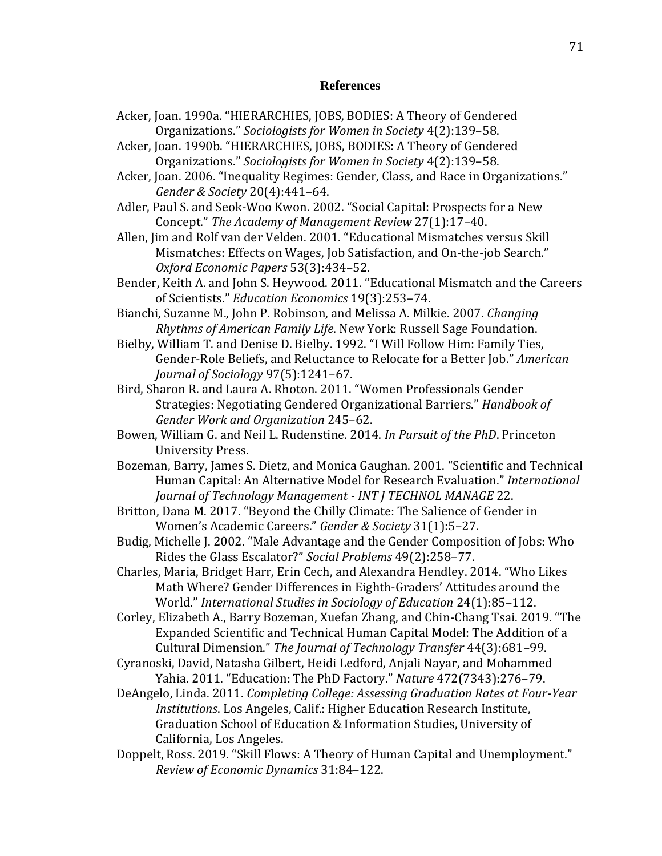## **References**

- Acker, Joan. 1990a. "HIERARCHIES, JOBS, BODIES: A Theory of Gendered Organizations." *Sociologists for Women in Society* 4(2):139–58.
- Acker, Joan. 1990b. "HIERARCHIES, JOBS, BODIES: A Theory of Gendered Organizations." *Sociologists for Women in Society* 4(2):139–58.
- Acker, Joan. 2006. "Inequality Regimes: Gender, Class, and Race in Organizations." *Gender & Society* 20(4):441–64.
- Adler, Paul S. and Seok-Woo Kwon. 2002. "Social Capital: Prospects for a New Concept." *The Academy of Management Review* 27(1):17–40.
- Allen, Jim and Rolf van der Velden. 2001. "Educational Mismatches versus Skill Mismatches: Effects on Wages, Job Satisfaction, and On‐the‐job Search." *Oxford Economic Papers* 53(3):434–52.
- Bender, Keith A. and John S. Heywood. 2011. "Educational Mismatch and the Careers of Scientists." *Education Economics* 19(3):253–74.
- Bianchi, Suzanne M., John P. Robinson, and Melissa A. Milkie. 2007. *Changing Rhythms of American Family Life*. New York: Russell Sage Foundation.
- Bielby, William T. and Denise D. Bielby. 1992. "I Will Follow Him: Family Ties, Gender-Role Beliefs, and Reluctance to Relocate for a Better Job." *American Journal of Sociology* 97(5):1241–67.
- Bird, Sharon R. and Laura A. Rhoton. 2011. "Women Professionals Gender Strategies: Negotiating Gendered Organizational Barriers." *Handbook of Gender Work and Organization* 245–62.
- Bowen, William G. and Neil L. Rudenstine. 2014. *In Pursuit of the PhD*. Princeton University Press.
- Bozeman, Barry, James S. Dietz, and Monica Gaughan. 2001. "Scientific and Technical Human Capital: An Alternative Model for Research Evaluation." *International Journal of Technology Management - INT J TECHNOL MANAGE* 22.
- Britton, Dana M. 2017. "Beyond the Chilly Climate: The Salience of Gender in Women's Academic Careers." *Gender & Society* 31(1):5–27.
- Budig, Michelle J. 2002. "Male Advantage and the Gender Composition of Jobs: Who Rides the Glass Escalator?" *Social Problems* 49(2):258–77.
- Charles, Maria, Bridget Harr, Erin Cech, and Alexandra Hendley. 2014. "Who Likes Math Where? Gender Differences in Eighth-Graders' Attitudes around the World." *International Studies in Sociology of Education* 24(1):85–112.
- Corley, Elizabeth A., Barry Bozeman, Xuefan Zhang, and Chin-Chang Tsai. 2019. "The Expanded Scientific and Technical Human Capital Model: The Addition of a Cultural Dimension." *The Journal of Technology Transfer* 44(3):681–99.
- Cyranoski, David, Natasha Gilbert, Heidi Ledford, Anjali Nayar, and Mohammed Yahia. 2011. "Education: The PhD Factory." *Nature* 472(7343):276–79.
- DeAngelo, Linda. 2011. *Completing College: Assessing Graduation Rates at Four-Year Institutions*. Los Angeles, Calif.: Higher Education Research Institute, Graduation School of Education & Information Studies, University of California, Los Angeles.
- Doppelt, Ross. 2019. "Skill Flows: A Theory of Human Capital and Unemployment." *Review of Economic Dynamics* 31:84–122.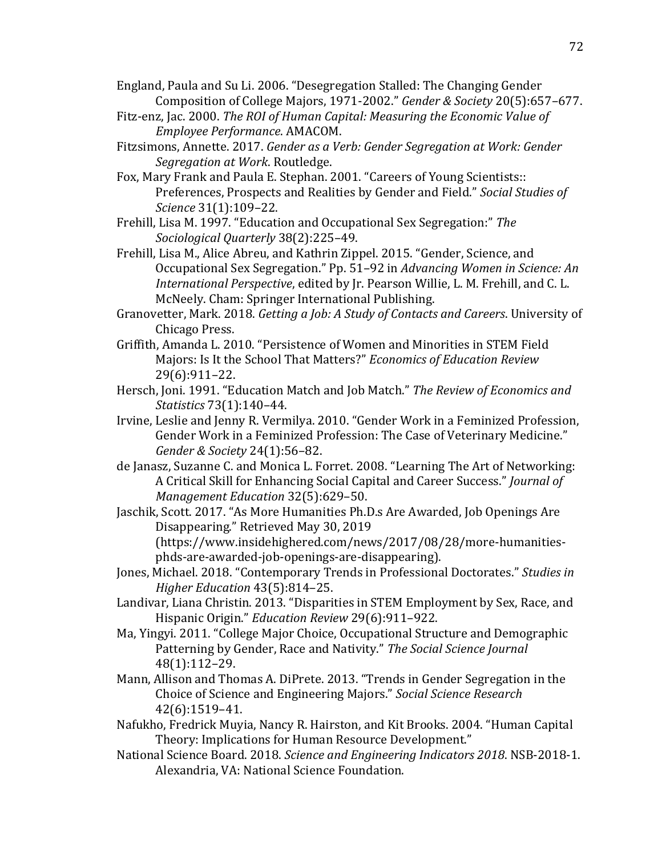England, Paula and Su Li. 2006. "Desegregation Stalled: The Changing Gender Composition of College Majors, 1971-2002." *Gender & Society* 20(5):657–677.

- Fitz-enz, Jac. 2000. *The ROI of Human Capital: Measuring the Economic Value of Employee Performance*. AMACOM.
- Fitzsimons, Annette. 2017. *Gender as a Verb: Gender Segregation at Work: Gender Segregation at Work*. Routledge.
- Fox, Mary Frank and Paula E. Stephan. 2001. "Careers of Young Scientists:: Preferences, Prospects and Realities by Gender and Field." *Social Studies of Science* 31(1):109–22.
- Frehill, Lisa M. 1997. "Education and Occupational Sex Segregation:" *The Sociological Quarterly* 38(2):225–49.
- Frehill, Lisa M., Alice Abreu, and Kathrin Zippel. 2015. "Gender, Science, and Occupational Sex Segregation." Pp. 51–92 in *Advancing Women in Science: An International Perspective*, edited by Jr. Pearson Willie, L. M. Frehill, and C. L. McNeely. Cham: Springer International Publishing.
- Granovetter, Mark. 2018. *Getting a Job: A Study of Contacts and Careers*. University of Chicago Press.
- Griffith, Amanda L. 2010. "Persistence of Women and Minorities in STEM Field Majors: Is It the School That Matters?" *Economics of Education Review* 29(6):911–22.
- Hersch, Joni. 1991. "Education Match and Job Match." *The Review of Economics and Statistics* 73(1):140–44.
- Irvine, Leslie and Jenny R. Vermilya. 2010. "Gender Work in a Feminized Profession, Gender Work in a Feminized Profession: The Case of Veterinary Medicine." *Gender & Society* 24(1):56–82.
- de Janasz, Suzanne C. and Monica L. Forret. 2008. "Learning The Art of Networking: A Critical Skill for Enhancing Social Capital and Career Success." *Journal of Management Education* 32(5):629–50.
- Jaschik, Scott. 2017. "As More Humanities Ph.D.s Are Awarded, Job Openings Are Disappearing." Retrieved May 30, 2019

(https://www.insidehighered.com/news/2017/08/28/more-humanitiesphds-are-awarded-job-openings-are-disappearing).

- Jones, Michael. 2018. "Contemporary Trends in Professional Doctorates." *Studies in Higher Education* 43(5):814–25.
- Landivar, Liana Christin. 2013. "Disparities in STEM Employment by Sex, Race, and Hispanic Origin." *Education Review* 29(6):911–922.
- Ma, Yingyi. 2011. "College Major Choice, Occupational Structure and Demographic Patterning by Gender, Race and Nativity." *The Social Science Journal* 48(1):112–29.
- Mann, Allison and Thomas A. DiPrete. 2013. "Trends in Gender Segregation in the Choice of Science and Engineering Majors." *Social Science Research* 42(6):1519–41.
- Nafukho, Fredrick Muyia, Nancy R. Hairston, and Kit Brooks. 2004. "Human Capital Theory: Implications for Human Resource Development."
- National Science Board. 2018. *Science and Engineering Indicators 2018*. NSB-2018-1. Alexandria, VA: National Science Foundation.